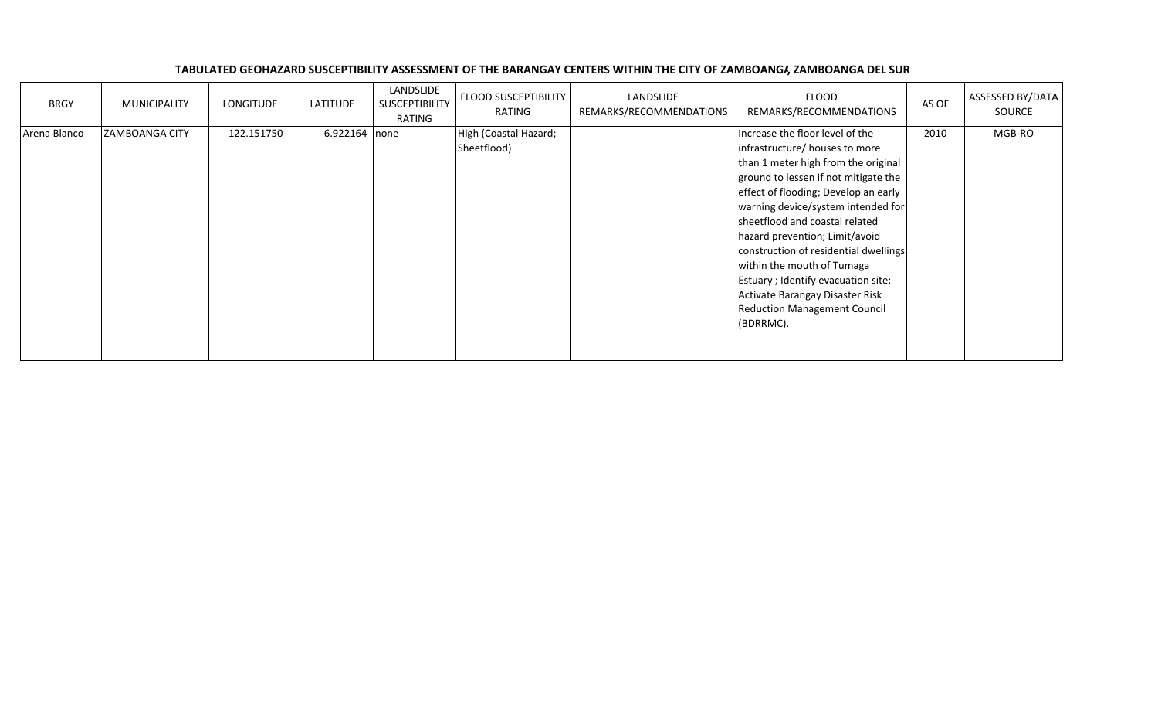| TABULATED GEOHAZARD SUSCEPTIBILITY ASSESSMENT OF THE BARANGAY CENTERS WITHIN THE CITY OF ZAMBOANG/, ZAMBOANGA DEL SUR |
|-----------------------------------------------------------------------------------------------------------------------|
|-----------------------------------------------------------------------------------------------------------------------|

| <b>BRGY</b>  | <b>MUNICIPALITY</b>   | LONGITUDE  | LATITUDE      | LANDSLIDE<br>SUSCEPTIBILITY<br>RATING | <b>FLOOD SUSCEPTIBILITY</b><br>RATING | LANDSLIDE<br>REMARKS/RECOMMENDATIONS | <b>FLOOD</b><br>REMARKS/RECOMMENDATIONS                                                                                                                                                                                                                                                                                                                                                                                                                                                                 | AS OF | ASSESSED BY/DATA<br>SOURCE |
|--------------|-----------------------|------------|---------------|---------------------------------------|---------------------------------------|--------------------------------------|---------------------------------------------------------------------------------------------------------------------------------------------------------------------------------------------------------------------------------------------------------------------------------------------------------------------------------------------------------------------------------------------------------------------------------------------------------------------------------------------------------|-------|----------------------------|
| Arena Blanco | <b>ZAMBOANGA CITY</b> | 122.151750 | 6.922164 none |                                       | High (Coastal Hazard;<br>Sheetflood)  |                                      | Increase the floor level of the<br>infrastructure/ houses to more<br>than 1 meter high from the original<br>ground to lessen if not mitigate the<br>effect of flooding; Develop an early<br>warning device/system intended for<br>sheetflood and coastal related<br>hazard prevention; Limit/avoid<br>construction of residential dwellings<br>within the mouth of Tumaga<br>Estuary ; Identify evacuation site;<br>Activate Barangay Disaster Risk<br><b>Reduction Management Council</b><br>(BDRRMC). | 2010  | MGB-RO                     |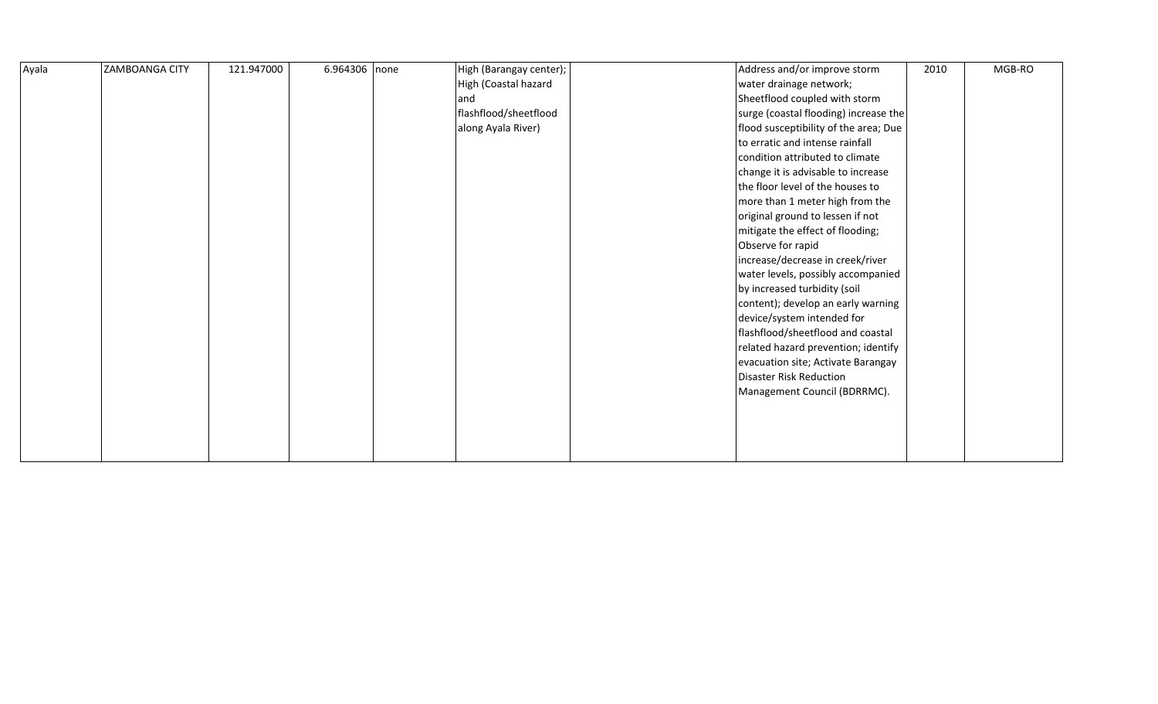| Ayala | <b>ZAMBOANGA CITY</b> | 121.947000 | 6.964306 none | High (Barangay center); | Address and/or improve storm          | 2010 | MGB-RO |
|-------|-----------------------|------------|---------------|-------------------------|---------------------------------------|------|--------|
|       |                       |            |               | High (Coastal hazard    | water drainage network;               |      |        |
|       |                       |            |               | and                     | Sheetflood coupled with storm         |      |        |
|       |                       |            |               | flashflood/sheetflood   | surge (coastal flooding) increase the |      |        |
|       |                       |            |               | along Ayala River)      | flood susceptibility of the area; Due |      |        |
|       |                       |            |               |                         | to erratic and intense rainfall       |      |        |
|       |                       |            |               |                         | condition attributed to climate       |      |        |
|       |                       |            |               |                         | change it is advisable to increase    |      |        |
|       |                       |            |               |                         | the floor level of the houses to      |      |        |
|       |                       |            |               |                         | more than 1 meter high from the       |      |        |
|       |                       |            |               |                         | original ground to lessen if not      |      |        |
|       |                       |            |               |                         | mitigate the effect of flooding;      |      |        |
|       |                       |            |               |                         | Observe for rapid                     |      |        |
|       |                       |            |               |                         | increase/decrease in creek/river      |      |        |
|       |                       |            |               |                         | water levels, possibly accompanied    |      |        |
|       |                       |            |               |                         | by increased turbidity (soil          |      |        |
|       |                       |            |               |                         | content); develop an early warning    |      |        |
|       |                       |            |               |                         | device/system intended for            |      |        |
|       |                       |            |               |                         | flashflood/sheetflood and coastal     |      |        |
|       |                       |            |               |                         | related hazard prevention; identify   |      |        |
|       |                       |            |               |                         | evacuation site; Activate Barangay    |      |        |
|       |                       |            |               |                         | Disaster Risk Reduction               |      |        |
|       |                       |            |               |                         | Management Council (BDRRMC).          |      |        |
|       |                       |            |               |                         |                                       |      |        |
|       |                       |            |               |                         |                                       |      |        |
|       |                       |            |               |                         |                                       |      |        |
|       |                       |            |               |                         |                                       |      |        |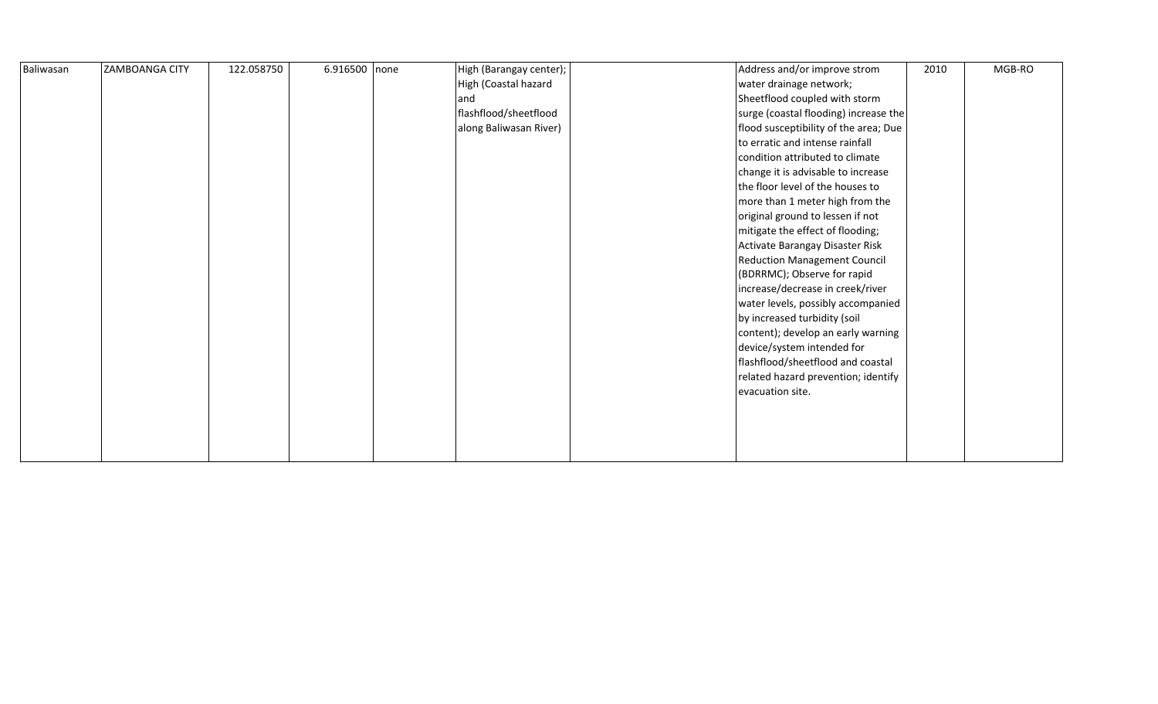| Baliwasan | ZAMBOANGA CITY | 122.058750 | 6.916500 none | High (Barangay center); | Address and/or improve strom          | 2010 | MGB-RO |
|-----------|----------------|------------|---------------|-------------------------|---------------------------------------|------|--------|
|           |                |            |               | High (Coastal hazard    | water drainage network;               |      |        |
|           |                |            |               | and                     | Sheetflood coupled with storm         |      |        |
|           |                |            |               | flashflood/sheetflood   | surge (coastal flooding) increase the |      |        |
|           |                |            |               | along Baliwasan River)  | flood susceptibility of the area; Due |      |        |
|           |                |            |               |                         | to erratic and intense rainfall       |      |        |
|           |                |            |               |                         | condition attributed to climate       |      |        |
|           |                |            |               |                         | change it is advisable to increase    |      |        |
|           |                |            |               |                         | the floor level of the houses to      |      |        |
|           |                |            |               |                         | more than 1 meter high from the       |      |        |
|           |                |            |               |                         | original ground to lessen if not      |      |        |
|           |                |            |               |                         | mitigate the effect of flooding;      |      |        |
|           |                |            |               |                         | Activate Barangay Disaster Risk       |      |        |
|           |                |            |               |                         | <b>Reduction Management Council</b>   |      |        |
|           |                |            |               |                         | (BDRRMC); Observe for rapid           |      |        |
|           |                |            |               |                         | increase/decrease in creek/river      |      |        |
|           |                |            |               |                         | water levels, possibly accompanied    |      |        |
|           |                |            |               |                         | by increased turbidity (soil          |      |        |
|           |                |            |               |                         | content); develop an early warning    |      |        |
|           |                |            |               |                         | device/system intended for            |      |        |
|           |                |            |               |                         | flashflood/sheetflood and coastal     |      |        |
|           |                |            |               |                         | related hazard prevention; identify   |      |        |
|           |                |            |               |                         | evacuation site.                      |      |        |
|           |                |            |               |                         |                                       |      |        |
|           |                |            |               |                         |                                       |      |        |
|           |                |            |               |                         |                                       |      |        |
|           |                |            |               |                         |                                       |      |        |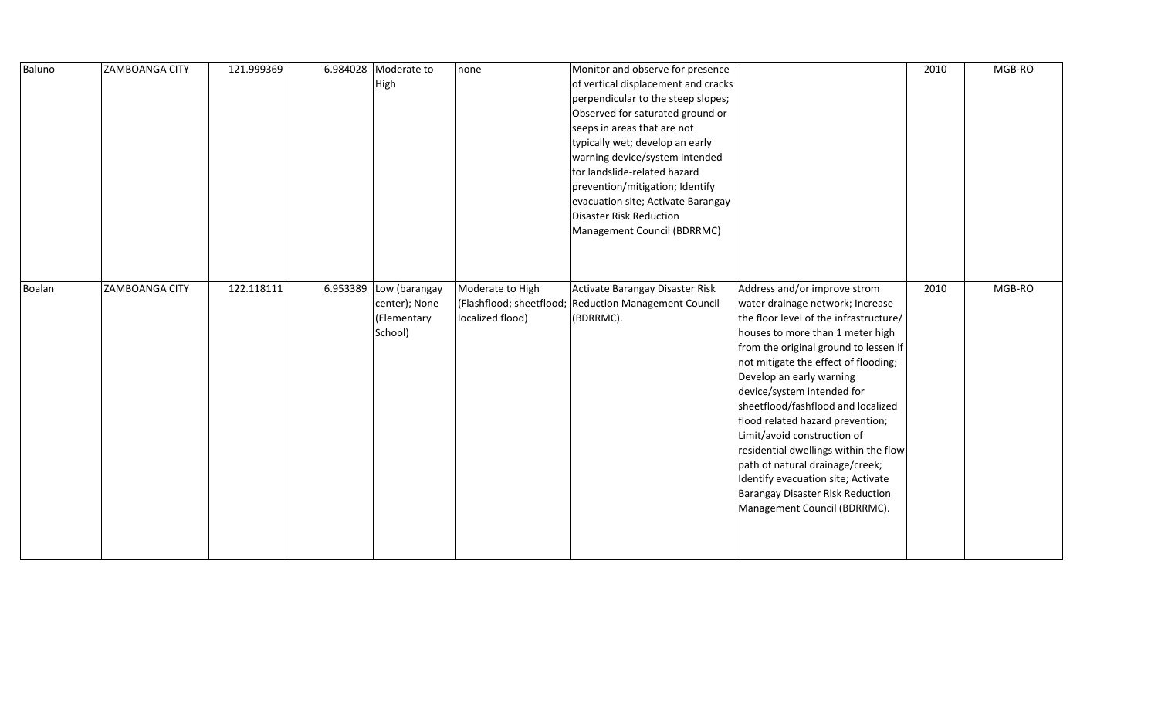| Baluno | <b>ZAMBOANGA CITY</b> | 121.999369 | 6.984028 | Moderate to   | none             | Monitor and observe for presence                      |                                        | 2010 | MGB-RO |
|--------|-----------------------|------------|----------|---------------|------------------|-------------------------------------------------------|----------------------------------------|------|--------|
|        |                       |            |          | High          |                  | of vertical displacement and cracks                   |                                        |      |        |
|        |                       |            |          |               |                  | perpendicular to the steep slopes;                    |                                        |      |        |
|        |                       |            |          |               |                  | Observed for saturated ground or                      |                                        |      |        |
|        |                       |            |          |               |                  | seeps in areas that are not                           |                                        |      |        |
|        |                       |            |          |               |                  | typically wet; develop an early                       |                                        |      |        |
|        |                       |            |          |               |                  | warning device/system intended                        |                                        |      |        |
|        |                       |            |          |               |                  | for landslide-related hazard                          |                                        |      |        |
|        |                       |            |          |               |                  | prevention/mitigation; Identify                       |                                        |      |        |
|        |                       |            |          |               |                  | evacuation site; Activate Barangay                    |                                        |      |        |
|        |                       |            |          |               |                  | <b>Disaster Risk Reduction</b>                        |                                        |      |        |
|        |                       |            |          |               |                  | Management Council (BDRRMC)                           |                                        |      |        |
|        |                       |            |          |               |                  |                                                       |                                        |      |        |
|        |                       |            |          |               |                  |                                                       |                                        |      |        |
|        |                       |            |          |               |                  |                                                       |                                        |      |        |
| Boalan | <b>ZAMBOANGA CITY</b> | 122.118111 | 6.953389 | Low (barangay | Moderate to High | Activate Barangay Disaster Risk                       | Address and/or improve strom           | 2010 | MGB-RO |
|        |                       |            |          | center); None |                  | (Flashflood; sheetflood; Reduction Management Council | water drainage network; Increase       |      |        |
|        |                       |            |          | (Elementary   | localized flood) | (BDRRMC).                                             | the floor level of the infrastructure/ |      |        |
|        |                       |            |          | School)       |                  |                                                       | houses to more than 1 meter high       |      |        |
|        |                       |            |          |               |                  |                                                       | from the original ground to lessen if  |      |        |
|        |                       |            |          |               |                  |                                                       | not mitigate the effect of flooding;   |      |        |
|        |                       |            |          |               |                  |                                                       | Develop an early warning               |      |        |
|        |                       |            |          |               |                  |                                                       | device/system intended for             |      |        |
|        |                       |            |          |               |                  |                                                       | sheetflood/fashflood and localized     |      |        |
|        |                       |            |          |               |                  |                                                       | flood related hazard prevention;       |      |        |
|        |                       |            |          |               |                  |                                                       | Limit/avoid construction of            |      |        |
|        |                       |            |          |               |                  |                                                       | residential dwellings within the flow  |      |        |
|        |                       |            |          |               |                  |                                                       | path of natural drainage/creek;        |      |        |
|        |                       |            |          |               |                  |                                                       | Identify evacuation site; Activate     |      |        |
|        |                       |            |          |               |                  |                                                       | Barangay Disaster Risk Reduction       |      |        |
|        |                       |            |          |               |                  |                                                       | Management Council (BDRRMC).           |      |        |
|        |                       |            |          |               |                  |                                                       |                                        |      |        |
|        |                       |            |          |               |                  |                                                       |                                        |      |        |
|        |                       |            |          |               |                  |                                                       |                                        |      |        |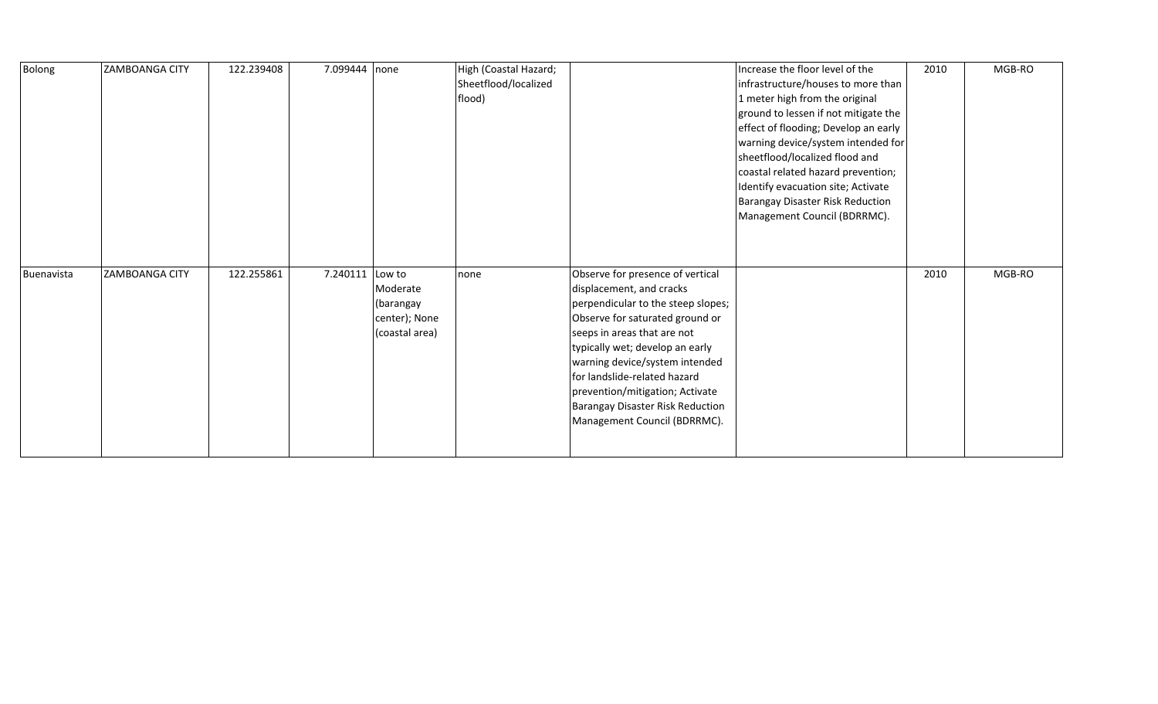| Bolong     | <b>ZAMBOANGA CITY</b> | 122.239408 | 7.099444 none   |                                                          | High (Coastal Hazard;<br>Sheetflood/localized<br>flood) |                                                                                                                                                                                                                                                                                                                                                                                  | Increase the floor level of the<br>infrastructure/houses to more than<br>1 meter high from the original<br>ground to lessen if not mitigate the<br>effect of flooding; Develop an early<br>warning device/system intended for<br>sheetflood/localized flood and<br>coastal related hazard prevention;<br>Identify evacuation site; Activate<br>Barangay Disaster Risk Reduction<br>Management Council (BDRRMC). | 2010 | MGB-RO |
|------------|-----------------------|------------|-----------------|----------------------------------------------------------|---------------------------------------------------------|----------------------------------------------------------------------------------------------------------------------------------------------------------------------------------------------------------------------------------------------------------------------------------------------------------------------------------------------------------------------------------|-----------------------------------------------------------------------------------------------------------------------------------------------------------------------------------------------------------------------------------------------------------------------------------------------------------------------------------------------------------------------------------------------------------------|------|--------|
| Buenavista | <b>ZAMBOANGA CITY</b> | 122.255861 | 7.240111 Low to | Moderate<br>(barangay<br>center); None<br>(coastal area) | none                                                    | Observe for presence of vertical<br>displacement, and cracks<br>perpendicular to the steep slopes;<br>Observe for saturated ground or<br>seeps in areas that are not<br>typically wet; develop an early<br>warning device/system intended<br>for landslide-related hazard<br>prevention/mitigation; Activate<br>Barangay Disaster Risk Reduction<br>Management Council (BDRRMC). |                                                                                                                                                                                                                                                                                                                                                                                                                 | 2010 | MGB-RO |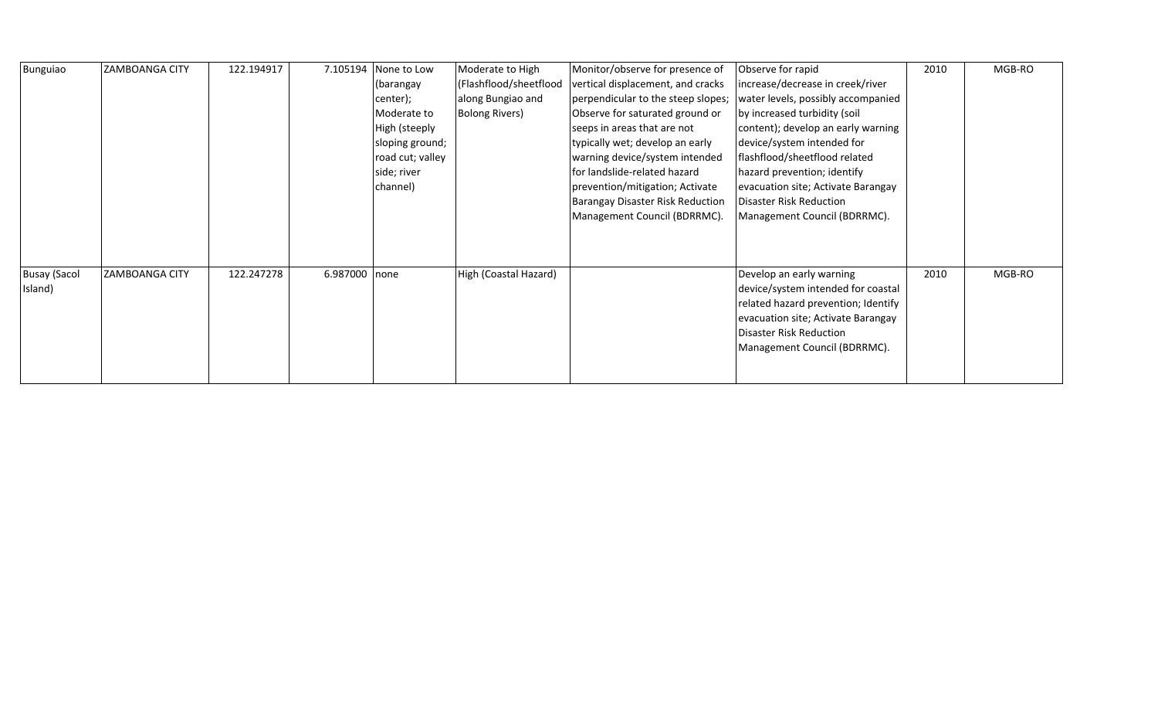| Bunguiao            | <b>ZAMBOANGA CITY</b> | 122.194917 | 7.105194      | None to Low      | Moderate to High       | Monitor/observe for presence of    | Observe for rapid                   | 2010 | MGB-RO |
|---------------------|-----------------------|------------|---------------|------------------|------------------------|------------------------------------|-------------------------------------|------|--------|
|                     |                       |            |               | (barangay        | (Flashflood/sheetflood | vertical displacement, and cracks  | increase/decrease in creek/river    |      |        |
|                     |                       |            |               | center);         | along Bungiao and      | perpendicular to the steep slopes; | water levels, possibly accompanied  |      |        |
|                     |                       |            |               | Moderate to      | <b>Bolong Rivers)</b>  | Observe for saturated ground or    | by increased turbidity (soil        |      |        |
|                     |                       |            |               | High (steeply    |                        | seeps in areas that are not        | content); develop an early warning  |      |        |
|                     |                       |            |               | sloping ground;  |                        | typically wet; develop an early    | device/system intended for          |      |        |
|                     |                       |            |               | road cut; valley |                        | warning device/system intended     | flashflood/sheetflood related       |      |        |
|                     |                       |            |               | side; river      |                        | for landslide-related hazard       | hazard prevention; identify         |      |        |
|                     |                       |            |               | channel)         |                        | prevention/mitigation; Activate    | evacuation site; Activate Barangay  |      |        |
|                     |                       |            |               |                  |                        | Barangay Disaster Risk Reduction   | Disaster Risk Reduction             |      |        |
|                     |                       |            |               |                  |                        | Management Council (BDRRMC).       | Management Council (BDRRMC).        |      |        |
|                     |                       |            |               |                  |                        |                                    |                                     |      |        |
|                     |                       |            |               |                  |                        |                                    |                                     |      |        |
|                     |                       |            |               |                  |                        |                                    |                                     |      |        |
| <b>Busay (Sacol</b> | <b>ZAMBOANGA CITY</b> | 122.247278 | 6.987000 none |                  | High (Coastal Hazard)  |                                    | Develop an early warning            | 2010 | MGB-RO |
| Island)             |                       |            |               |                  |                        |                                    | device/system intended for coastal  |      |        |
|                     |                       |            |               |                  |                        |                                    | related hazard prevention; Identify |      |        |
|                     |                       |            |               |                  |                        |                                    | evacuation site; Activate Barangay  |      |        |
|                     |                       |            |               |                  |                        |                                    | Disaster Risk Reduction             |      |        |
|                     |                       |            |               |                  |                        |                                    | Management Council (BDRRMC).        |      |        |
|                     |                       |            |               |                  |                        |                                    |                                     |      |        |
|                     |                       |            |               |                  |                        |                                    |                                     |      |        |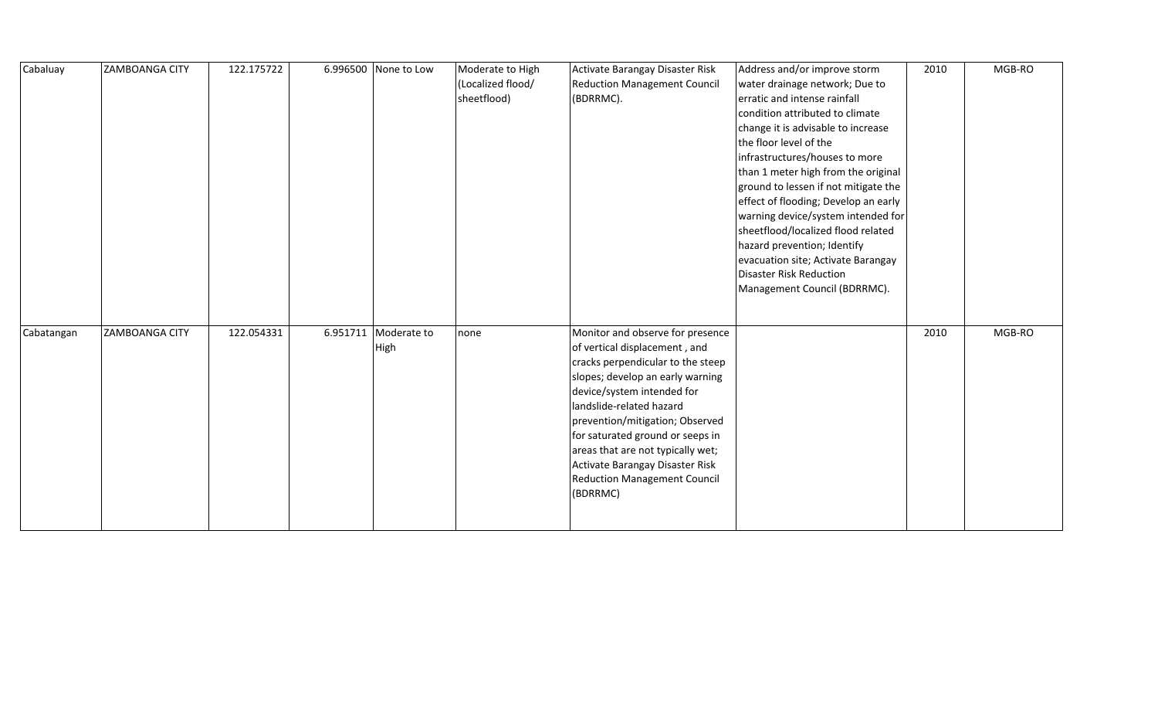| Cabaluay   | <b>ZAMBOANGA CITY</b> | 122.175722 | 6.996500 None to Low         | Moderate to High<br>(Localized flood/<br>sheetflood) | Activate Barangay Disaster Risk<br><b>Reduction Management Council</b><br>(BDRRMC).                                                                                                                                                                                                                                                                                                                    | Address and/or improve storm<br>water drainage network; Due to<br>erratic and intense rainfall<br>condition attributed to climate<br>change it is advisable to increase<br>the floor level of the<br>infrastructures/houses to more<br>than 1 meter high from the original<br>ground to lessen if not mitigate the<br>effect of flooding; Develop an early<br>warning device/system intended for<br>sheetflood/localized flood related<br>hazard prevention; Identify<br>evacuation site; Activate Barangay<br><b>Disaster Risk Reduction</b><br>Management Council (BDRRMC). | 2010 | MGB-RO |
|------------|-----------------------|------------|------------------------------|------------------------------------------------------|--------------------------------------------------------------------------------------------------------------------------------------------------------------------------------------------------------------------------------------------------------------------------------------------------------------------------------------------------------------------------------------------------------|-------------------------------------------------------------------------------------------------------------------------------------------------------------------------------------------------------------------------------------------------------------------------------------------------------------------------------------------------------------------------------------------------------------------------------------------------------------------------------------------------------------------------------------------------------------------------------|------|--------|
| Cabatangan | ZAMBOANGA CITY        | 122.054331 | 6.951711 Moderate to<br>High | none                                                 | Monitor and observe for presence<br>of vertical displacement, and<br>cracks perpendicular to the steep<br>slopes; develop an early warning<br>device/system intended for<br>landslide-related hazard<br>prevention/mitigation; Observed<br>for saturated ground or seeps in<br>areas that are not typically wet;<br>Activate Barangay Disaster Risk<br><b>Reduction Management Council</b><br>(BDRRMC) |                                                                                                                                                                                                                                                                                                                                                                                                                                                                                                                                                                               | 2010 | MGB-RO |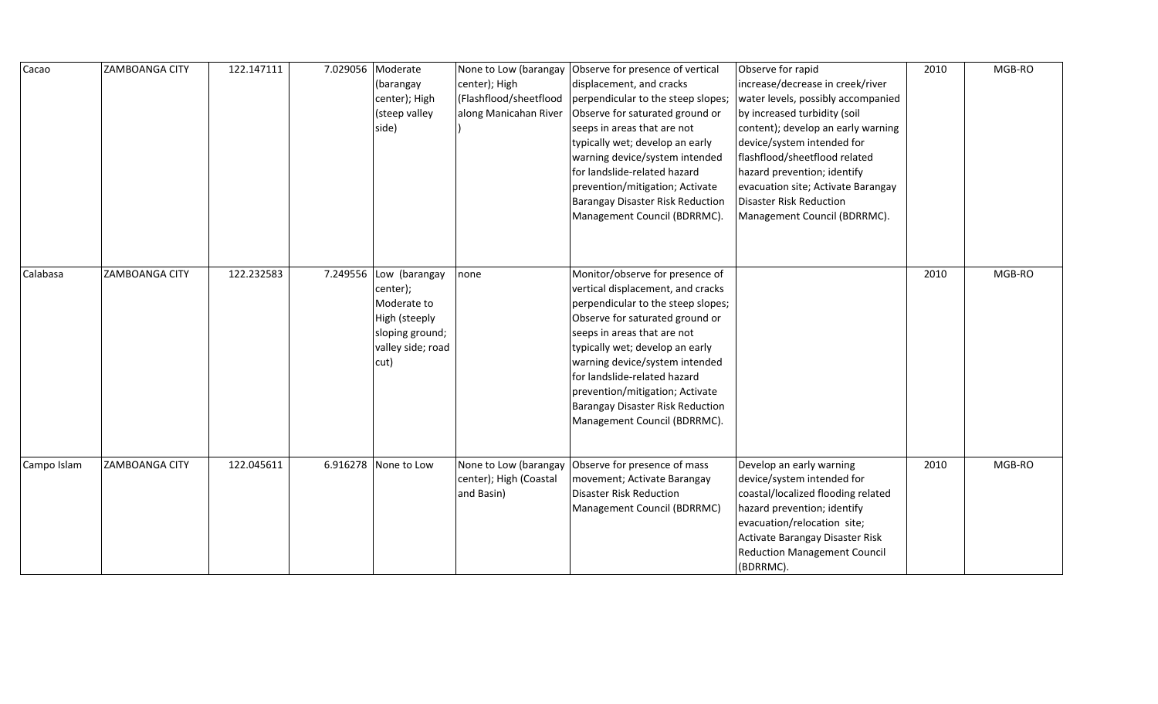| Cacao       | <b>ZAMBOANGA CITY</b> | 122.147111 | 7.029056 | Moderate<br>(barangay<br>center); High<br>(steep valley<br>side)                                          | center); High<br>(Flashflood/sheetflood<br>along Manicahan River | None to Low (barangay   Observe for presence of vertical<br>displacement, and cracks<br>perpendicular to the steep slopes;<br>Observe for saturated ground or<br>seeps in areas that are not<br>typically wet; develop an early<br>warning device/system intended<br>for landslide-related hazard<br>prevention/mitigation; Activate<br><b>Barangay Disaster Risk Reduction</b><br>Management Council (BDRRMC). | Observe for rapid<br>increase/decrease in creek/river<br>water levels, possibly accompanied<br>by increased turbidity (soil<br>content); develop an early warning<br>device/system intended for<br>flashflood/sheetflood related<br>hazard prevention; identify<br>evacuation site; Activate Barangay<br><b>Disaster Risk Reduction</b><br>Management Council (BDRRMC). | 2010 | MGB-RO |
|-------------|-----------------------|------------|----------|-----------------------------------------------------------------------------------------------------------|------------------------------------------------------------------|-----------------------------------------------------------------------------------------------------------------------------------------------------------------------------------------------------------------------------------------------------------------------------------------------------------------------------------------------------------------------------------------------------------------|-------------------------------------------------------------------------------------------------------------------------------------------------------------------------------------------------------------------------------------------------------------------------------------------------------------------------------------------------------------------------|------|--------|
| Calabasa    | <b>ZAMBOANGA CITY</b> | 122.232583 | 7.249556 | Low (barangay<br>center);<br>Moderate to<br>High (steeply<br>sloping ground;<br>valley side; road<br>cut) | none                                                             | Monitor/observe for presence of<br>vertical displacement, and cracks<br>perpendicular to the steep slopes;<br>Observe for saturated ground or<br>seeps in areas that are not<br>typically wet; develop an early<br>warning device/system intended<br>for landslide-related hazard<br>prevention/mitigation; Activate<br>Barangay Disaster Risk Reduction<br>Management Council (BDRRMC).                        |                                                                                                                                                                                                                                                                                                                                                                         | 2010 | MGB-RO |
| Campo Islam | <b>ZAMBOANGA CITY</b> | 122.045611 |          | 6.916278 None to Low                                                                                      | center); High (Coastal<br>and Basin)                             | None to Low (barangay Observe for presence of mass<br>movement; Activate Barangay<br><b>Disaster Risk Reduction</b><br>Management Council (BDRRMC)                                                                                                                                                                                                                                                              | Develop an early warning<br>device/system intended for<br>coastal/localized flooding related<br>hazard prevention; identify<br>evacuation/relocation site;<br>Activate Barangay Disaster Risk<br><b>Reduction Management Council</b><br>(BDRRMC).                                                                                                                       | 2010 | MGB-RO |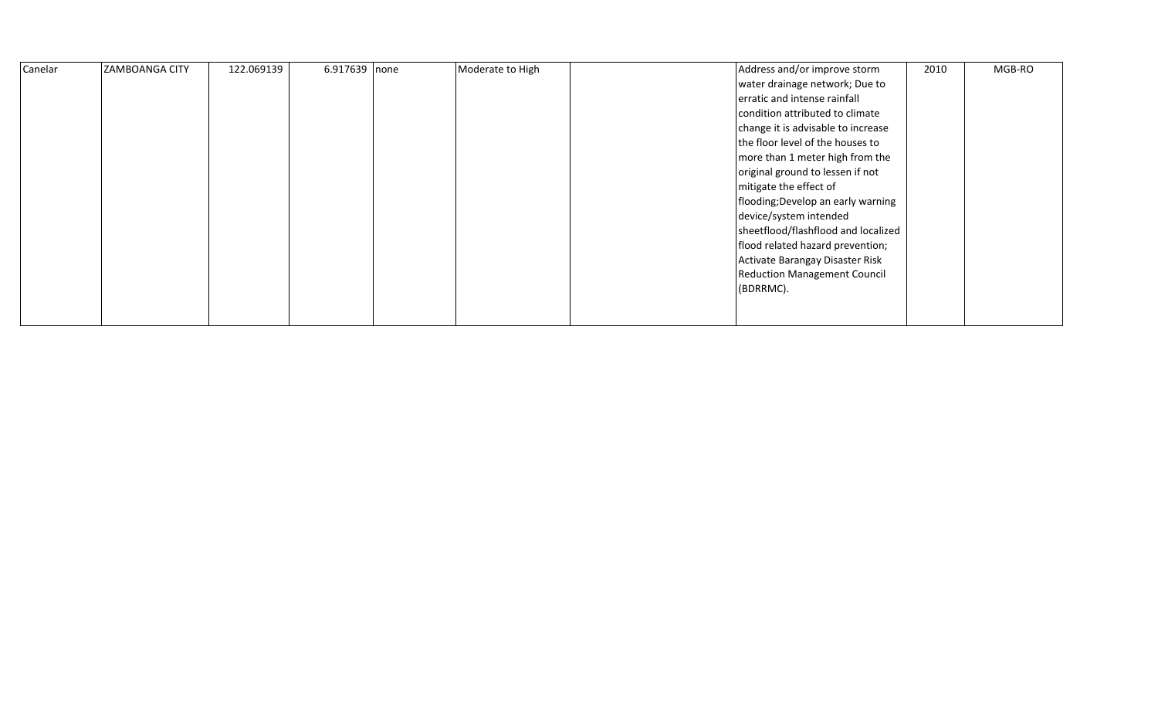| Canelar | <b>ZAMBOANGA CITY</b> | 122.069139 | 6.917639 none | Moderate to High | Address and/or improve storm<br>water drainage network; Due to<br>erratic and intense rainfall<br>condition attributed to climate<br>change it is advisable to increase<br>the floor level of the houses to<br>more than 1 meter high from the<br>original ground to lessen if not<br>mitigate the effect of<br>flooding; Develop an early warning<br>device/system intended<br>sheetflood/flashflood and localized<br>flood related hazard prevention;<br>Activate Barangay Disaster Risk | 2010 | MGB-RO |
|---------|-----------------------|------------|---------------|------------------|--------------------------------------------------------------------------------------------------------------------------------------------------------------------------------------------------------------------------------------------------------------------------------------------------------------------------------------------------------------------------------------------------------------------------------------------------------------------------------------------|------|--------|
|         |                       |            |               |                  | <b>Reduction Management Council</b><br>(BDRRMC).                                                                                                                                                                                                                                                                                                                                                                                                                                           |      |        |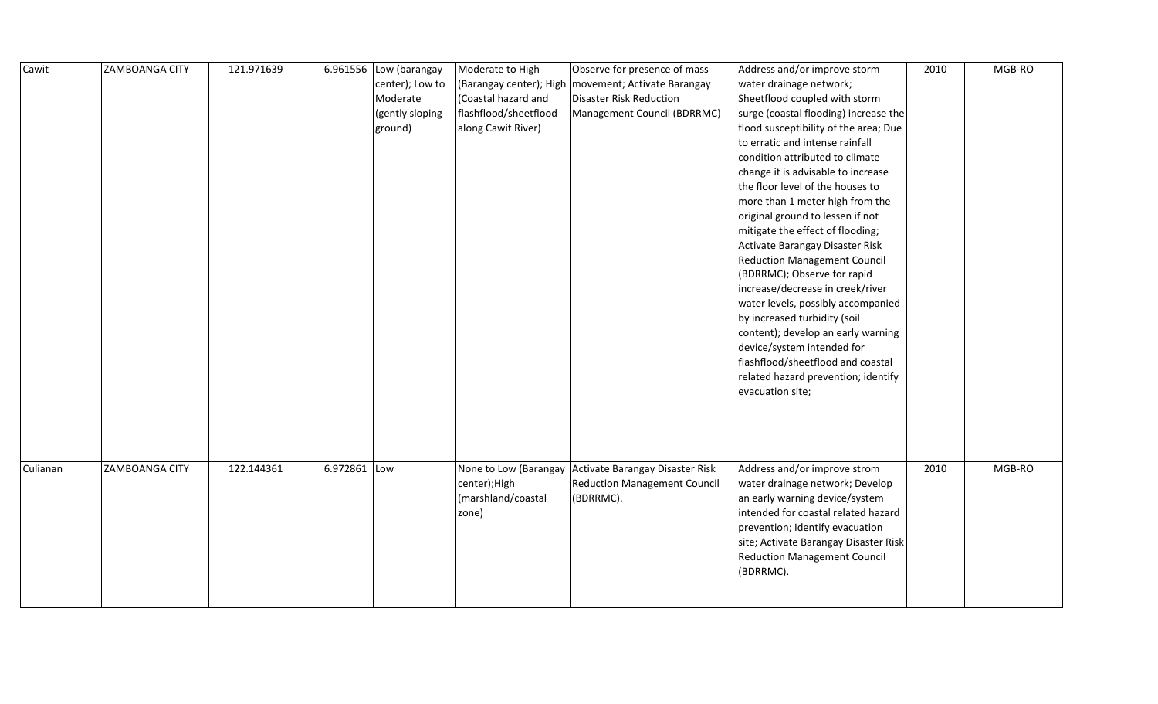| Cawit    | <b>ZAMBOANGA CITY</b> | 121.971639 |              | 6.961556 $\vert$ Low (barangay<br>center); Low to<br>Moderate<br>(gently sloping<br>ground) | Moderate to High<br>(Coastal hazard and<br>flashflood/sheetflood<br>along Cawit River) | Observe for presence of mass<br>(Barangay center); High   movement; Activate Barangay<br><b>Disaster Risk Reduction</b><br>Management Council (BDRRMC) | Address and/or improve storm<br>water drainage network;<br>Sheetflood coupled with storm<br>surge (coastal flooding) increase the<br>flood susceptibility of the area; Due<br>to erratic and intense rainfall<br>condition attributed to climate<br>change it is advisable to increase<br>the floor level of the houses to<br>more than 1 meter high from the<br>original ground to lessen if not<br>mitigate the effect of flooding;<br>Activate Barangay Disaster Risk<br><b>Reduction Management Council</b><br>(BDRRMC); Observe for rapid<br>increase/decrease in creek/river<br>water levels, possibly accompanied<br>by increased turbidity (soil<br>content); develop an early warning<br>device/system intended for<br>flashflood/sheetflood and coastal<br>related hazard prevention; identify<br>evacuation site; | 2010 | MGB-RO |
|----------|-----------------------|------------|--------------|---------------------------------------------------------------------------------------------|----------------------------------------------------------------------------------------|--------------------------------------------------------------------------------------------------------------------------------------------------------|------------------------------------------------------------------------------------------------------------------------------------------------------------------------------------------------------------------------------------------------------------------------------------------------------------------------------------------------------------------------------------------------------------------------------------------------------------------------------------------------------------------------------------------------------------------------------------------------------------------------------------------------------------------------------------------------------------------------------------------------------------------------------------------------------------------------------|------|--------|
| Culianan | ZAMBOANGA CITY        | 122.144361 | 6.972861 Low |                                                                                             | center); High<br>(marshland/coastal<br>zone)                                           | None to Low (Barangay Activate Barangay Disaster Risk<br><b>Reduction Management Council</b><br>(BDRRMC).                                              | Address and/or improve strom<br>water drainage network; Develop<br>an early warning device/system<br>intended for coastal related hazard<br>prevention; Identify evacuation<br>site; Activate Barangay Disaster Risk<br><b>Reduction Management Council</b><br>(BDRRMC).                                                                                                                                                                                                                                                                                                                                                                                                                                                                                                                                                     | 2010 | MGB-RO |
|          |                       |            |              |                                                                                             |                                                                                        |                                                                                                                                                        |                                                                                                                                                                                                                                                                                                                                                                                                                                                                                                                                                                                                                                                                                                                                                                                                                              |      |        |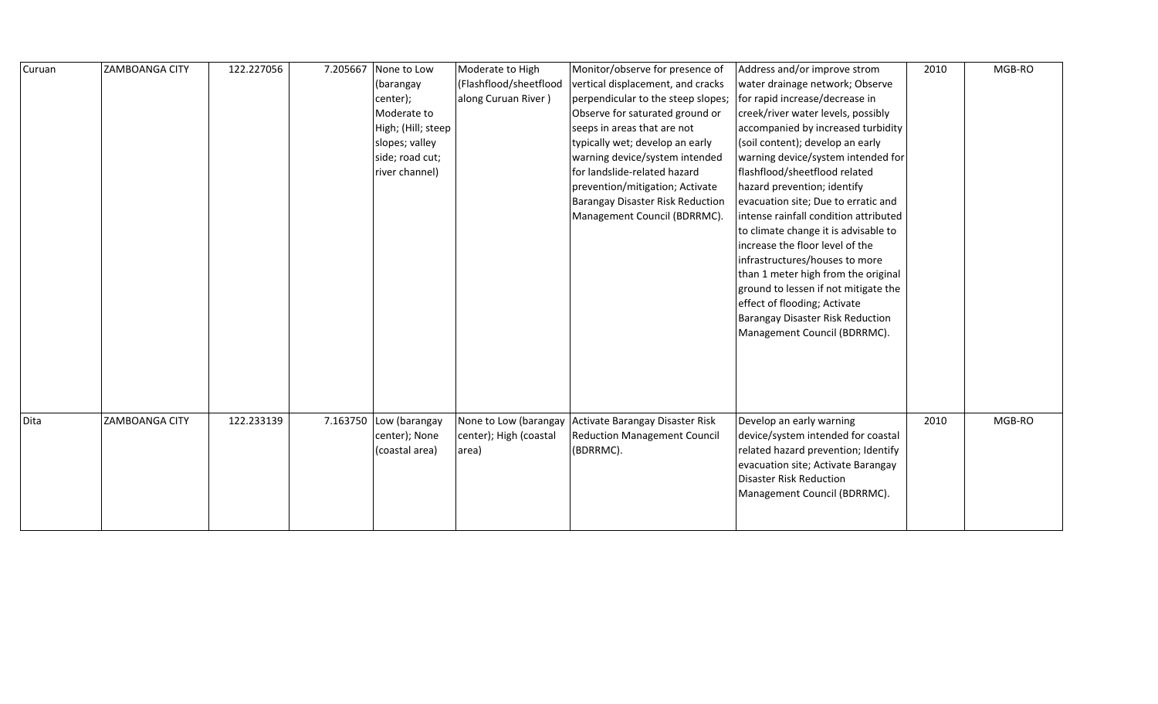| Curuan | ZAMBOANGA CITY | 122.227056 | 7.205667 | None to Low            | Moderate to High       | Monitor/observe for presence of         | Address and/or improve strom          | 2010 | MGB-RO |
|--------|----------------|------------|----------|------------------------|------------------------|-----------------------------------------|---------------------------------------|------|--------|
|        |                |            |          | (barangay              | (Flashflood/sheetflood | vertical displacement, and cracks       | water drainage network; Observe       |      |        |
|        |                |            |          | center);               | along Curuan River)    | perpendicular to the steep slopes;      | for rapid increase/decrease in        |      |        |
|        |                |            |          | Moderate to            |                        | Observe for saturated ground or         | creek/river water levels, possibly    |      |        |
|        |                |            |          | High; (Hill; steep     |                        | seeps in areas that are not             | accompanied by increased turbidity    |      |        |
|        |                |            |          | slopes; valley         |                        | typically wet; develop an early         | (soil content); develop an early      |      |        |
|        |                |            |          | side; road cut;        |                        | warning device/system intended          | warning device/system intended for    |      |        |
|        |                |            |          | river channel)         |                        | for landslide-related hazard            | flashflood/sheetflood related         |      |        |
|        |                |            |          |                        |                        | prevention/mitigation; Activate         | hazard prevention; identify           |      |        |
|        |                |            |          |                        |                        | <b>Barangay Disaster Risk Reduction</b> | evacuation site; Due to erratic and   |      |        |
|        |                |            |          |                        |                        | Management Council (BDRRMC).            | intense rainfall condition attributed |      |        |
|        |                |            |          |                        |                        |                                         | to climate change it is advisable to  |      |        |
|        |                |            |          |                        |                        |                                         | increase the floor level of the       |      |        |
|        |                |            |          |                        |                        |                                         | infrastructures/houses to more        |      |        |
|        |                |            |          |                        |                        |                                         | than 1 meter high from the original   |      |        |
|        |                |            |          |                        |                        |                                         | ground to lessen if not mitigate the  |      |        |
|        |                |            |          |                        |                        |                                         | effect of flooding; Activate          |      |        |
|        |                |            |          |                        |                        |                                         | Barangay Disaster Risk Reduction      |      |        |
|        |                |            |          |                        |                        |                                         | Management Council (BDRRMC).          |      |        |
|        |                |            |          |                        |                        |                                         |                                       |      |        |
|        |                |            |          |                        |                        |                                         |                                       |      |        |
|        |                |            |          |                        |                        |                                         |                                       |      |        |
|        |                |            |          |                        |                        |                                         |                                       |      |        |
|        |                |            |          |                        |                        |                                         |                                       |      |        |
| Dita   | ZAMBOANGA CITY | 122.233139 |          | 7.163750 Low (barangay | None to Low (barangay  | Activate Barangay Disaster Risk         | Develop an early warning              | 2010 | MGB-RO |
|        |                |            |          | center); None          | center); High (coastal | <b>Reduction Management Council</b>     | device/system intended for coastal    |      |        |
|        |                |            |          | (coastal area)         | area)                  | (BDRRMC).                               | related hazard prevention; Identify   |      |        |
|        |                |            |          |                        |                        |                                         | evacuation site; Activate Barangay    |      |        |
|        |                |            |          |                        |                        |                                         | Disaster Risk Reduction               |      |        |
|        |                |            |          |                        |                        |                                         | Management Council (BDRRMC).          |      |        |
|        |                |            |          |                        |                        |                                         |                                       |      |        |
|        |                |            |          |                        |                        |                                         |                                       |      |        |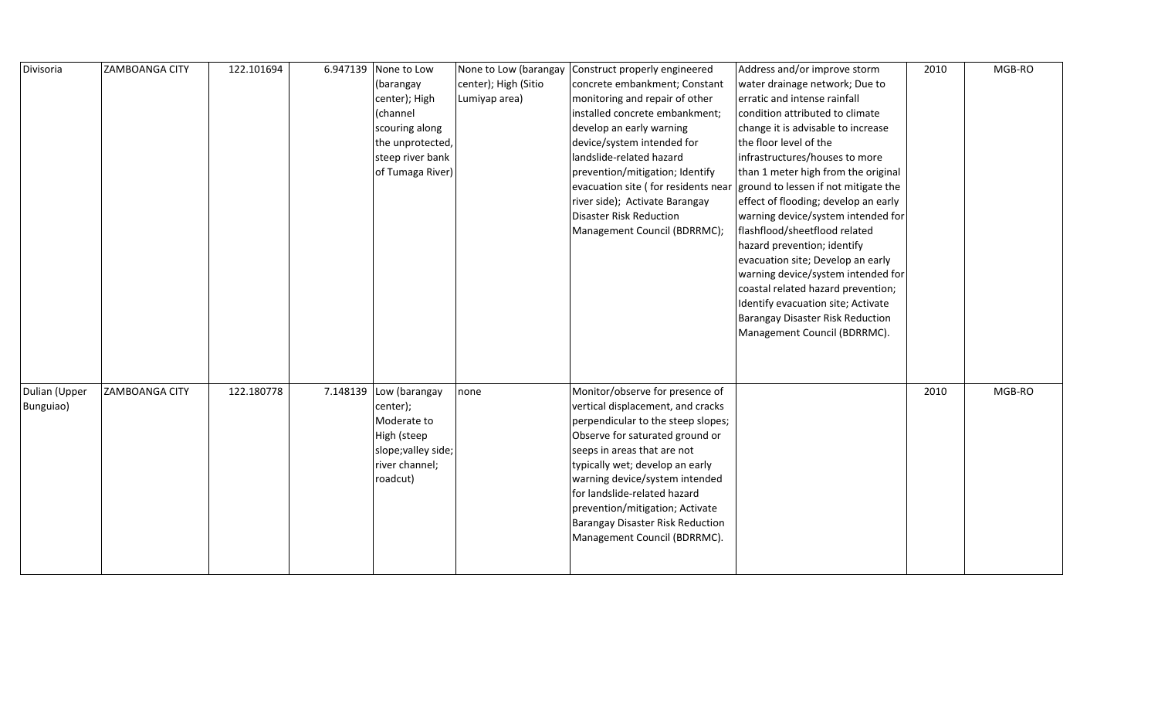| Divisoria     | <b>ZAMBOANGA CITY</b> | 122.101694 | 6.947139 | None to Low         | None to Low (barangay | Construct properly engineered       | Address and/or improve storm         | 2010 | MGB-RO |
|---------------|-----------------------|------------|----------|---------------------|-----------------------|-------------------------------------|--------------------------------------|------|--------|
|               |                       |            |          | (barangay           | center); High (Sitio  | concrete embankment; Constant       | water drainage network; Due to       |      |        |
|               |                       |            |          | center); High       | Lumiyap area)         | monitoring and repair of other      | erratic and intense rainfall         |      |        |
|               |                       |            |          | (channel            |                       | installed concrete embankment;      | condition attributed to climate      |      |        |
|               |                       |            |          | scouring along      |                       | develop an early warning            | change it is advisable to increase   |      |        |
|               |                       |            |          | the unprotected,    |                       | device/system intended for          | the floor level of the               |      |        |
|               |                       |            |          | steep river bank    |                       | landslide-related hazard            | infrastructures/houses to more       |      |        |
|               |                       |            |          | of Tumaga River)    |                       | prevention/mitigation; Identify     | than 1 meter high from the original  |      |        |
|               |                       |            |          |                     |                       | evacuation site (for residents near | ground to lessen if not mitigate the |      |        |
|               |                       |            |          |                     |                       | river side); Activate Barangay      | effect of flooding; develop an early |      |        |
|               |                       |            |          |                     |                       | Disaster Risk Reduction             | warning device/system intended for   |      |        |
|               |                       |            |          |                     |                       | Management Council (BDRRMC);        | flashflood/sheetflood related        |      |        |
|               |                       |            |          |                     |                       |                                     | hazard prevention; identify          |      |        |
|               |                       |            |          |                     |                       |                                     | evacuation site; Develop an early    |      |        |
|               |                       |            |          |                     |                       |                                     | warning device/system intended for   |      |        |
|               |                       |            |          |                     |                       |                                     | coastal related hazard prevention;   |      |        |
|               |                       |            |          |                     |                       |                                     | Identify evacuation site; Activate   |      |        |
|               |                       |            |          |                     |                       |                                     | Barangay Disaster Risk Reduction     |      |        |
|               |                       |            |          |                     |                       |                                     | Management Council (BDRRMC).         |      |        |
|               |                       |            |          |                     |                       |                                     |                                      |      |        |
|               |                       |            |          |                     |                       |                                     |                                      |      |        |
|               |                       |            |          |                     |                       |                                     |                                      |      |        |
| Dulian (Upper | <b>ZAMBOANGA CITY</b> | 122.180778 | 7.148139 | Low (barangay       | none                  | Monitor/observe for presence of     |                                      | 2010 | MGB-RO |
| Bunguiao)     |                       |            |          | center);            |                       | vertical displacement, and cracks   |                                      |      |        |
|               |                       |            |          | Moderate to         |                       | perpendicular to the steep slopes;  |                                      |      |        |
|               |                       |            |          | High (steep         |                       | Observe for saturated ground or     |                                      |      |        |
|               |                       |            |          | slope; valley side; |                       | seeps in areas that are not         |                                      |      |        |
|               |                       |            |          | river channel;      |                       | typically wet; develop an early     |                                      |      |        |
|               |                       |            |          | roadcut)            |                       | warning device/system intended      |                                      |      |        |
|               |                       |            |          |                     |                       | for landslide-related hazard        |                                      |      |        |
|               |                       |            |          |                     |                       | prevention/mitigation; Activate     |                                      |      |        |
|               |                       |            |          |                     |                       | Barangay Disaster Risk Reduction    |                                      |      |        |
|               |                       |            |          |                     |                       | Management Council (BDRRMC).        |                                      |      |        |
|               |                       |            |          |                     |                       |                                     |                                      |      |        |
|               |                       |            |          |                     |                       |                                     |                                      |      |        |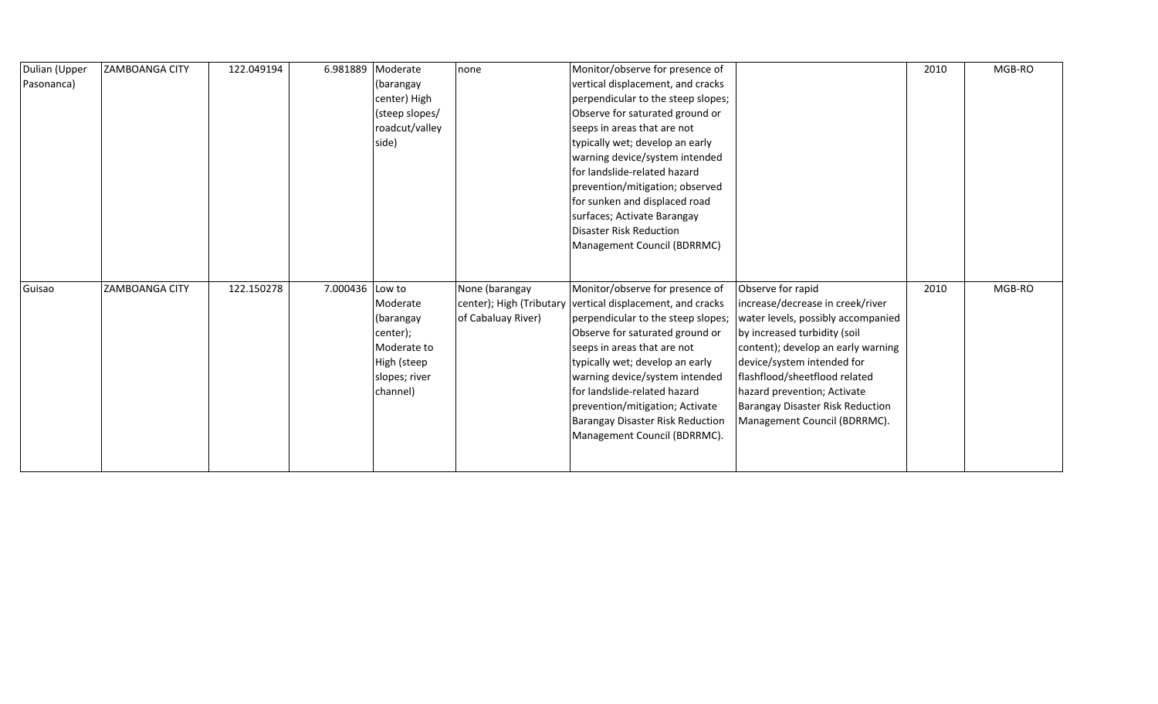| Dulian (Upper | <b>ZAMBOANGA CITY</b> | 122.049194 | 6.981889        | Moderate       | none                     | Monitor/observe for presence of    |                                    | 2010 | MGB-RO |
|---------------|-----------------------|------------|-----------------|----------------|--------------------------|------------------------------------|------------------------------------|------|--------|
| Pasonanca)    |                       |            |                 | (barangay      |                          | vertical displacement, and cracks  |                                    |      |        |
|               |                       |            |                 | center) High   |                          | perpendicular to the steep slopes; |                                    |      |        |
|               |                       |            |                 | (steep slopes/ |                          | Observe for saturated ground or    |                                    |      |        |
|               |                       |            |                 | roadcut/valley |                          | seeps in areas that are not        |                                    |      |        |
|               |                       |            |                 | side)          |                          | typically wet; develop an early    |                                    |      |        |
|               |                       |            |                 |                |                          | warning device/system intended     |                                    |      |        |
|               |                       |            |                 |                |                          | for landslide-related hazard       |                                    |      |        |
|               |                       |            |                 |                |                          | prevention/mitigation; observed    |                                    |      |        |
|               |                       |            |                 |                |                          | for sunken and displaced road      |                                    |      |        |
|               |                       |            |                 |                |                          | surfaces; Activate Barangay        |                                    |      |        |
|               |                       |            |                 |                |                          | Disaster Risk Reduction            |                                    |      |        |
|               |                       |            |                 |                |                          | Management Council (BDRRMC)        |                                    |      |        |
|               |                       |            |                 |                |                          |                                    |                                    |      |        |
|               |                       |            |                 |                |                          |                                    |                                    |      |        |
| Guisao        | ZAMBOANGA CITY        | 122.150278 | 7.000436 Low to |                | None (barangay           | Monitor/observe for presence of    | Observe for rapid                  | 2010 | MGB-RO |
|               |                       |            |                 | Moderate       | center); High (Tributary | vertical displacement, and cracks  | increase/decrease in creek/river   |      |        |
|               |                       |            |                 | (barangay      | of Cabaluay River)       | perpendicular to the steep slopes; | water levels, possibly accompanied |      |        |
|               |                       |            |                 | center);       |                          | Observe for saturated ground or    | by increased turbidity (soil       |      |        |
|               |                       |            |                 | Moderate to    |                          | seeps in areas that are not        | content); develop an early warning |      |        |
|               |                       |            |                 | High (steep    |                          | typically wet; develop an early    | device/system intended for         |      |        |
|               |                       |            |                 | slopes; river  |                          | warning device/system intended     | flashflood/sheetflood related      |      |        |
|               |                       |            |                 | channel)       |                          | for landslide-related hazard       | hazard prevention; Activate        |      |        |
|               |                       |            |                 |                |                          | prevention/mitigation; Activate    | Barangay Disaster Risk Reduction   |      |        |
|               |                       |            |                 |                |                          | Barangay Disaster Risk Reduction   | Management Council (BDRRMC).       |      |        |
|               |                       |            |                 |                |                          |                                    |                                    |      |        |
|               |                       |            |                 |                |                          | Management Council (BDRRMC).       |                                    |      |        |
|               |                       |            |                 |                |                          |                                    |                                    |      |        |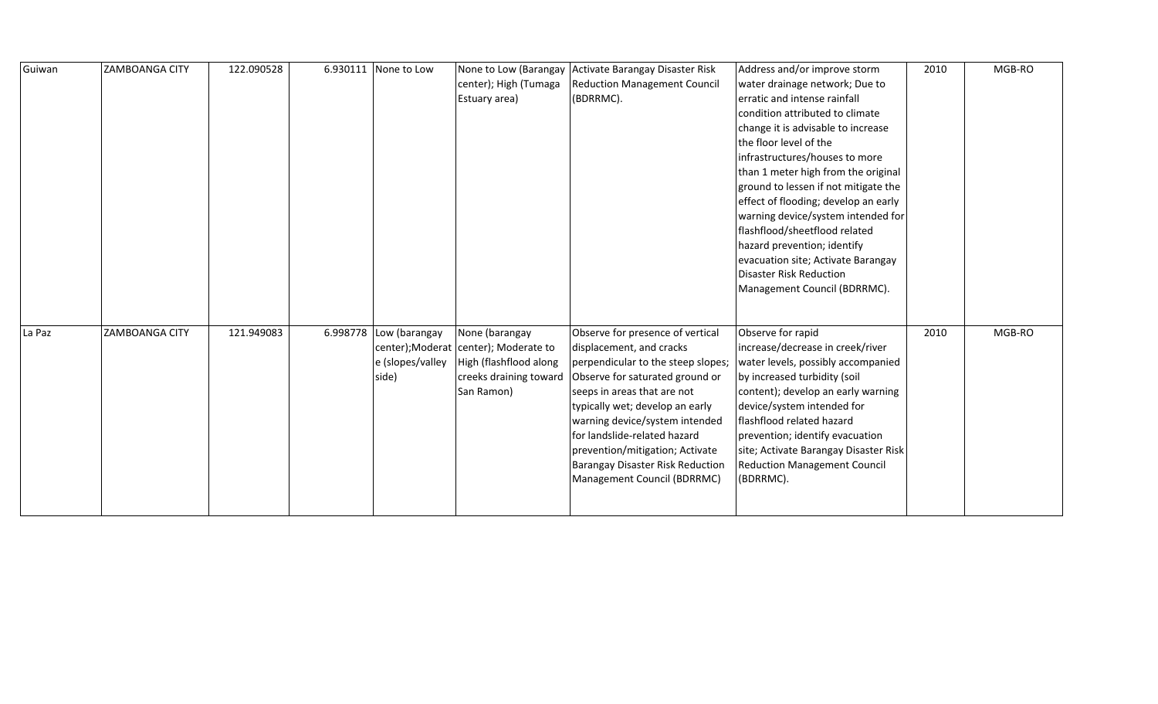| Guiwan | <b>ZAMBOANGA CITY</b> | 122.090528 | 6.930111 None to Low                                | center); High (Tumaga<br>Estuary area)                                                                                    | None to Low (Barangay Activate Barangay Disaster Risk<br><b>Reduction Management Council</b><br>(BDRRMC).                                                                                                                                                                                                                                                                              | Address and/or improve storm<br>water drainage network; Due to<br>erratic and intense rainfall<br>condition attributed to climate<br>change it is advisable to increase<br>the floor level of the<br>infrastructures/houses to more<br>than 1 meter high from the original<br>ground to lessen if not mitigate the<br>effect of flooding; develop an early<br>warning device/system intended for<br>flashflood/sheetflood related<br>hazard prevention; identify<br>evacuation site; Activate Barangay<br><b>Disaster Risk Reduction</b><br>Management Council (BDRRMC). | 2010 | MGB-RO |
|--------|-----------------------|------------|-----------------------------------------------------|---------------------------------------------------------------------------------------------------------------------------|----------------------------------------------------------------------------------------------------------------------------------------------------------------------------------------------------------------------------------------------------------------------------------------------------------------------------------------------------------------------------------------|--------------------------------------------------------------------------------------------------------------------------------------------------------------------------------------------------------------------------------------------------------------------------------------------------------------------------------------------------------------------------------------------------------------------------------------------------------------------------------------------------------------------------------------------------------------------------|------|--------|
| La Paz | <b>ZAMBOANGA CITY</b> | 121.949083 | 6.998778 Low (barangay<br>e (slopes/valley<br>side) | None (barangay<br>center); Moderat center); Moderate to<br>High (flashflood along<br>creeks draining toward<br>San Ramon) | Observe for presence of vertical<br>displacement, and cracks<br>perpendicular to the steep slopes;<br>Observe for saturated ground or<br>seeps in areas that are not<br>typically wet; develop an early<br>warning device/system intended<br>for landslide-related hazard<br>prevention/mitigation; Activate<br><b>Barangay Disaster Risk Reduction</b><br>Management Council (BDRRMC) | Observe for rapid<br>increase/decrease in creek/river<br>water levels, possibly accompanied<br>by increased turbidity (soil<br>content); develop an early warning<br>device/system intended for<br>flashflood related hazard<br>prevention; identify evacuation<br>site; Activate Barangay Disaster Risk<br><b>Reduction Management Council</b><br>(BDRRMC).                                                                                                                                                                                                             | 2010 | MGB-RO |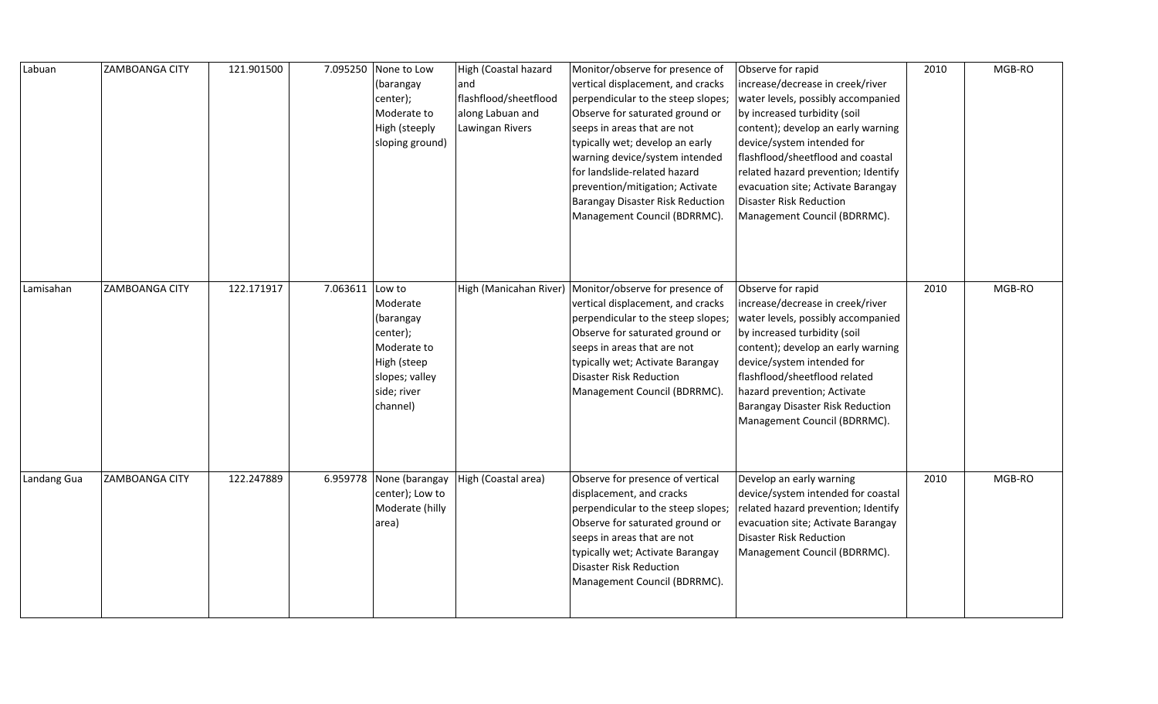| Labuan      | <b>ZAMBOANGA CITY</b> | 121.901500 | 7.095250        | None to Low<br>(barangay<br>center);<br>Moderate to<br>High (steeply<br>sloping ground)                      | High (Coastal hazard<br>and<br>flashflood/sheetflood<br>along Labuan and<br>Lawingan Rivers | Monitor/observe for presence of<br>vertical displacement, and cracks<br>perpendicular to the steep slopes;<br>Observe for saturated ground or<br>seeps in areas that are not<br>typically wet; develop an early<br>warning device/system intended<br>for landslide-related hazard<br>prevention/mitigation; Activate<br><b>Barangay Disaster Risk Reduction</b><br>Management Council (BDRRMC). | Observe for rapid<br>increase/decrease in creek/river<br>water levels, possibly accompanied<br>by increased turbidity (soil<br>content); develop an early warning<br>device/system intended for<br>flashflood/sheetflood and coastal<br>related hazard prevention; Identify<br>evacuation site; Activate Barangay<br>Disaster Risk Reduction<br>Management Council (BDRRMC). | 2010 | MGB-RO |
|-------------|-----------------------|------------|-----------------|--------------------------------------------------------------------------------------------------------------|---------------------------------------------------------------------------------------------|-------------------------------------------------------------------------------------------------------------------------------------------------------------------------------------------------------------------------------------------------------------------------------------------------------------------------------------------------------------------------------------------------|------------------------------------------------------------------------------------------------------------------------------------------------------------------------------------------------------------------------------------------------------------------------------------------------------------------------------------------------------------------------------|------|--------|
| Lamisahan   | <b>ZAMBOANGA CITY</b> | 122.171917 | 7.063611 Low to | Moderate<br>(barangay<br>center);<br>Moderate to<br>High (steep<br>slopes; valley<br>side; river<br>channel) |                                                                                             | High (Manicahan River) Monitor/observe for presence of<br>vertical displacement, and cracks<br>perpendicular to the steep slopes;<br>Observe for saturated ground or<br>seeps in areas that are not<br>typically wet; Activate Barangay<br><b>Disaster Risk Reduction</b><br>Management Council (BDRRMC).                                                                                       | Observe for rapid<br>increase/decrease in creek/river<br>water levels, possibly accompanied<br>by increased turbidity (soil<br>content); develop an early warning<br>device/system intended for<br>flashflood/sheetflood related<br>hazard prevention; Activate<br>Barangay Disaster Risk Reduction<br>Management Council (BDRRMC).                                          | 2010 | MGB-RO |
| Landang Gua | <b>ZAMBOANGA CITY</b> | 122.247889 | 6.959778        | None (barangay<br>center); Low to<br>Moderate (hilly<br>area)                                                | High (Coastal area)                                                                         | Observe for presence of vertical<br>displacement, and cracks<br>perpendicular to the steep slopes;<br>Observe for saturated ground or<br>seeps in areas that are not<br>typically wet; Activate Barangay<br><b>Disaster Risk Reduction</b><br>Management Council (BDRRMC).                                                                                                                      | Develop an early warning<br>device/system intended for coastal<br>related hazard prevention; Identify<br>evacuation site; Activate Barangay<br>Disaster Risk Reduction<br>Management Council (BDRRMC).                                                                                                                                                                       | 2010 | MGB-RO |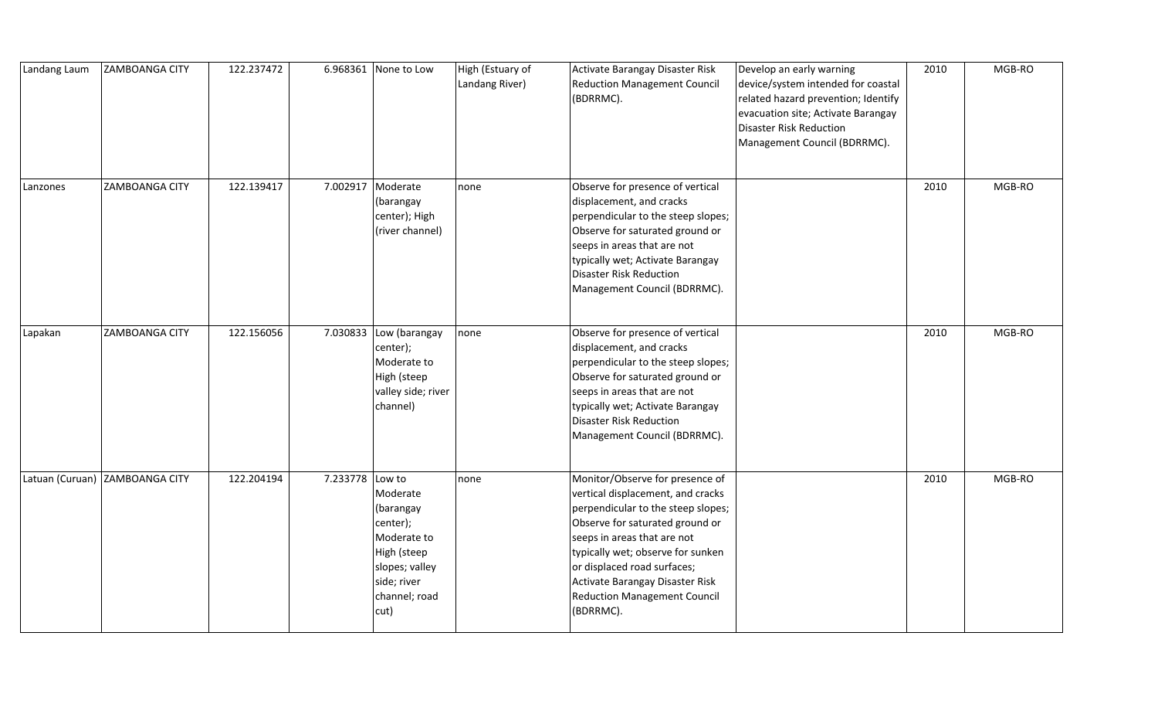| Landang Laum | <b>ZAMBOANGA CITY</b>          | 122.237472 |                 | 6.968361 None to Low                                                                                                      | High (Estuary of<br>Landang River) | Activate Barangay Disaster Risk<br><b>Reduction Management Council</b><br>(BDRRMC).                                                                                                                                                                                                                                              | Develop an early warning<br>device/system intended for coastal<br>related hazard prevention; Identify<br>evacuation site; Activate Barangay<br><b>Disaster Risk Reduction</b><br>Management Council (BDRRMC). | 2010 | MGB-RO |
|--------------|--------------------------------|------------|-----------------|---------------------------------------------------------------------------------------------------------------------------|------------------------------------|----------------------------------------------------------------------------------------------------------------------------------------------------------------------------------------------------------------------------------------------------------------------------------------------------------------------------------|---------------------------------------------------------------------------------------------------------------------------------------------------------------------------------------------------------------|------|--------|
| Lanzones     | <b>ZAMBOANGA CITY</b>          | 122.139417 | 7.002917        | Moderate<br>(barangay<br>center); High<br>(river channel)                                                                 | none                               | Observe for presence of vertical<br>displacement, and cracks<br>perpendicular to the steep slopes;<br>Observe for saturated ground or<br>seeps in areas that are not<br>typically wet; Activate Barangay<br>Disaster Risk Reduction<br>Management Council (BDRRMC).                                                              |                                                                                                                                                                                                               | 2010 | MGB-RO |
| Lapakan      | <b>ZAMBOANGA CITY</b>          | 122.156056 |                 | 7.030833 Low (barangay<br>center);<br>Moderate to<br>High (steep<br>valley side; river<br>channel)                        | none                               | Observe for presence of vertical<br>displacement, and cracks<br>perpendicular to the steep slopes;<br>Observe for saturated ground or<br>seeps in areas that are not<br>typically wet; Activate Barangay<br>Disaster Risk Reduction<br>Management Council (BDRRMC).                                                              |                                                                                                                                                                                                               | 2010 | MGB-RO |
|              | Latuan (Curuan) ZAMBOANGA CITY | 122.204194 | 7.233778 Low to | Moderate<br>(barangay<br>center);<br>Moderate to<br>High (steep<br>slopes; valley<br>side; river<br>channel; road<br>cut) | none                               | Monitor/Observe for presence of<br>vertical displacement, and cracks<br>perpendicular to the steep slopes;<br>Observe for saturated ground or<br>seeps in areas that are not<br>typically wet; observe for sunken<br>or displaced road surfaces;<br>Activate Barangay Disaster Risk<br>Reduction Management Council<br>(BDRRMC). |                                                                                                                                                                                                               | 2010 | MGB-RO |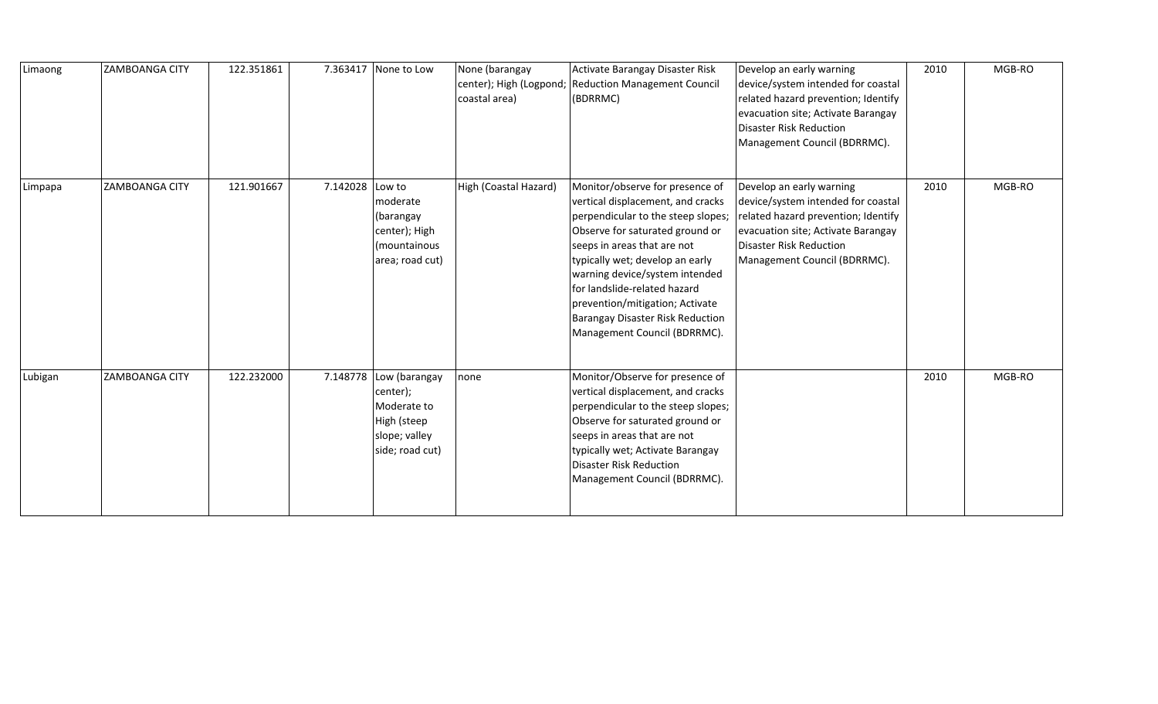| Limaong | <b>ZAMBOANGA CITY</b> | 122.351861 | 7.363417 | None to Low                                                                                 | None (barangay<br>center); High (Logpond;<br>coastal area) | Activate Barangay Disaster Risk<br><b>Reduction Management Council</b><br>(BDRRMC)                                                                                                                                                                                                                                                                                                              | Develop an early warning<br>device/system intended for coastal<br>related hazard prevention; Identify<br>evacuation site; Activate Barangay<br><b>Disaster Risk Reduction</b><br>Management Council (BDRRMC). | 2010 | MGB-RO |
|---------|-----------------------|------------|----------|---------------------------------------------------------------------------------------------|------------------------------------------------------------|-------------------------------------------------------------------------------------------------------------------------------------------------------------------------------------------------------------------------------------------------------------------------------------------------------------------------------------------------------------------------------------------------|---------------------------------------------------------------------------------------------------------------------------------------------------------------------------------------------------------------|------|--------|
| Limpapa | <b>ZAMBOANGA CITY</b> | 121.901667 | 7.142028 | Low to<br>moderate<br>(barangay<br>center); High<br>(mountainous<br>area; road cut)         | High (Coastal Hazard)                                      | Monitor/observe for presence of<br>vertical displacement, and cracks<br>perpendicular to the steep slopes;<br>Observe for saturated ground or<br>seeps in areas that are not<br>typically wet; develop an early<br>warning device/system intended<br>for landslide-related hazard<br>prevention/mitigation; Activate<br><b>Barangay Disaster Risk Reduction</b><br>Management Council (BDRRMC). | Develop an early warning<br>device/system intended for coastal<br>related hazard prevention; Identify<br>evacuation site; Activate Barangay<br><b>Disaster Risk Reduction</b><br>Management Council (BDRRMC). | 2010 | MGB-RO |
| Lubigan | <b>ZAMBOANGA CITY</b> | 122.232000 | 7.148778 | Low (barangay<br>center);<br>Moderate to<br>High (steep<br>slope; valley<br>side; road cut) | none                                                       | Monitor/Observe for presence of<br>vertical displacement, and cracks<br>perpendicular to the steep slopes;<br>Observe for saturated ground or<br>seeps in areas that are not<br>typically wet; Activate Barangay<br><b>Disaster Risk Reduction</b><br>Management Council (BDRRMC).                                                                                                              |                                                                                                                                                                                                               | 2010 | MGB-RO |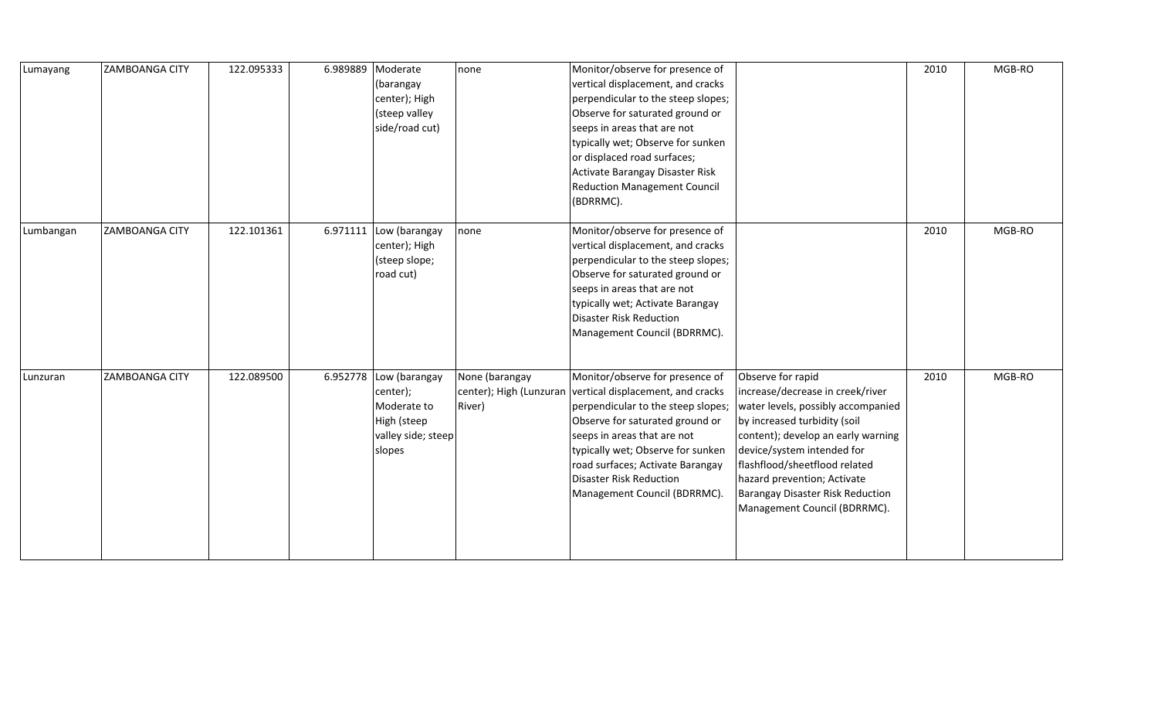| Lumayang  | <b>ZAMBOANGA CITY</b> | 122.095333 | 6.989889 | Moderate<br>(barangay<br>center); High<br>(steep valley<br>side/road cut)                                | none                                                | Monitor/observe for presence of<br>vertical displacement, and cracks<br>perpendicular to the steep slopes;<br>Observe for saturated ground or<br>seeps in areas that are not<br>typically wet; Observe for sunken<br>or displaced road surfaces;<br>Activate Barangay Disaster Risk<br><b>Reduction Management Council</b><br>(BDRRMC). |                                                                                                                                                                                                                                                                                                                                            | 2010 | MGB-RO |
|-----------|-----------------------|------------|----------|----------------------------------------------------------------------------------------------------------|-----------------------------------------------------|-----------------------------------------------------------------------------------------------------------------------------------------------------------------------------------------------------------------------------------------------------------------------------------------------------------------------------------------|--------------------------------------------------------------------------------------------------------------------------------------------------------------------------------------------------------------------------------------------------------------------------------------------------------------------------------------------|------|--------|
| Lumbangan | <b>ZAMBOANGA CITY</b> | 122.101361 | 6.971111 | Low (barangay<br>center); High<br>(steep slope;<br>road cut)                                             | none                                                | Monitor/observe for presence of<br>vertical displacement, and cracks<br>perpendicular to the steep slopes;<br>Observe for saturated ground or<br>seeps in areas that are not<br>typically wet; Activate Barangay<br>Disaster Risk Reduction<br>Management Council (BDRRMC).                                                             |                                                                                                                                                                                                                                                                                                                                            | 2010 | MGB-RO |
| Lunzuran  | <b>ZAMBOANGA CITY</b> | 122.089500 |          | 6.952778 $\vert$ Low (barangay<br>center);<br>Moderate to<br>High (steep<br>valley side; steep<br>slopes | None (barangay<br>center); High (Lunzuran<br>River) | Monitor/observe for presence of<br>vertical displacement, and cracks<br>perpendicular to the steep slopes;<br>Observe for saturated ground or<br>seeps in areas that are not<br>typically wet; Observe for sunken<br>road surfaces; Activate Barangay<br>Disaster Risk Reduction<br>Management Council (BDRRMC).                        | Observe for rapid<br>increase/decrease in creek/river<br>water levels, possibly accompanied<br>by increased turbidity (soil<br>content); develop an early warning<br>device/system intended for<br>flashflood/sheetflood related<br>hazard prevention; Activate<br><b>Barangay Disaster Risk Reduction</b><br>Management Council (BDRRMC). | 2010 | MGB-RO |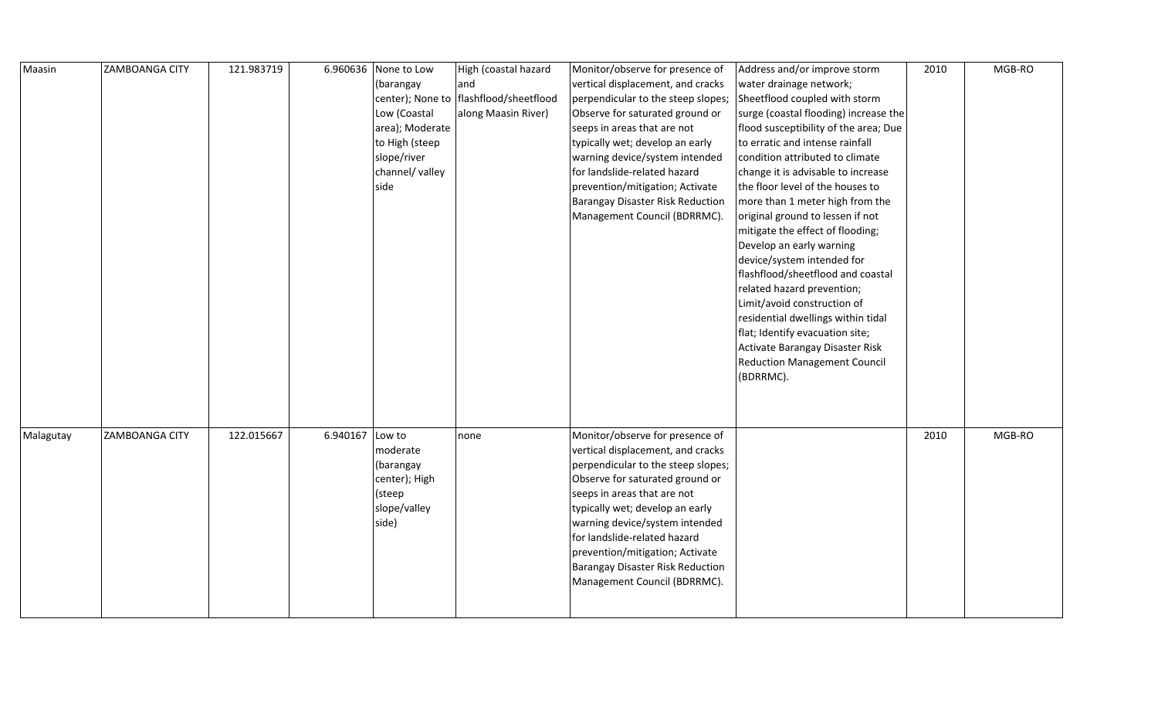| Maasin    | ZAMBOANGA CITY | 121.983719 |          | 6.960636 None to Low | High (coastal hazard                     | Monitor/observe for presence of         | Address and/or improve storm          | 2010 | MGB-RO |
|-----------|----------------|------------|----------|----------------------|------------------------------------------|-----------------------------------------|---------------------------------------|------|--------|
|           |                |            |          | (barangay            | and                                      | vertical displacement, and cracks       | water drainage network;               |      |        |
|           |                |            |          |                      | center); None to   flashflood/sheetflood | perpendicular to the steep slopes;      | Sheetflood coupled with storm         |      |        |
|           |                |            |          | Low (Coastal         | along Maasin River)                      | Observe for saturated ground or         | surge (coastal flooding) increase the |      |        |
|           |                |            |          | area); Moderate      |                                          | seeps in areas that are not             | flood susceptibility of the area; Due |      |        |
|           |                |            |          | to High (steep       |                                          | typically wet; develop an early         | to erratic and intense rainfall       |      |        |
|           |                |            |          | slope/river          |                                          | warning device/system intended          | condition attributed to climate       |      |        |
|           |                |            |          | channel/ valley      |                                          | for landslide-related hazard            | change it is advisable to increase    |      |        |
|           |                |            |          | side                 |                                          | prevention/mitigation; Activate         | the floor level of the houses to      |      |        |
|           |                |            |          |                      |                                          | <b>Barangay Disaster Risk Reduction</b> | more than 1 meter high from the       |      |        |
|           |                |            |          |                      |                                          | Management Council (BDRRMC).            | original ground to lessen if not      |      |        |
|           |                |            |          |                      |                                          |                                         | mitigate the effect of flooding;      |      |        |
|           |                |            |          |                      |                                          |                                         | Develop an early warning              |      |        |
|           |                |            |          |                      |                                          |                                         | device/system intended for            |      |        |
|           |                |            |          |                      |                                          |                                         | flashflood/sheetflood and coastal     |      |        |
|           |                |            |          |                      |                                          |                                         | related hazard prevention;            |      |        |
|           |                |            |          |                      |                                          |                                         | Limit/avoid construction of           |      |        |
|           |                |            |          |                      |                                          |                                         | residential dwellings within tidal    |      |        |
|           |                |            |          |                      |                                          |                                         | flat; Identify evacuation site;       |      |        |
|           |                |            |          |                      |                                          |                                         | Activate Barangay Disaster Risk       |      |        |
|           |                |            |          |                      |                                          |                                         | <b>Reduction Management Council</b>   |      |        |
|           |                |            |          |                      |                                          |                                         | (BDRRMC).                             |      |        |
|           |                |            |          |                      |                                          |                                         |                                       |      |        |
|           |                |            |          |                      |                                          |                                         |                                       |      |        |
|           |                |            |          |                      |                                          |                                         |                                       |      |        |
| Malagutay | ZAMBOANGA CITY | 122.015667 | 6.940167 | Low to               | none                                     | Monitor/observe for presence of         |                                       | 2010 | MGB-RO |
|           |                |            |          | moderate             |                                          | vertical displacement, and cracks       |                                       |      |        |
|           |                |            |          | (barangay            |                                          | perpendicular to the steep slopes;      |                                       |      |        |
|           |                |            |          | center); High        |                                          | Observe for saturated ground or         |                                       |      |        |
|           |                |            |          | (steep               |                                          | seeps in areas that are not             |                                       |      |        |
|           |                |            |          | slope/valley         |                                          | typically wet; develop an early         |                                       |      |        |
|           |                |            |          | side)                |                                          | warning device/system intended          |                                       |      |        |
|           |                |            |          |                      |                                          | for landslide-related hazard            |                                       |      |        |
|           |                |            |          |                      |                                          | prevention/mitigation; Activate         |                                       |      |        |
|           |                |            |          |                      |                                          | <b>Barangay Disaster Risk Reduction</b> |                                       |      |        |
|           |                |            |          |                      |                                          | Management Council (BDRRMC).            |                                       |      |        |
|           |                |            |          |                      |                                          |                                         |                                       |      |        |
|           |                |            |          |                      |                                          |                                         |                                       |      |        |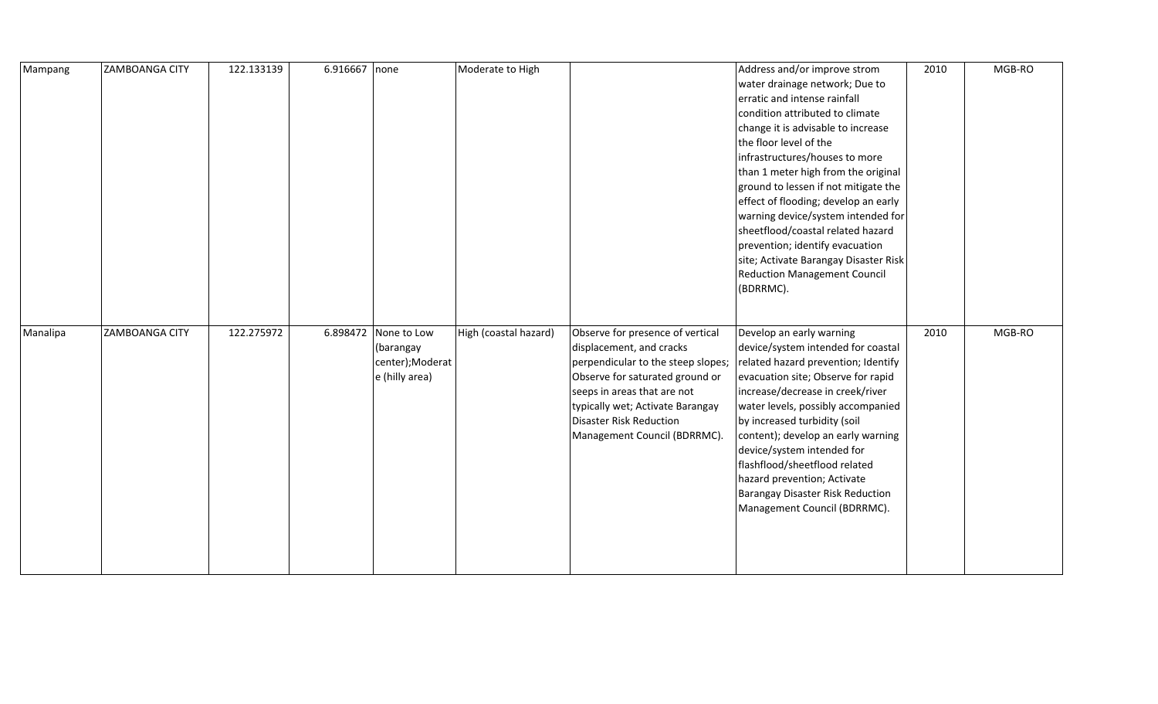| Mampang  | <b>ZAMBOANGA CITY</b> | 122.133139 | 6.916667 none |                                                                        | Moderate to High      |                                                                                                                                                                                                                                                                            | Address and/or improve strom<br>water drainage network; Due to<br>erratic and intense rainfall<br>condition attributed to climate<br>change it is advisable to increase<br>the floor level of the<br>infrastructures/houses to more<br>than 1 meter high from the original<br>ground to lessen if not mitigate the<br>effect of flooding; develop an early<br>warning device/system intended for<br>sheetflood/coastal related hazard<br>prevention; identify evacuation<br>site; Activate Barangay Disaster Risk<br><b>Reduction Management Council</b><br>(BDRRMC). | 2010 | MGB-RO |
|----------|-----------------------|------------|---------------|------------------------------------------------------------------------|-----------------------|----------------------------------------------------------------------------------------------------------------------------------------------------------------------------------------------------------------------------------------------------------------------------|-----------------------------------------------------------------------------------------------------------------------------------------------------------------------------------------------------------------------------------------------------------------------------------------------------------------------------------------------------------------------------------------------------------------------------------------------------------------------------------------------------------------------------------------------------------------------|------|--------|
| Manalipa | <b>ZAMBOANGA CITY</b> | 122.275972 |               | 6.898472 None to Low<br>(barangay<br>center);Moderat<br>e (hilly area) | High (coastal hazard) | Observe for presence of vertical<br>displacement, and cracks<br>perpendicular to the steep slopes;<br>Observe for saturated ground or<br>seeps in areas that are not<br>typically wet; Activate Barangay<br><b>Disaster Risk Reduction</b><br>Management Council (BDRRMC). | Develop an early warning<br>device/system intended for coastal<br>related hazard prevention; Identify<br>evacuation site; Observe for rapid<br>increase/decrease in creek/river<br>water levels, possibly accompanied<br>by increased turbidity (soil<br>content); develop an early warning<br>device/system intended for<br>flashflood/sheetflood related<br>hazard prevention; Activate<br>Barangay Disaster Risk Reduction<br>Management Council (BDRRMC).                                                                                                         | 2010 | MGB-RO |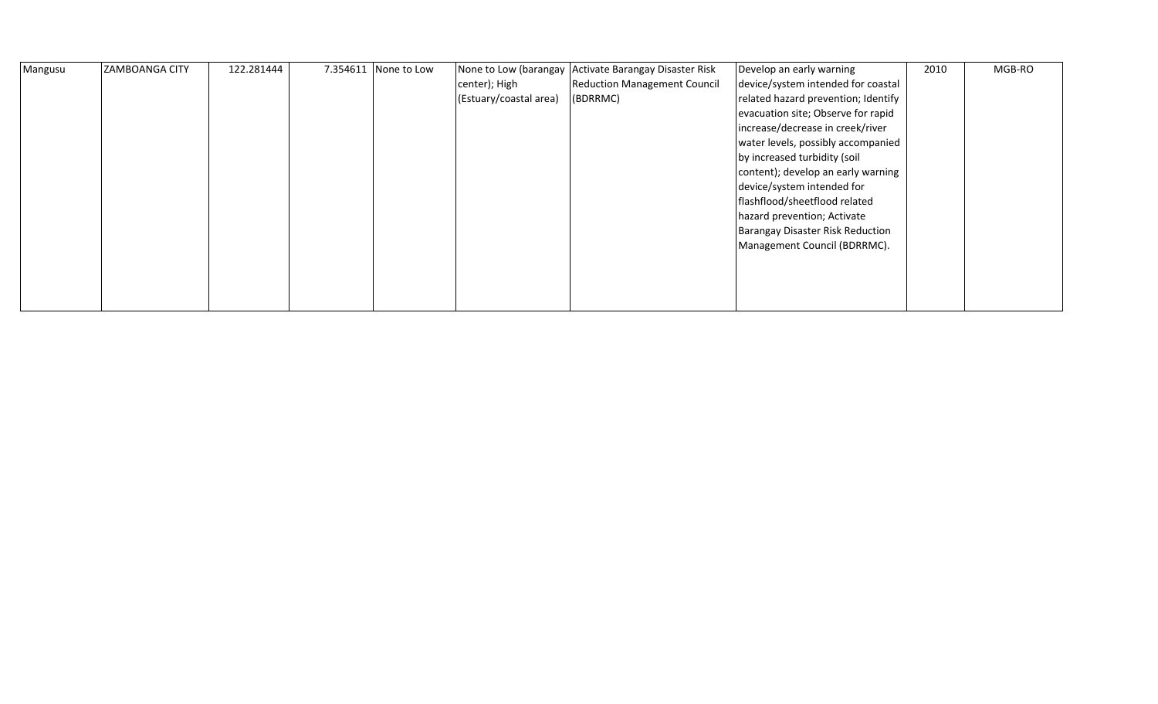| Mangusu | <b>ZAMBOANGA CITY</b> | 122.281444 | 7.354611   None to Low |                        | None to Low (barangay Activate Barangay Disaster Risk | Develop an early warning            | 2010 | MGB-RO |
|---------|-----------------------|------------|------------------------|------------------------|-------------------------------------------------------|-------------------------------------|------|--------|
|         |                       |            |                        | center); High          | <b>Reduction Management Council</b>                   | device/system intended for coastal  |      |        |
|         |                       |            |                        | (Estuary/coastal area) | (BDRRMC)                                              | related hazard prevention; Identify |      |        |
|         |                       |            |                        |                        |                                                       | evacuation site; Observe for rapid  |      |        |
|         |                       |            |                        |                        |                                                       | increase/decrease in creek/river    |      |        |
|         |                       |            |                        |                        |                                                       | water levels, possibly accompanied  |      |        |
|         |                       |            |                        |                        |                                                       | by increased turbidity (soil        |      |        |
|         |                       |            |                        |                        |                                                       | content); develop an early warning  |      |        |
|         |                       |            |                        |                        |                                                       | device/system intended for          |      |        |
|         |                       |            |                        |                        |                                                       | flashflood/sheetflood related       |      |        |
|         |                       |            |                        |                        |                                                       | hazard prevention; Activate         |      |        |
|         |                       |            |                        |                        |                                                       | Barangay Disaster Risk Reduction    |      |        |
|         |                       |            |                        |                        |                                                       | Management Council (BDRRMC).        |      |        |
|         |                       |            |                        |                        |                                                       |                                     |      |        |
|         |                       |            |                        |                        |                                                       |                                     |      |        |
|         |                       |            |                        |                        |                                                       |                                     |      |        |
|         |                       |            |                        |                        |                                                       |                                     |      |        |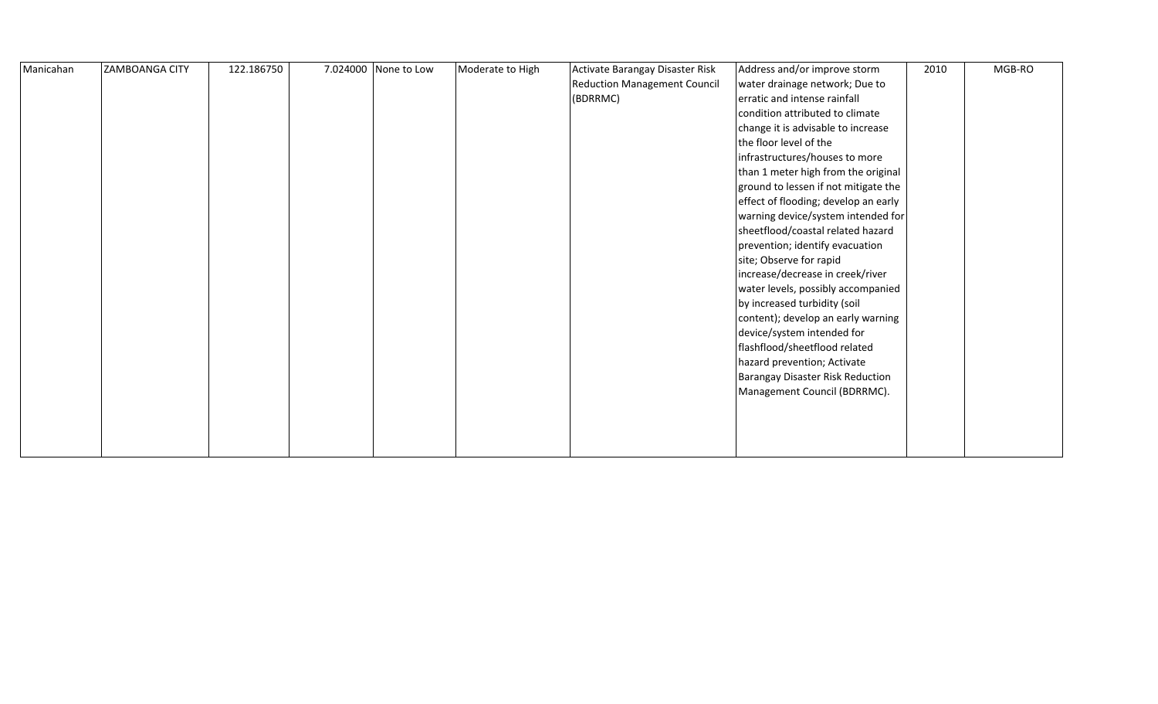| Manicahan | <b>ZAMBOANGA CITY</b> | 122.186750 | 7.024000 None to Low | Moderate to High | Activate Barangay Disaster Risk     | Address and/or improve storm         | 2010 | MGB-RO |
|-----------|-----------------------|------------|----------------------|------------------|-------------------------------------|--------------------------------------|------|--------|
|           |                       |            |                      |                  | <b>Reduction Management Council</b> | water drainage network; Due to       |      |        |
|           |                       |            |                      |                  | (BDRRMC)                            | erratic and intense rainfall         |      |        |
|           |                       |            |                      |                  |                                     | condition attributed to climate      |      |        |
|           |                       |            |                      |                  |                                     | change it is advisable to increase   |      |        |
|           |                       |            |                      |                  |                                     | the floor level of the               |      |        |
|           |                       |            |                      |                  |                                     | infrastructures/houses to more       |      |        |
|           |                       |            |                      |                  |                                     | than 1 meter high from the original  |      |        |
|           |                       |            |                      |                  |                                     | ground to lessen if not mitigate the |      |        |
|           |                       |            |                      |                  |                                     | effect of flooding; develop an early |      |        |
|           |                       |            |                      |                  |                                     | warning device/system intended for   |      |        |
|           |                       |            |                      |                  |                                     | sheetflood/coastal related hazard    |      |        |
|           |                       |            |                      |                  |                                     | prevention; identify evacuation      |      |        |
|           |                       |            |                      |                  |                                     | site; Observe for rapid              |      |        |
|           |                       |            |                      |                  |                                     | increase/decrease in creek/river     |      |        |
|           |                       |            |                      |                  |                                     | water levels, possibly accompanied   |      |        |
|           |                       |            |                      |                  |                                     | by increased turbidity (soil         |      |        |
|           |                       |            |                      |                  |                                     | content); develop an early warning   |      |        |
|           |                       |            |                      |                  |                                     | device/system intended for           |      |        |
|           |                       |            |                      |                  |                                     | flashflood/sheetflood related        |      |        |
|           |                       |            |                      |                  |                                     | hazard prevention; Activate          |      |        |
|           |                       |            |                      |                  |                                     | Barangay Disaster Risk Reduction     |      |        |
|           |                       |            |                      |                  |                                     | Management Council (BDRRMC).         |      |        |
|           |                       |            |                      |                  |                                     |                                      |      |        |
|           |                       |            |                      |                  |                                     |                                      |      |        |
|           |                       |            |                      |                  |                                     |                                      |      |        |
|           |                       |            |                      |                  |                                     |                                      |      |        |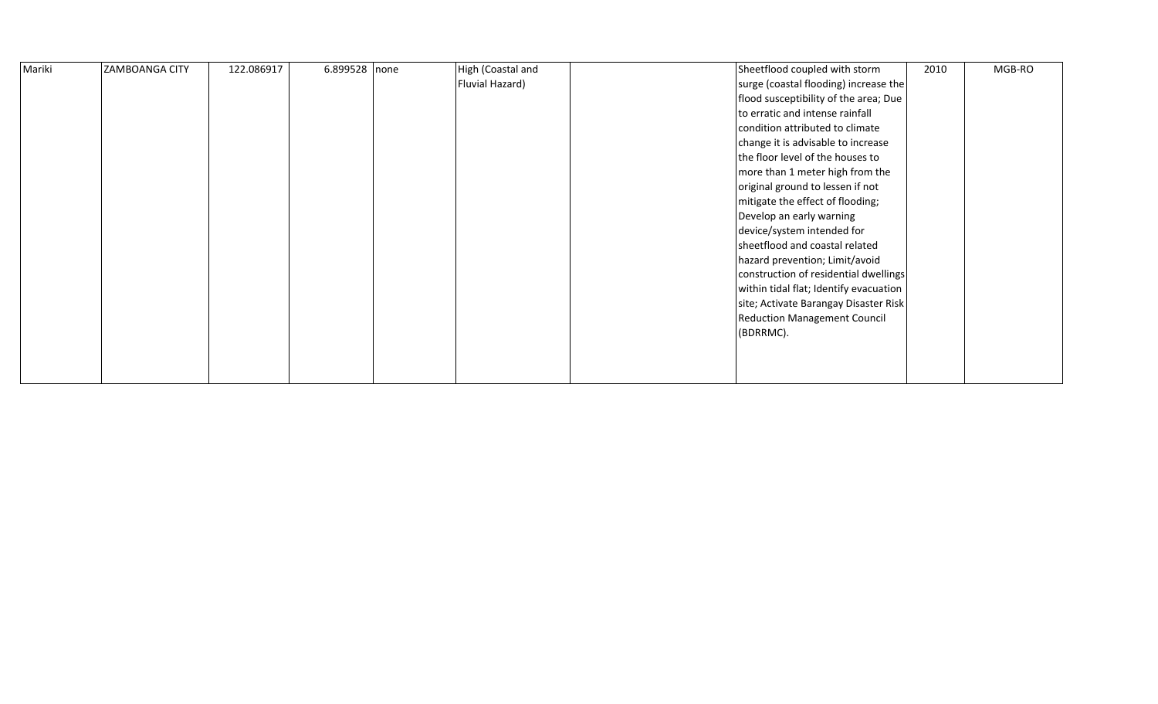| Mariki | <b>ZAMBOANGA CITY</b> | 122.086917 | $6.899528$ none | High (Coastal and | Sheetflood coupled with storm          | 2010 | MGB-RO |
|--------|-----------------------|------------|-----------------|-------------------|----------------------------------------|------|--------|
|        |                       |            |                 | Fluvial Hazard)   | surge (coastal flooding) increase the  |      |        |
|        |                       |            |                 |                   | flood susceptibility of the area; Due  |      |        |
|        |                       |            |                 |                   | to erratic and intense rainfall        |      |        |
|        |                       |            |                 |                   | condition attributed to climate        |      |        |
|        |                       |            |                 |                   | change it is advisable to increase     |      |        |
|        |                       |            |                 |                   | the floor level of the houses to       |      |        |
|        |                       |            |                 |                   | more than 1 meter high from the        |      |        |
|        |                       |            |                 |                   | original ground to lessen if not       |      |        |
|        |                       |            |                 |                   | mitigate the effect of flooding;       |      |        |
|        |                       |            |                 |                   | Develop an early warning               |      |        |
|        |                       |            |                 |                   | device/system intended for             |      |        |
|        |                       |            |                 |                   | sheetflood and coastal related         |      |        |
|        |                       |            |                 |                   | hazard prevention; Limit/avoid         |      |        |
|        |                       |            |                 |                   | construction of residential dwellings  |      |        |
|        |                       |            |                 |                   | within tidal flat; Identify evacuation |      |        |
|        |                       |            |                 |                   | site; Activate Barangay Disaster Risk  |      |        |
|        |                       |            |                 |                   | <b>Reduction Management Council</b>    |      |        |
|        |                       |            |                 |                   | (BDRRMC).                              |      |        |
|        |                       |            |                 |                   |                                        |      |        |
|        |                       |            |                 |                   |                                        |      |        |
|        |                       |            |                 |                   |                                        |      |        |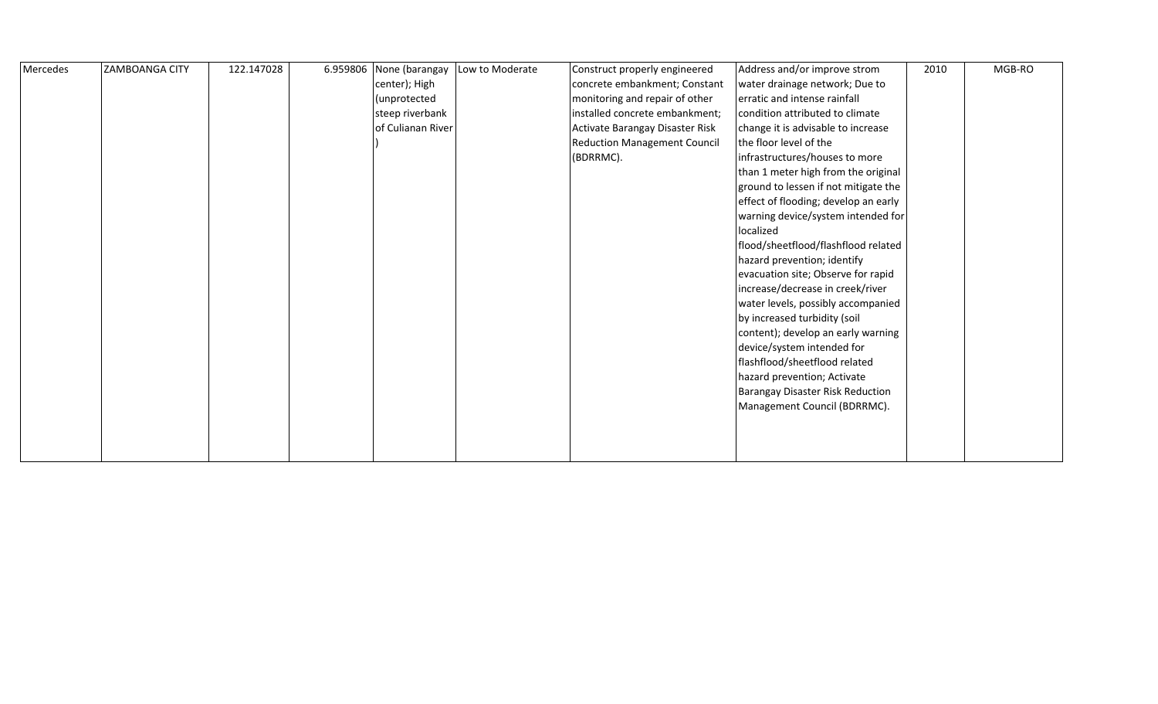| Mercedes | <b>ZAMBOANGA CITY</b> | 122.147028 | 6.959806 | None (barangay    | Low to Moderate | Construct properly engineered       | Address and/or improve strom         | 2010 | MGB-RO |
|----------|-----------------------|------------|----------|-------------------|-----------------|-------------------------------------|--------------------------------------|------|--------|
|          |                       |            |          | center); High     |                 | concrete embankment; Constant       | water drainage network; Due to       |      |        |
|          |                       |            |          | (unprotected      |                 | monitoring and repair of other      | erratic and intense rainfall         |      |        |
|          |                       |            |          | steep riverbank   |                 | installed concrete embankment;      | condition attributed to climate      |      |        |
|          |                       |            |          | of Culianan River |                 | Activate Barangay Disaster Risk     | change it is advisable to increase   |      |        |
|          |                       |            |          |                   |                 | <b>Reduction Management Council</b> | the floor level of the               |      |        |
|          |                       |            |          |                   |                 | (BDRRMC).                           | infrastructures/houses to more       |      |        |
|          |                       |            |          |                   |                 |                                     | than 1 meter high from the original  |      |        |
|          |                       |            |          |                   |                 |                                     | ground to lessen if not mitigate the |      |        |
|          |                       |            |          |                   |                 |                                     | effect of flooding; develop an early |      |        |
|          |                       |            |          |                   |                 |                                     | warning device/system intended for   |      |        |
|          |                       |            |          |                   |                 |                                     | localized                            |      |        |
|          |                       |            |          |                   |                 |                                     | flood/sheetflood/flashflood related  |      |        |
|          |                       |            |          |                   |                 |                                     | hazard prevention; identify          |      |        |
|          |                       |            |          |                   |                 |                                     | evacuation site; Observe for rapid   |      |        |
|          |                       |            |          |                   |                 |                                     | increase/decrease in creek/river     |      |        |
|          |                       |            |          |                   |                 |                                     | water levels, possibly accompanied   |      |        |
|          |                       |            |          |                   |                 |                                     | by increased turbidity (soil         |      |        |
|          |                       |            |          |                   |                 |                                     | content); develop an early warning   |      |        |
|          |                       |            |          |                   |                 |                                     | device/system intended for           |      |        |
|          |                       |            |          |                   |                 |                                     | flashflood/sheetflood related        |      |        |
|          |                       |            |          |                   |                 |                                     | hazard prevention; Activate          |      |        |
|          |                       |            |          |                   |                 |                                     | Barangay Disaster Risk Reduction     |      |        |
|          |                       |            |          |                   |                 |                                     | Management Council (BDRRMC).         |      |        |
|          |                       |            |          |                   |                 |                                     |                                      |      |        |
|          |                       |            |          |                   |                 |                                     |                                      |      |        |
|          |                       |            |          |                   |                 |                                     |                                      |      |        |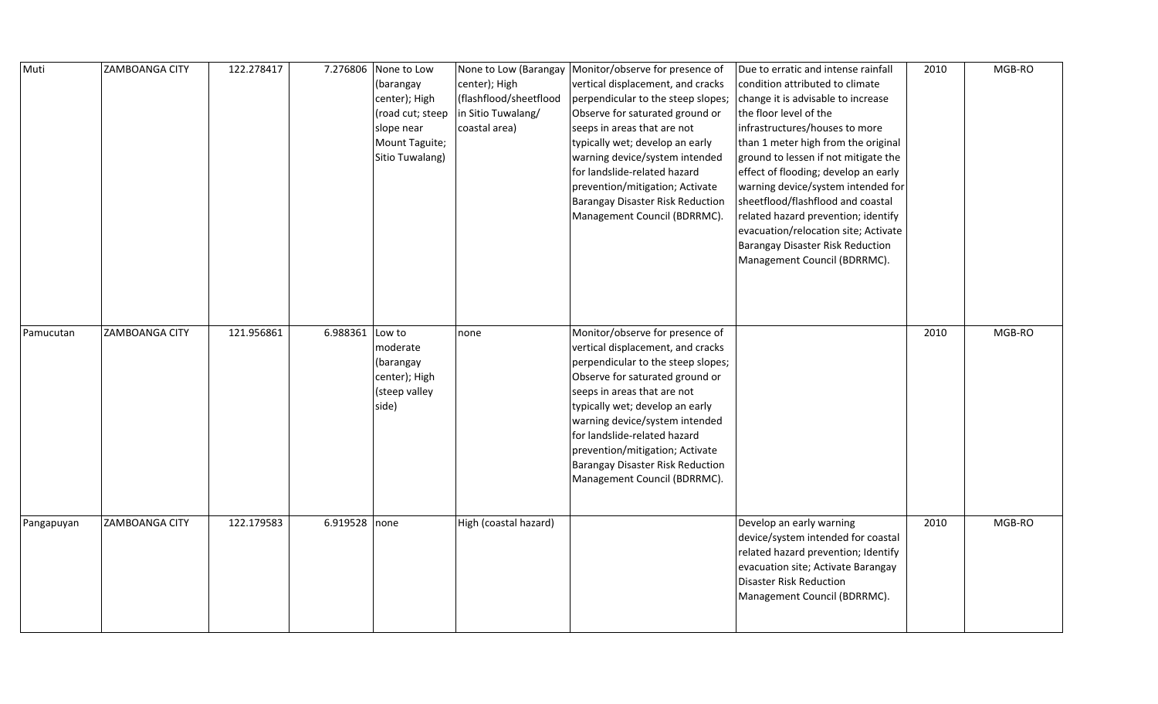| Muti       | <b>ZAMBOANGA CITY</b> | 122.278417 | 7.276806        | None to Low<br>(barangay<br>center); High<br>(road cut; steep<br>slope near<br>Mount Taguite;<br>Sitio Tuwalang) | center); High<br>(flashflood/sheetflood<br>in Sitio Tuwalang/<br>coastal area) | None to Low (Barangay   Monitor/observe for presence of<br>vertical displacement, and cracks<br>perpendicular to the steep slopes;<br>Observe for saturated ground or<br>seeps in areas that are not<br>typically wet; develop an early<br>warning device/system intended<br>for landslide-related hazard<br>prevention/mitigation; Activate<br>Barangay Disaster Risk Reduction<br>Management Council (BDRRMC). | Due to erratic and intense rainfall<br>condition attributed to climate<br>change it is advisable to increase<br>the floor level of the<br>infrastructures/houses to more<br>than 1 meter high from the original<br>ground to lessen if not mitigate the<br>effect of flooding; develop an early<br>warning device/system intended for<br>sheetflood/flashflood and coastal<br>related hazard prevention; identify<br>evacuation/relocation site; Activate<br>Barangay Disaster Risk Reduction<br>Management Council (BDRRMC). | 2010 | MGB-RO |
|------------|-----------------------|------------|-----------------|------------------------------------------------------------------------------------------------------------------|--------------------------------------------------------------------------------|------------------------------------------------------------------------------------------------------------------------------------------------------------------------------------------------------------------------------------------------------------------------------------------------------------------------------------------------------------------------------------------------------------------|-------------------------------------------------------------------------------------------------------------------------------------------------------------------------------------------------------------------------------------------------------------------------------------------------------------------------------------------------------------------------------------------------------------------------------------------------------------------------------------------------------------------------------|------|--------|
| Pamucutan  | <b>ZAMBOANGA CITY</b> | 121.956861 | 6.988361 Low to | moderate<br>(barangay<br>center); High<br>(steep valley<br>side)                                                 | none                                                                           | Monitor/observe for presence of<br>vertical displacement, and cracks<br>perpendicular to the steep slopes;<br>Observe for saturated ground or<br>seeps in areas that are not<br>typically wet; develop an early<br>warning device/system intended<br>for landslide-related hazard<br>prevention/mitigation; Activate<br>Barangay Disaster Risk Reduction<br>Management Council (BDRRMC).                         |                                                                                                                                                                                                                                                                                                                                                                                                                                                                                                                               | 2010 | MGB-RO |
| Pangapuyan | ZAMBOANGA CITY        | 122.179583 | 6.919528 none   |                                                                                                                  | High (coastal hazard)                                                          |                                                                                                                                                                                                                                                                                                                                                                                                                  | Develop an early warning<br>device/system intended for coastal<br>related hazard prevention; Identify<br>evacuation site; Activate Barangay<br>Disaster Risk Reduction<br>Management Council (BDRRMC).                                                                                                                                                                                                                                                                                                                        | 2010 | MGB-RO |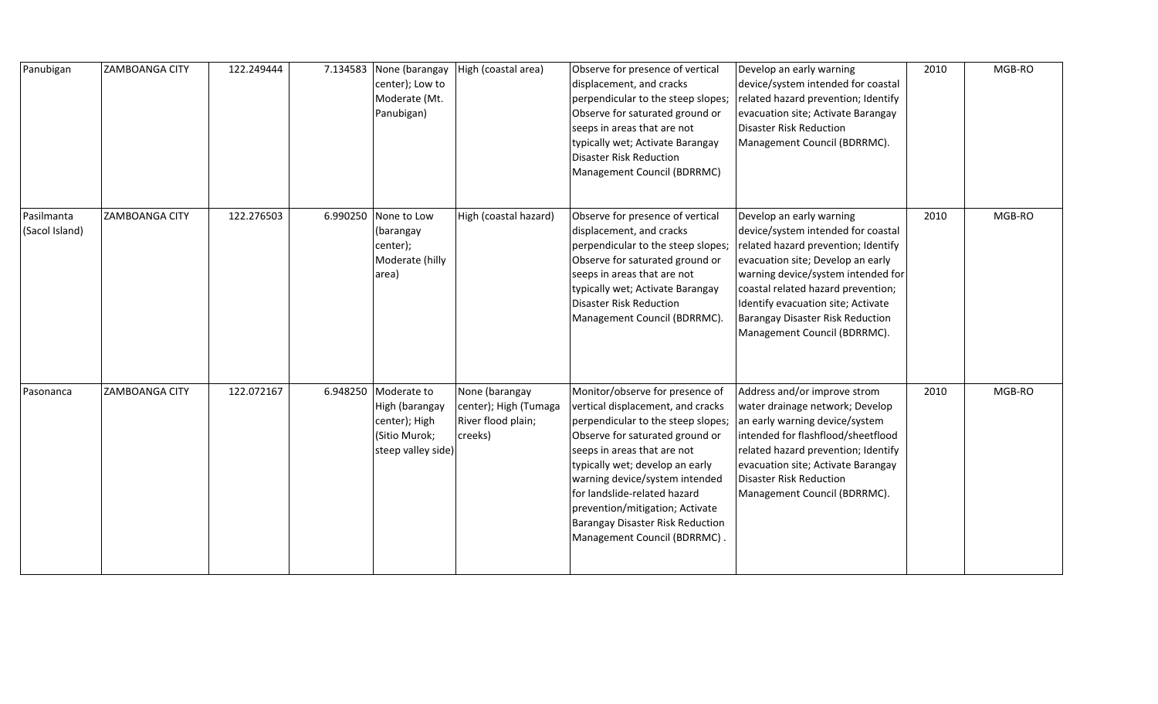| Panubigan                    | <b>ZAMBOANGA CITY</b> | 122.249444 | 7.134583 | None (barangay<br>center); Low to<br>Moderate (Mt.<br>Panubigan)                      | High (coastal area)                                                      | Observe for presence of vertical<br>displacement, and cracks<br>perpendicular to the steep slopes;<br>Observe for saturated ground or<br>seeps in areas that are not<br>typically wet; Activate Barangay<br><b>Disaster Risk Reduction</b><br>Management Council (BDRRMC)                                                                                                                       | Develop an early warning<br>device/system intended for coastal<br>related hazard prevention; Identify<br>evacuation site; Activate Barangay<br>Disaster Risk Reduction<br>Management Council (BDRRMC).                                                                                                                           | 2010 | MGB-RO |
|------------------------------|-----------------------|------------|----------|---------------------------------------------------------------------------------------|--------------------------------------------------------------------------|-------------------------------------------------------------------------------------------------------------------------------------------------------------------------------------------------------------------------------------------------------------------------------------------------------------------------------------------------------------------------------------------------|----------------------------------------------------------------------------------------------------------------------------------------------------------------------------------------------------------------------------------------------------------------------------------------------------------------------------------|------|--------|
| Pasilmanta<br>(Sacol Island) | <b>ZAMBOANGA CITY</b> | 122.276503 | 6.990250 | None to Low<br>(barangay<br>center);<br>Moderate (hilly<br>area)                      | High (coastal hazard)                                                    | Observe for presence of vertical<br>displacement, and cracks<br>perpendicular to the steep slopes;<br>Observe for saturated ground or<br>seeps in areas that are not<br>typically wet; Activate Barangay<br><b>Disaster Risk Reduction</b><br>Management Council (BDRRMC).                                                                                                                      | Develop an early warning<br>device/system intended for coastal<br>related hazard prevention; Identify<br>evacuation site; Develop an early<br>warning device/system intended for<br>coastal related hazard prevention;<br>Identify evacuation site; Activate<br>Barangay Disaster Risk Reduction<br>Management Council (BDRRMC). | 2010 | MGB-RO |
| Pasonanca                    | <b>ZAMBOANGA CITY</b> | 122.072167 | 6.948250 | Moderate to<br>High (barangay<br>center); High<br>(Sitio Murok;<br>steep valley side) | None (barangay<br>center); High (Tumaga<br>River flood plain;<br>creeks) | Monitor/observe for presence of<br>vertical displacement, and cracks<br>perpendicular to the steep slopes;<br>Observe for saturated ground or<br>seeps in areas that are not<br>typically wet; develop an early<br>warning device/system intended<br>for landslide-related hazard<br>prevention/mitigation; Activate<br><b>Barangay Disaster Risk Reduction</b><br>Management Council (BDRRMC). | Address and/or improve strom<br>water drainage network; Develop<br>an early warning device/system<br>intended for flashflood/sheetflood<br>related hazard prevention; Identify<br>evacuation site; Activate Barangay<br>Disaster Risk Reduction<br>Management Council (BDRRMC).                                                  | 2010 | MGB-RO |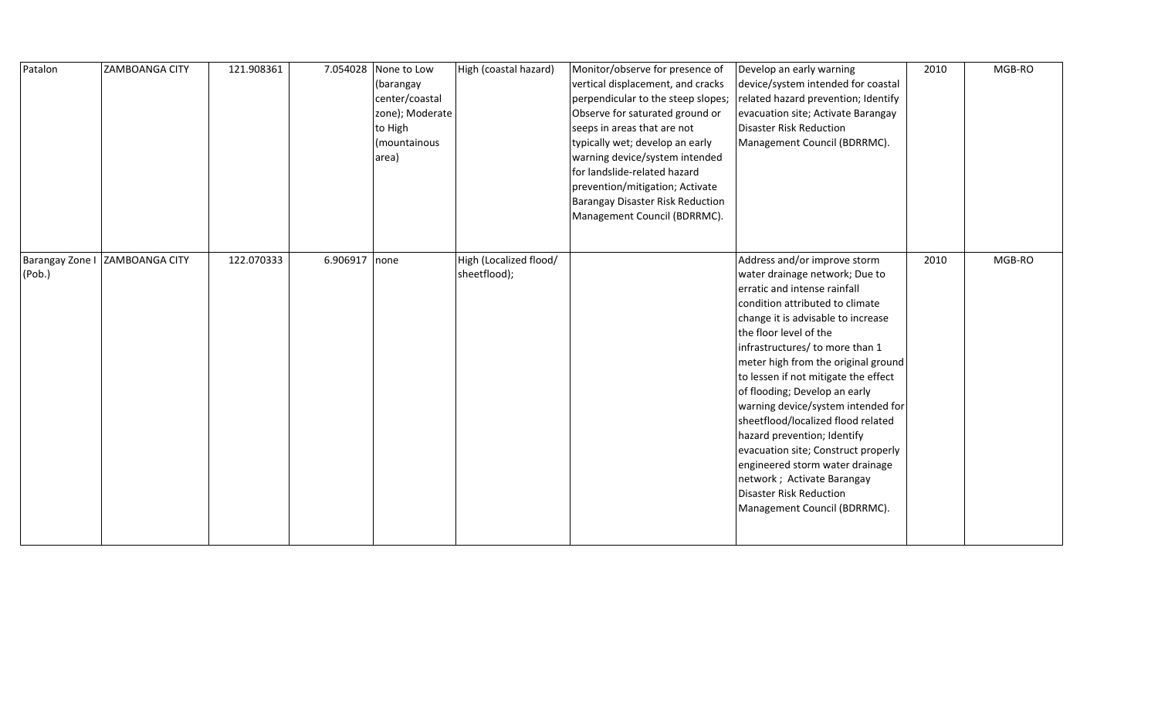| Patalon | <b>ZAMBOANGA CITY</b>          | 121.908361 |               | 7.054028 None to Low<br>(barangay<br>center/coastal<br>zone); Moderate<br>to High<br>(mountainous<br>area) | High (coastal hazard)                  | Monitor/observe for presence of<br>vertical displacement, and cracks<br>perpendicular to the steep slopes;<br>Observe for saturated ground or<br>seeps in areas that are not<br>typically wet; develop an early<br>warning device/system intended<br>for landslide-related hazard<br>prevention/mitigation; Activate<br><b>Barangay Disaster Risk Reduction</b><br>Management Council (BDRRMC). | Develop an early warning<br>device/system intended for coastal<br>related hazard prevention; Identify<br>evacuation site; Activate Barangay<br>Disaster Risk Reduction<br>Management Council (BDRRMC).                                                                                                                                                                                                                                                                                                                                                                                                                              | 2010 | MGB-RO |
|---------|--------------------------------|------------|---------------|------------------------------------------------------------------------------------------------------------|----------------------------------------|-------------------------------------------------------------------------------------------------------------------------------------------------------------------------------------------------------------------------------------------------------------------------------------------------------------------------------------------------------------------------------------------------|-------------------------------------------------------------------------------------------------------------------------------------------------------------------------------------------------------------------------------------------------------------------------------------------------------------------------------------------------------------------------------------------------------------------------------------------------------------------------------------------------------------------------------------------------------------------------------------------------------------------------------------|------|--------|
| (Pob.)  | Barangay Zone I ZAMBOANGA CITY | 122.070333 | 6.906917 none |                                                                                                            | High (Localized flood/<br>sheetflood); |                                                                                                                                                                                                                                                                                                                                                                                                 | Address and/or improve storm<br>water drainage network; Due to<br>erratic and intense rainfall<br>condition attributed to climate<br>change it is advisable to increase<br>the floor level of the<br>infrastructures/ to more than 1<br>meter high from the original ground<br>to lessen if not mitigate the effect<br>of flooding; Develop an early<br>warning device/system intended for<br>sheetflood/localized flood related<br>hazard prevention; Identify<br>evacuation site; Construct properly<br>engineered storm water drainage<br>network ; Activate Barangay<br>Disaster Risk Reduction<br>Management Council (BDRRMC). | 2010 | MGB-RO |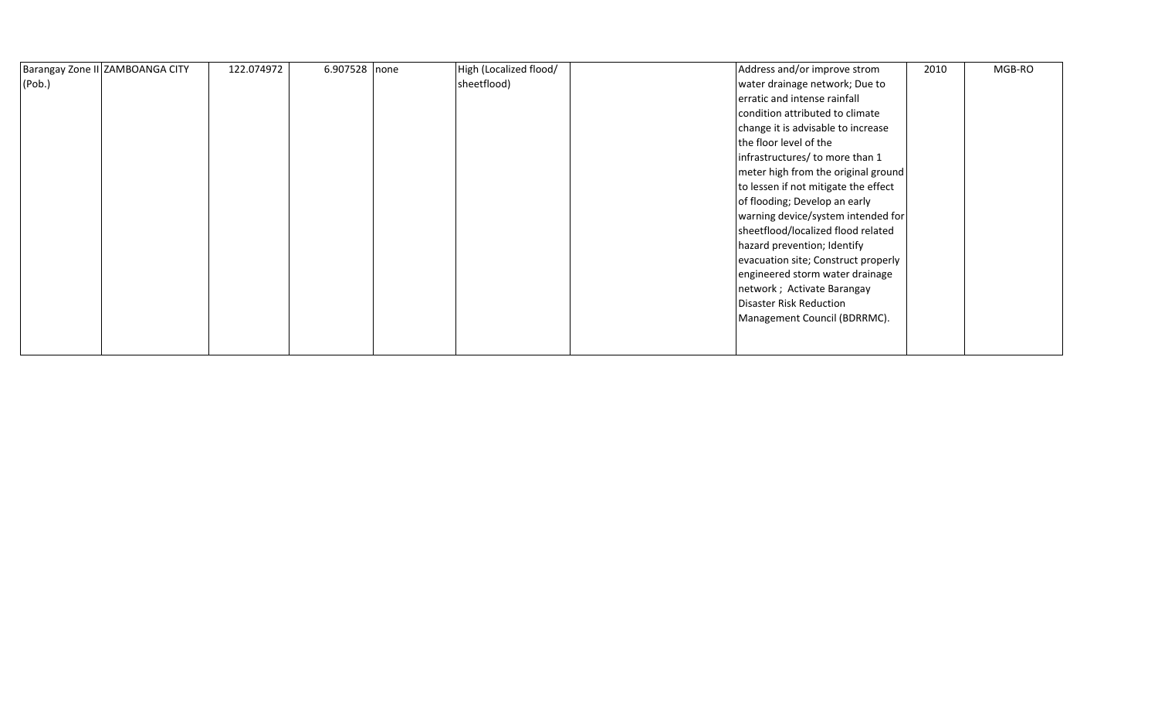| Barangay Zone II ZAMBOANGA CITY | 122.074972 | 6.907528 none | High (Localized flood/ | Address and/or improve strom         | 2010 | MGB-RO |
|---------------------------------|------------|---------------|------------------------|--------------------------------------|------|--------|
| (Pob.)                          |            |               | sheetflood)            | water drainage network; Due to       |      |        |
|                                 |            |               |                        | erratic and intense rainfall         |      |        |
|                                 |            |               |                        | condition attributed to climate      |      |        |
|                                 |            |               |                        | change it is advisable to increase   |      |        |
|                                 |            |               |                        | the floor level of the               |      |        |
|                                 |            |               |                        | infrastructures/ to more than 1      |      |        |
|                                 |            |               |                        | meter high from the original ground  |      |        |
|                                 |            |               |                        | to lessen if not mitigate the effect |      |        |
|                                 |            |               |                        | of flooding; Develop an early        |      |        |
|                                 |            |               |                        | warning device/system intended for   |      |        |
|                                 |            |               |                        | sheetflood/localized flood related   |      |        |
|                                 |            |               |                        | hazard prevention; Identify          |      |        |
|                                 |            |               |                        | evacuation site; Construct properly  |      |        |
|                                 |            |               |                        | engineered storm water drainage      |      |        |
|                                 |            |               |                        | network; Activate Barangay           |      |        |
|                                 |            |               |                        | <b>Disaster Risk Reduction</b>       |      |        |
|                                 |            |               |                        | Management Council (BDRRMC).         |      |        |
|                                 |            |               |                        |                                      |      |        |
|                                 |            |               |                        |                                      |      |        |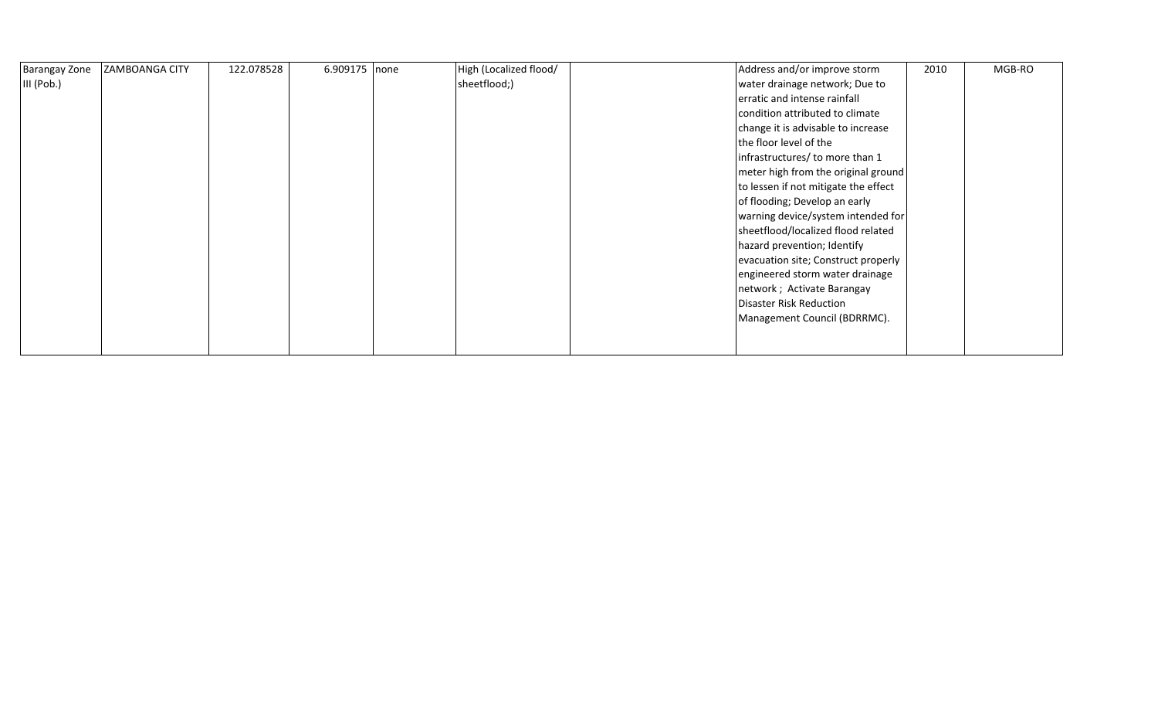| <b>Barangay Zone</b> | <b>ZAMBOANGA CITY</b> | 122.078528 | 6.909175 none | High (Localized flood/ | Address and/or improve storm         | 2010 | MGB-RO |
|----------------------|-----------------------|------------|---------------|------------------------|--------------------------------------|------|--------|
| III (Pob.)           |                       |            |               | sheetflood;)           | water drainage network; Due to       |      |        |
|                      |                       |            |               |                        | erratic and intense rainfall         |      |        |
|                      |                       |            |               |                        | condition attributed to climate      |      |        |
|                      |                       |            |               |                        | change it is advisable to increase   |      |        |
|                      |                       |            |               |                        | the floor level of the               |      |        |
|                      |                       |            |               |                        | infrastructures/ to more than 1      |      |        |
|                      |                       |            |               |                        | meter high from the original ground  |      |        |
|                      |                       |            |               |                        | to lessen if not mitigate the effect |      |        |
|                      |                       |            |               |                        | of flooding; Develop an early        |      |        |
|                      |                       |            |               |                        | warning device/system intended for   |      |        |
|                      |                       |            |               |                        | sheetflood/localized flood related   |      |        |
|                      |                       |            |               |                        | hazard prevention; Identify          |      |        |
|                      |                       |            |               |                        | evacuation site; Construct properly  |      |        |
|                      |                       |            |               |                        | engineered storm water drainage      |      |        |
|                      |                       |            |               |                        | network; Activate Barangay           |      |        |
|                      |                       |            |               |                        | <b>Disaster Risk Reduction</b>       |      |        |
|                      |                       |            |               |                        | Management Council (BDRRMC).         |      |        |
|                      |                       |            |               |                        |                                      |      |        |
|                      |                       |            |               |                        |                                      |      |        |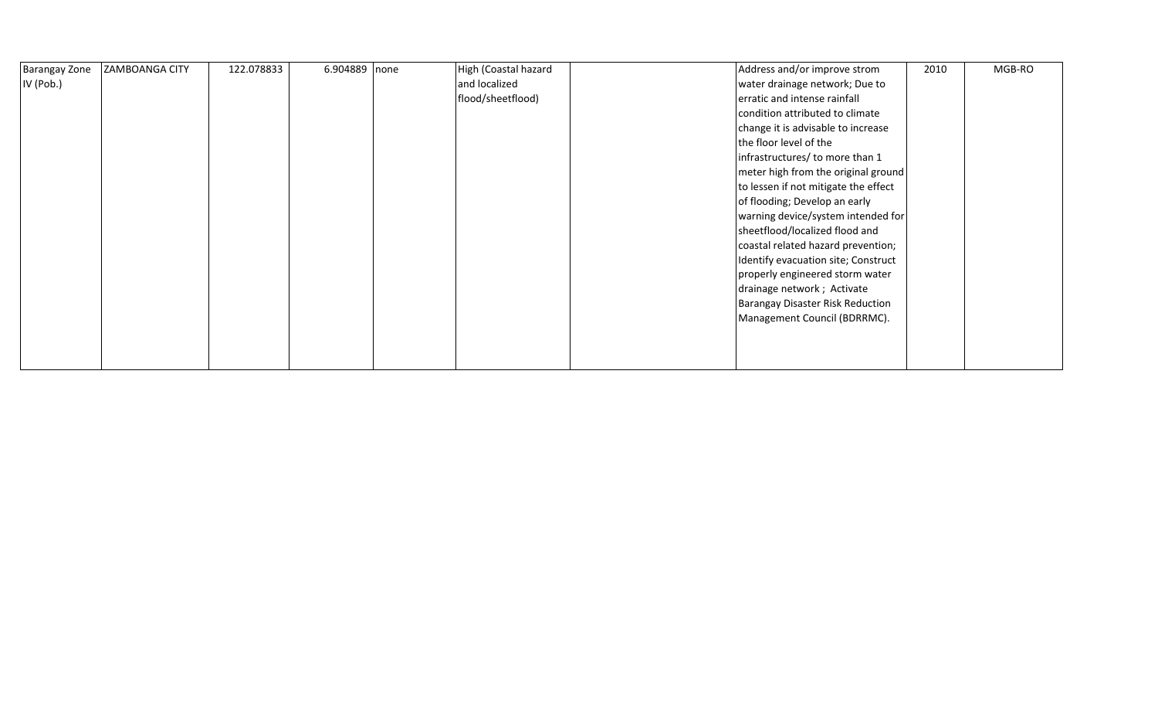| <b>Barangay Zone</b> | <b>ZAMBOANGA CITY</b> | 122.078833 | 6.904889 none | High (Coastal hazard | Address and/or improve strom            | 2010 | MGB-RO |
|----------------------|-----------------------|------------|---------------|----------------------|-----------------------------------------|------|--------|
| IV (Pob.)            |                       |            |               | and localized        | water drainage network; Due to          |      |        |
|                      |                       |            |               | flood/sheetflood)    | erratic and intense rainfall            |      |        |
|                      |                       |            |               |                      | condition attributed to climate         |      |        |
|                      |                       |            |               |                      | change it is advisable to increase      |      |        |
|                      |                       |            |               |                      | the floor level of the                  |      |        |
|                      |                       |            |               |                      | infrastructures/ to more than 1         |      |        |
|                      |                       |            |               |                      | meter high from the original ground     |      |        |
|                      |                       |            |               |                      | to lessen if not mitigate the effect    |      |        |
|                      |                       |            |               |                      | of flooding; Develop an early           |      |        |
|                      |                       |            |               |                      | warning device/system intended for      |      |        |
|                      |                       |            |               |                      | sheetflood/localized flood and          |      |        |
|                      |                       |            |               |                      | coastal related hazard prevention;      |      |        |
|                      |                       |            |               |                      | Identify evacuation site; Construct     |      |        |
|                      |                       |            |               |                      | properly engineered storm water         |      |        |
|                      |                       |            |               |                      | drainage network; Activate              |      |        |
|                      |                       |            |               |                      | <b>Barangay Disaster Risk Reduction</b> |      |        |
|                      |                       |            |               |                      | Management Council (BDRRMC).            |      |        |
|                      |                       |            |               |                      |                                         |      |        |
|                      |                       |            |               |                      |                                         |      |        |
|                      |                       |            |               |                      |                                         |      |        |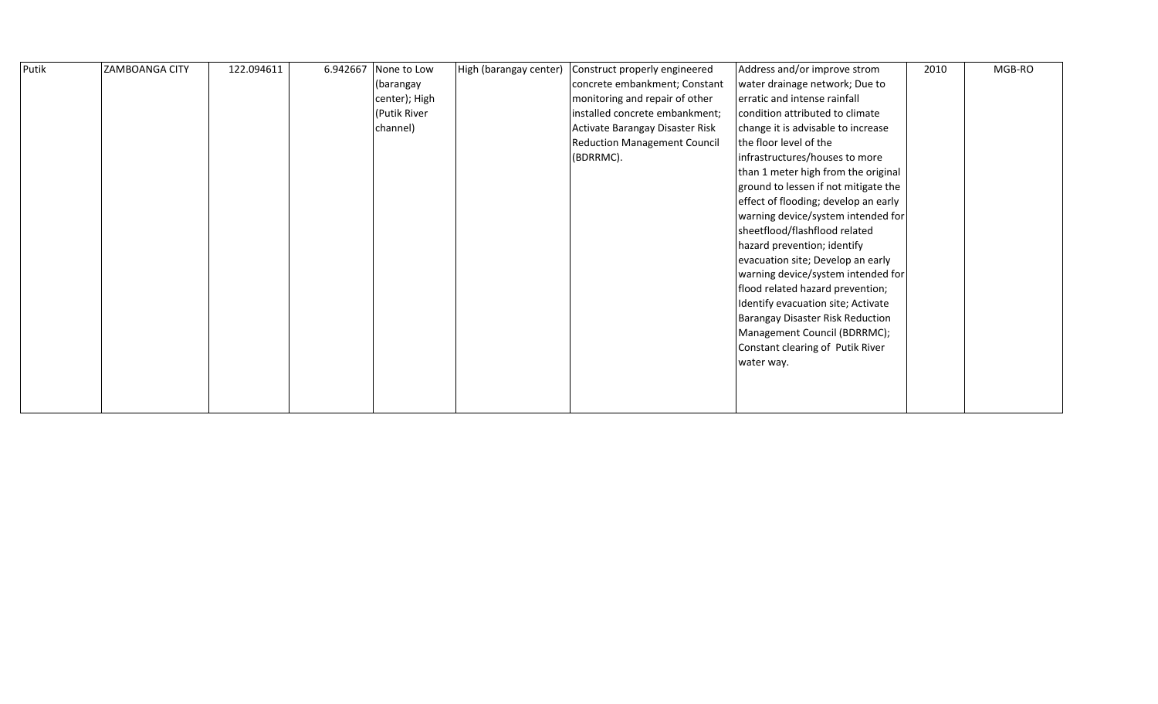| Putik | <b>ZAMBOANGA CITY</b> | 122.094611 |  | 6.942667 None to Low<br>(barangay<br>center); High<br>(Putik River<br>channel) | High (barangay center) | Construct properly engineered<br>concrete embankment; Constant<br>monitoring and repair of other<br>installed concrete embankment;<br>Activate Barangay Disaster Risk<br><b>Reduction Management Council</b><br>(BDRRMC). | Address and/or improve strom<br>water drainage network; Due to<br>erratic and intense rainfall<br>condition attributed to climate<br>change it is advisable to increase<br>the floor level of the<br>infrastructures/houses to more<br>than 1 meter high from the original<br>ground to lessen if not mitigate the<br>effect of flooding; develop an early<br>warning device/system intended for<br>sheetflood/flashflood related<br>hazard prevention; identify<br>evacuation site; Develop an early<br>warning device/system intended for<br>flood related hazard prevention;<br>Identify evacuation site; Activate<br>Barangay Disaster Risk Reduction<br>Management Council (BDRRMC);<br>Constant clearing of Putik River<br>water way. | 2010 | MGB-RO |
|-------|-----------------------|------------|--|--------------------------------------------------------------------------------|------------------------|---------------------------------------------------------------------------------------------------------------------------------------------------------------------------------------------------------------------------|---------------------------------------------------------------------------------------------------------------------------------------------------------------------------------------------------------------------------------------------------------------------------------------------------------------------------------------------------------------------------------------------------------------------------------------------------------------------------------------------------------------------------------------------------------------------------------------------------------------------------------------------------------------------------------------------------------------------------------------------|------|--------|
|-------|-----------------------|------------|--|--------------------------------------------------------------------------------|------------------------|---------------------------------------------------------------------------------------------------------------------------------------------------------------------------------------------------------------------------|---------------------------------------------------------------------------------------------------------------------------------------------------------------------------------------------------------------------------------------------------------------------------------------------------------------------------------------------------------------------------------------------------------------------------------------------------------------------------------------------------------------------------------------------------------------------------------------------------------------------------------------------------------------------------------------------------------------------------------------------|------|--------|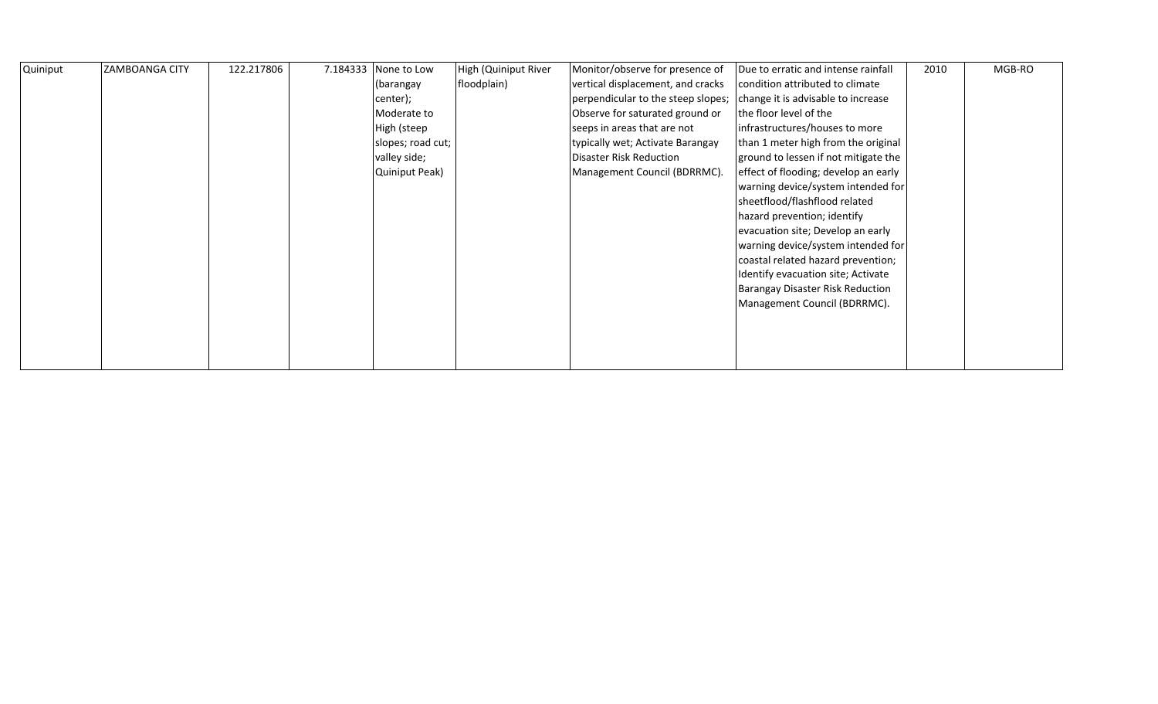| Quiniput | <b>ZAMBOANGA CITY</b> | 122.217806 | 7.184333 None to Low  | High (Quiniput River | Monitor/observe for presence of    | Due to erratic and intense rainfall  | 2010 | MGB-RO |
|----------|-----------------------|------------|-----------------------|----------------------|------------------------------------|--------------------------------------|------|--------|
|          |                       |            | (barangay             | floodplain)          | vertical displacement, and cracks  | condition attributed to climate      |      |        |
|          |                       |            | center);              |                      | perpendicular to the steep slopes; | change it is advisable to increase   |      |        |
|          |                       |            | Moderate to           |                      | Observe for saturated ground or    | the floor level of the               |      |        |
|          |                       |            | High (steep           |                      | seeps in areas that are not        | infrastructures/houses to more       |      |        |
|          |                       |            | slopes; road cut;     |                      | typically wet; Activate Barangay   | than 1 meter high from the original  |      |        |
|          |                       |            | valley side;          |                      | Disaster Risk Reduction            | ground to lessen if not mitigate the |      |        |
|          |                       |            | <b>Quiniput Peak)</b> |                      | Management Council (BDRRMC).       | effect of flooding; develop an early |      |        |
|          |                       |            |                       |                      |                                    | warning device/system intended for   |      |        |
|          |                       |            |                       |                      |                                    | sheetflood/flashflood related        |      |        |
|          |                       |            |                       |                      |                                    | hazard prevention; identify          |      |        |
|          |                       |            |                       |                      |                                    | evacuation site; Develop an early    |      |        |
|          |                       |            |                       |                      |                                    | warning device/system intended for   |      |        |
|          |                       |            |                       |                      |                                    | coastal related hazard prevention;   |      |        |
|          |                       |            |                       |                      |                                    | Identify evacuation site; Activate   |      |        |
|          |                       |            |                       |                      |                                    | Barangay Disaster Risk Reduction     |      |        |
|          |                       |            |                       |                      |                                    | Management Council (BDRRMC).         |      |        |
|          |                       |            |                       |                      |                                    |                                      |      |        |
|          |                       |            |                       |                      |                                    |                                      |      |        |
|          |                       |            |                       |                      |                                    |                                      |      |        |
|          |                       |            |                       |                      |                                    |                                      |      |        |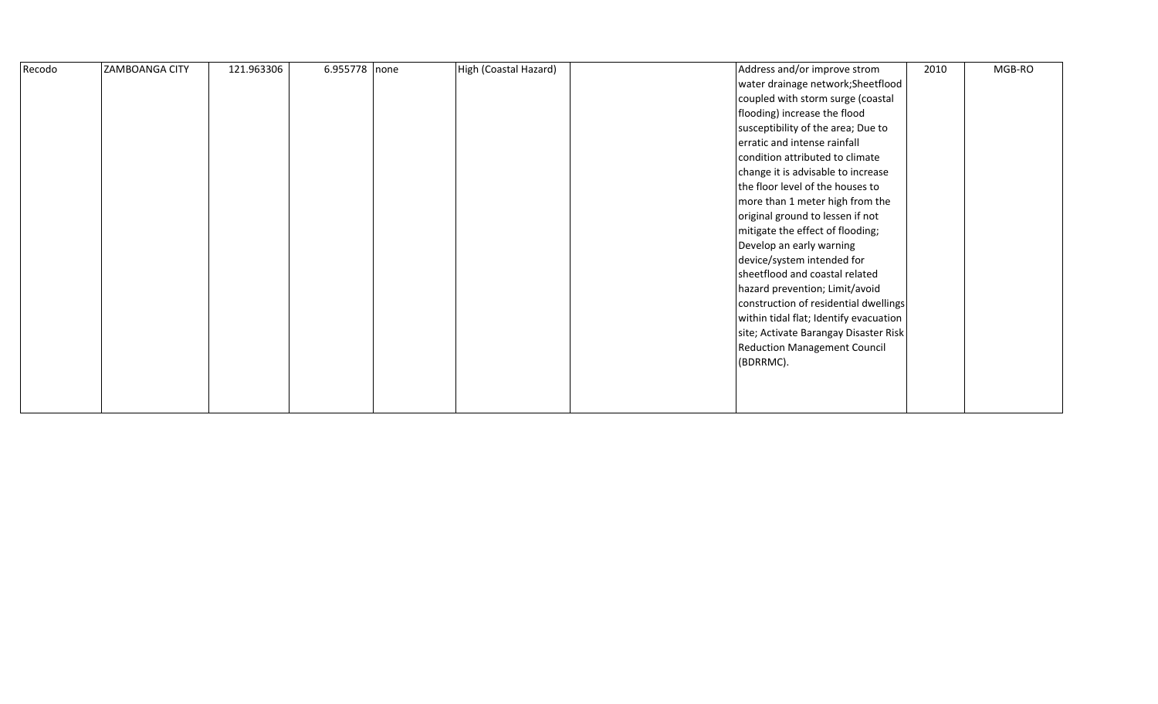| Recodo | ZAMBOANGA CITY | 121.963306 | 6.955778 none |  | High (Coastal Hazard) |  | Address and/or improve strom<br>water drainage network; Sheetflood<br>coupled with storm surge (coastal<br>flooding) increase the flood<br>susceptibility of the area; Due to<br>erratic and intense rainfall<br>condition attributed to climate<br>change it is advisable to increase<br>the floor level of the houses to<br>more than 1 meter high from the<br>original ground to lessen if not<br>mitigate the effect of flooding;<br>Develop an early warning<br>device/system intended for<br>sheetflood and coastal related<br>hazard prevention; Limit/avoid<br>construction of residential dwellings<br>within tidal flat; Identify evacuation<br>site; Activate Barangay Disaster Risk<br><b>Reduction Management Council</b><br>(BDRRMC). | 2010 | MGB-RO |
|--------|----------------|------------|---------------|--|-----------------------|--|-----------------------------------------------------------------------------------------------------------------------------------------------------------------------------------------------------------------------------------------------------------------------------------------------------------------------------------------------------------------------------------------------------------------------------------------------------------------------------------------------------------------------------------------------------------------------------------------------------------------------------------------------------------------------------------------------------------------------------------------------------|------|--------|
|--------|----------------|------------|---------------|--|-----------------------|--|-----------------------------------------------------------------------------------------------------------------------------------------------------------------------------------------------------------------------------------------------------------------------------------------------------------------------------------------------------------------------------------------------------------------------------------------------------------------------------------------------------------------------------------------------------------------------------------------------------------------------------------------------------------------------------------------------------------------------------------------------------|------|--------|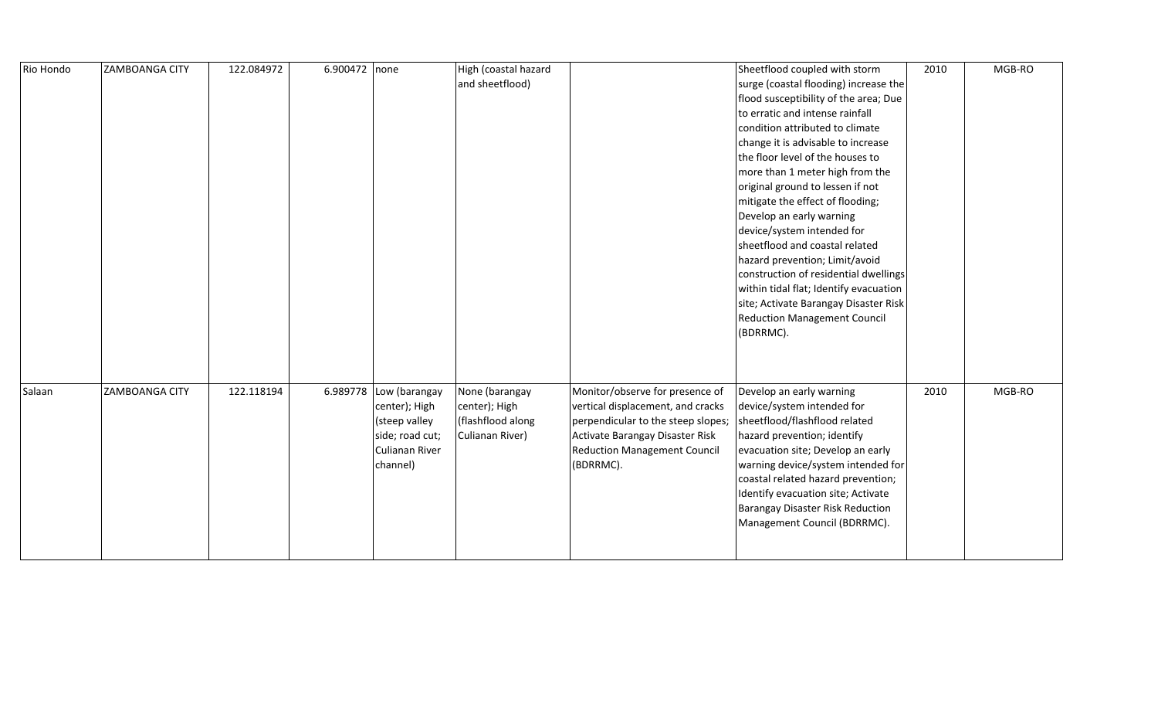| Rio Hondo | <b>ZAMBOANGA CITY</b> | 122.084972 | 6.900472 none |                                                                                                           | High (coastal hazard<br>and sheetflood)                                 |                                                                                                                                                                                                   | Sheetflood coupled with storm<br>surge (coastal flooding) increase the<br>flood susceptibility of the area; Due<br>to erratic and intense rainfall<br>condition attributed to climate<br>change it is advisable to increase<br>the floor level of the houses to<br>more than 1 meter high from the<br>original ground to lessen if not<br>mitigate the effect of flooding;<br>Develop an early warning<br>device/system intended for<br>sheetflood and coastal related<br>hazard prevention; Limit/avoid<br>construction of residential dwellings | 2010 | MGB-RO |
|-----------|-----------------------|------------|---------------|-----------------------------------------------------------------------------------------------------------|-------------------------------------------------------------------------|---------------------------------------------------------------------------------------------------------------------------------------------------------------------------------------------------|---------------------------------------------------------------------------------------------------------------------------------------------------------------------------------------------------------------------------------------------------------------------------------------------------------------------------------------------------------------------------------------------------------------------------------------------------------------------------------------------------------------------------------------------------|------|--------|
|           |                       |            |               |                                                                                                           |                                                                         |                                                                                                                                                                                                   | within tidal flat; Identify evacuation<br>site; Activate Barangay Disaster Risk<br><b>Reduction Management Council</b><br>(BDRRMC).                                                                                                                                                                                                                                                                                                                                                                                                               |      |        |
| Salaan    | <b>ZAMBOANGA CITY</b> | 122.118194 |               | 6.989778 Low (barangay<br>center); High<br>(steep valley<br>side; road cut;<br>Culianan River<br>channel) | None (barangay<br>center); High<br>(flashflood along<br>Culianan River) | Monitor/observe for presence of<br>vertical displacement, and cracks<br>perpendicular to the steep slopes;<br>Activate Barangay Disaster Risk<br><b>Reduction Management Council</b><br>(BDRRMC). | Develop an early warning<br>device/system intended for<br>sheetflood/flashflood related<br>hazard prevention; identify<br>evacuation site; Develop an early<br>warning device/system intended for<br>coastal related hazard prevention;<br>Identify evacuation site; Activate<br><b>Barangay Disaster Risk Reduction</b><br>Management Council (BDRRMC).                                                                                                                                                                                          | 2010 | MGB-RO |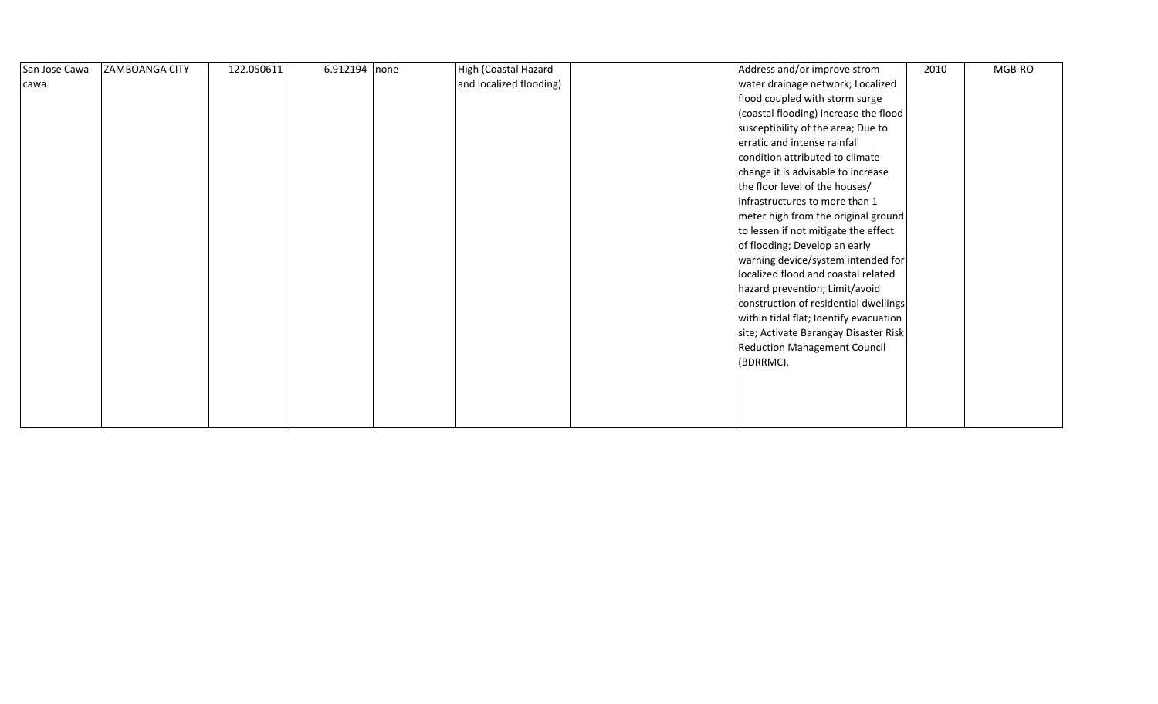| San Jose Cawa- | ZAMBOANGA CITY | 122.050611 | 6.912194 none | High (Coastal Hazard    | Address and/or improve strom           | 2010 | MGB-RO |
|----------------|----------------|------------|---------------|-------------------------|----------------------------------------|------|--------|
| cawa           |                |            |               | and localized flooding) | water drainage network; Localized      |      |        |
|                |                |            |               |                         | flood coupled with storm surge         |      |        |
|                |                |            |               |                         | (coastal flooding) increase the flood  |      |        |
|                |                |            |               |                         | susceptibility of the area; Due to     |      |        |
|                |                |            |               |                         | erratic and intense rainfall           |      |        |
|                |                |            |               |                         | condition attributed to climate        |      |        |
|                |                |            |               |                         | change it is advisable to increase     |      |        |
|                |                |            |               |                         | the floor level of the houses/         |      |        |
|                |                |            |               |                         | infrastructures to more than 1         |      |        |
|                |                |            |               |                         | meter high from the original ground    |      |        |
|                |                |            |               |                         | to lessen if not mitigate the effect   |      |        |
|                |                |            |               |                         | of flooding; Develop an early          |      |        |
|                |                |            |               |                         | warning device/system intended for     |      |        |
|                |                |            |               |                         | localized flood and coastal related    |      |        |
|                |                |            |               |                         | hazard prevention; Limit/avoid         |      |        |
|                |                |            |               |                         | construction of residential dwellings  |      |        |
|                |                |            |               |                         | within tidal flat; Identify evacuation |      |        |
|                |                |            |               |                         | site; Activate Barangay Disaster Risk  |      |        |
|                |                |            |               |                         | <b>Reduction Management Council</b>    |      |        |
|                |                |            |               |                         | (BDRRMC).                              |      |        |
|                |                |            |               |                         |                                        |      |        |
|                |                |            |               |                         |                                        |      |        |
|                |                |            |               |                         |                                        |      |        |
|                |                |            |               |                         |                                        |      |        |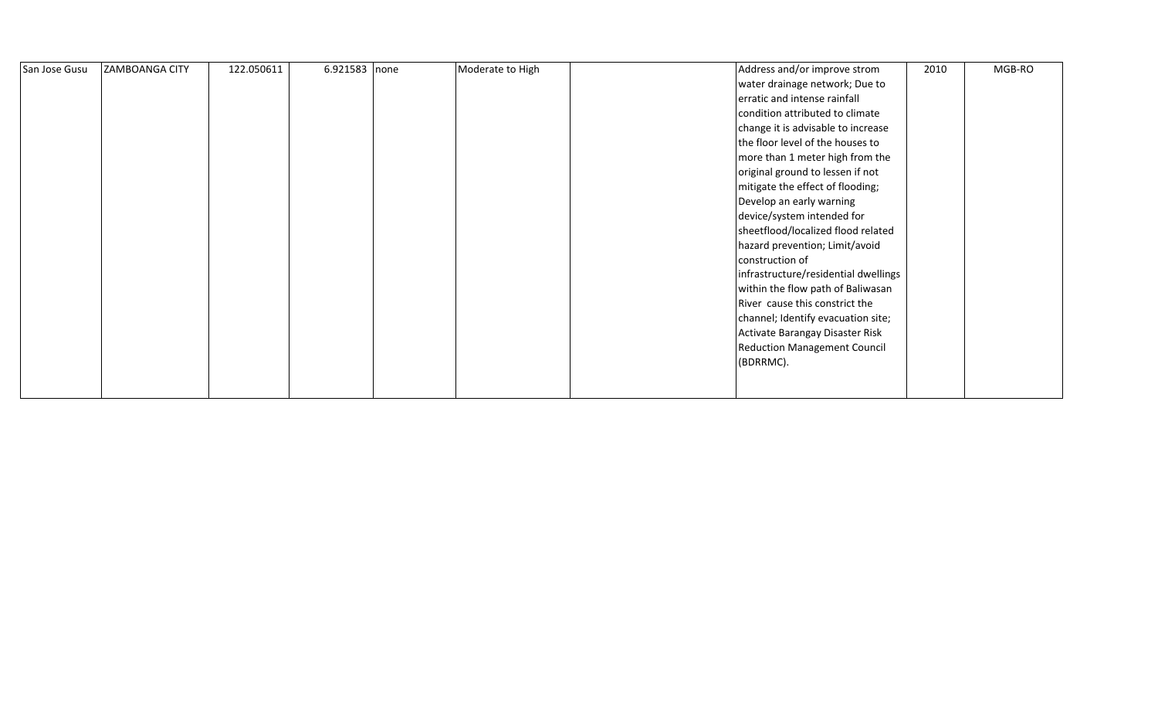| San Jose Gusu | <b>ZAMBOANGA CITY</b> | 122.050611 | 6.921583 none | Moderate to High | Address and/or improve strom         | 2010 | MGB-RO |
|---------------|-----------------------|------------|---------------|------------------|--------------------------------------|------|--------|
|               |                       |            |               |                  | water drainage network; Due to       |      |        |
|               |                       |            |               |                  | erratic and intense rainfall         |      |        |
|               |                       |            |               |                  | condition attributed to climate      |      |        |
|               |                       |            |               |                  | change it is advisable to increase   |      |        |
|               |                       |            |               |                  | the floor level of the houses to     |      |        |
|               |                       |            |               |                  | more than 1 meter high from the      |      |        |
|               |                       |            |               |                  | original ground to lessen if not     |      |        |
|               |                       |            |               |                  | mitigate the effect of flooding;     |      |        |
|               |                       |            |               |                  | Develop an early warning             |      |        |
|               |                       |            |               |                  | device/system intended for           |      |        |
|               |                       |            |               |                  | sheetflood/localized flood related   |      |        |
|               |                       |            |               |                  | hazard prevention; Limit/avoid       |      |        |
|               |                       |            |               |                  | construction of                      |      |        |
|               |                       |            |               |                  | infrastructure/residential dwellings |      |        |
|               |                       |            |               |                  | within the flow path of Baliwasan    |      |        |
|               |                       |            |               |                  | River cause this constrict the       |      |        |
|               |                       |            |               |                  | channel; Identify evacuation site;   |      |        |
|               |                       |            |               |                  | Activate Barangay Disaster Risk      |      |        |
|               |                       |            |               |                  | <b>Reduction Management Council</b>  |      |        |
|               |                       |            |               |                  | (BDRRMC).                            |      |        |
|               |                       |            |               |                  |                                      |      |        |
|               |                       |            |               |                  |                                      |      |        |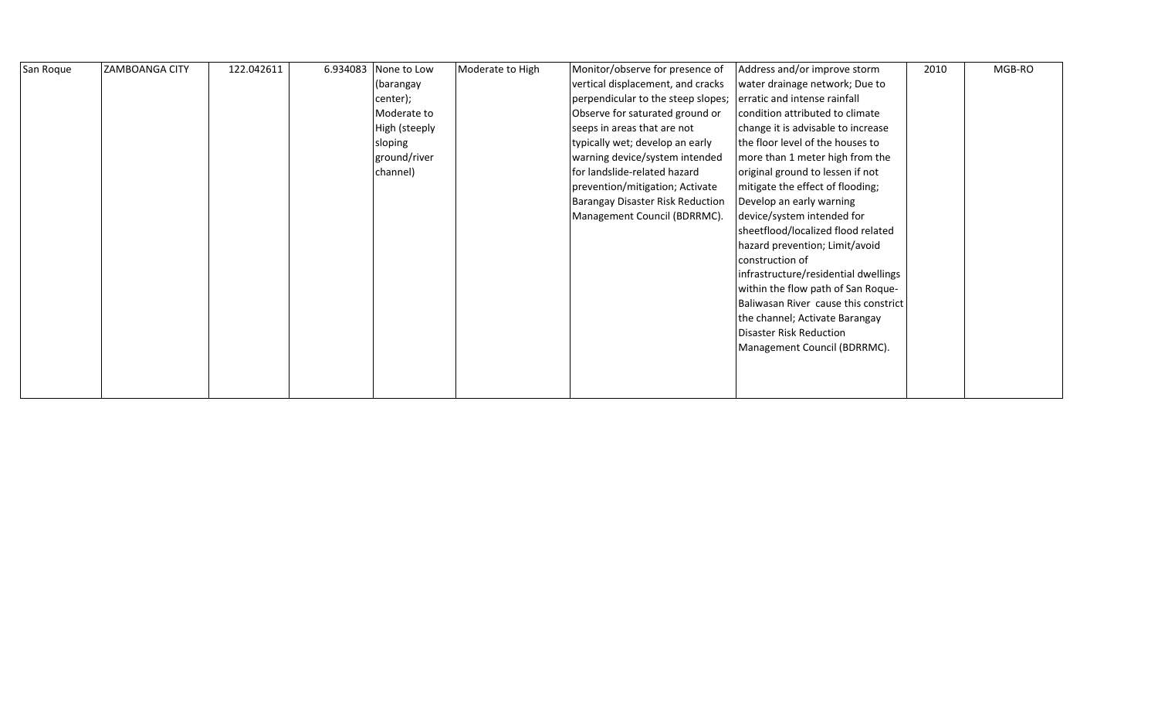| San Roque | <b>ZAMBOANGA CITY</b> | 122.042611 | 6.934083 None to Low | Moderate to High | Monitor/observe for presence of    | Address and/or improve storm         | 2010 | MGB-RO |
|-----------|-----------------------|------------|----------------------|------------------|------------------------------------|--------------------------------------|------|--------|
|           |                       |            | (barangay            |                  | vertical displacement, and cracks  | water drainage network; Due to       |      |        |
|           |                       |            | center);             |                  | perpendicular to the steep slopes; | erratic and intense rainfall         |      |        |
|           |                       |            | Moderate to          |                  | Observe for saturated ground or    | condition attributed to climate      |      |        |
|           |                       |            | High (steeply        |                  | seeps in areas that are not        | change it is advisable to increase   |      |        |
|           |                       |            | sloping              |                  | typically wet; develop an early    | the floor level of the houses to     |      |        |
|           |                       |            | ground/river         |                  | warning device/system intended     | more than 1 meter high from the      |      |        |
|           |                       |            | channel)             |                  | for landslide-related hazard       | original ground to lessen if not     |      |        |
|           |                       |            |                      |                  | prevention/mitigation; Activate    | mitigate the effect of flooding;     |      |        |
|           |                       |            |                      |                  | Barangay Disaster Risk Reduction   | Develop an early warning             |      |        |
|           |                       |            |                      |                  | Management Council (BDRRMC).       | device/system intended for           |      |        |
|           |                       |            |                      |                  |                                    | sheetflood/localized flood related   |      |        |
|           |                       |            |                      |                  |                                    | hazard prevention; Limit/avoid       |      |        |
|           |                       |            |                      |                  |                                    | construction of                      |      |        |
|           |                       |            |                      |                  |                                    | infrastructure/residential dwellings |      |        |
|           |                       |            |                      |                  |                                    | within the flow path of San Roque-   |      |        |
|           |                       |            |                      |                  |                                    | Baliwasan River cause this constrict |      |        |
|           |                       |            |                      |                  |                                    | the channel; Activate Barangay       |      |        |
|           |                       |            |                      |                  |                                    | Disaster Risk Reduction              |      |        |
|           |                       |            |                      |                  |                                    | Management Council (BDRRMC).         |      |        |
|           |                       |            |                      |                  |                                    |                                      |      |        |
|           |                       |            |                      |                  |                                    |                                      |      |        |
|           |                       |            |                      |                  |                                    |                                      |      |        |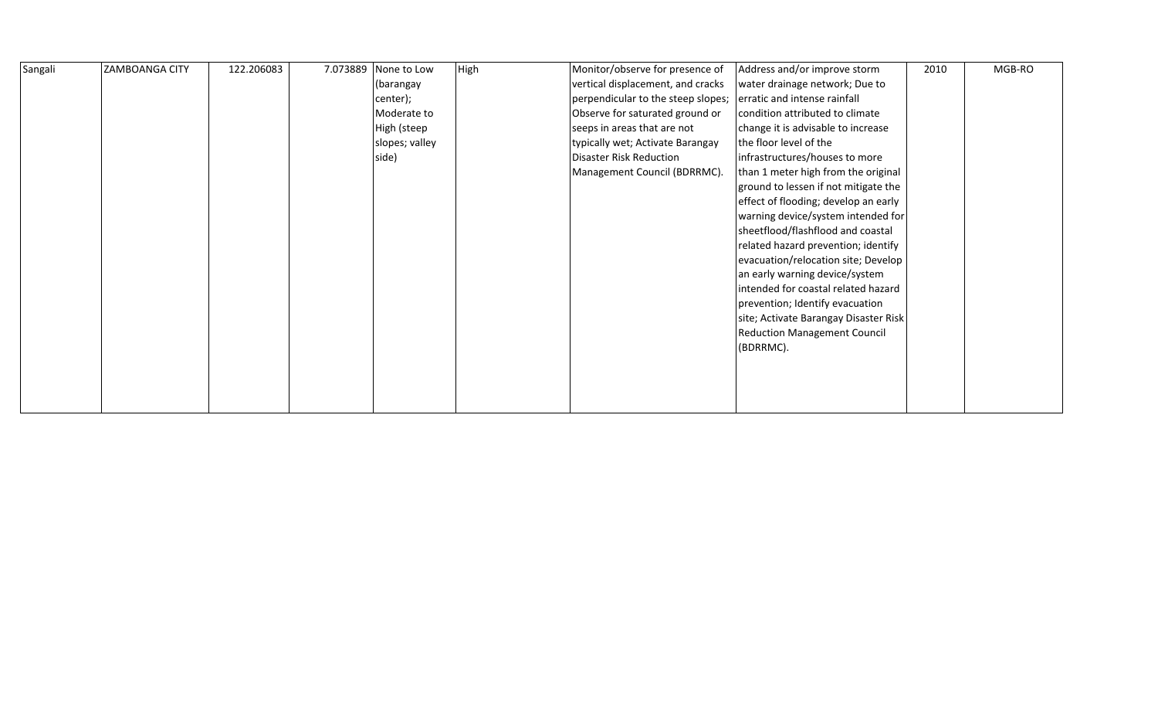| Sangali | <b>ZAMBOANGA CITY</b> | 122.206083 | 7.073889 | None to Low    | High | Monitor/observe for presence of    | Address and/or improve storm          | 2010 | MGB-RO |
|---------|-----------------------|------------|----------|----------------|------|------------------------------------|---------------------------------------|------|--------|
|         |                       |            |          | (barangay      |      | vertical displacement, and cracks  | water drainage network; Due to        |      |        |
|         |                       |            |          | center);       |      | perpendicular to the steep slopes; | erratic and intense rainfall          |      |        |
|         |                       |            |          | Moderate to    |      | Observe for saturated ground or    | condition attributed to climate       |      |        |
|         |                       |            |          | High (steep    |      | seeps in areas that are not        | change it is advisable to increase    |      |        |
|         |                       |            |          | slopes; valley |      | typically wet; Activate Barangay   | the floor level of the                |      |        |
|         |                       |            |          | side)          |      | <b>Disaster Risk Reduction</b>     | infrastructures/houses to more        |      |        |
|         |                       |            |          |                |      | Management Council (BDRRMC).       | than 1 meter high from the original   |      |        |
|         |                       |            |          |                |      |                                    | ground to lessen if not mitigate the  |      |        |
|         |                       |            |          |                |      |                                    | effect of flooding; develop an early  |      |        |
|         |                       |            |          |                |      |                                    | warning device/system intended for    |      |        |
|         |                       |            |          |                |      |                                    | sheetflood/flashflood and coastal     |      |        |
|         |                       |            |          |                |      |                                    | related hazard prevention; identify   |      |        |
|         |                       |            |          |                |      |                                    | evacuation/relocation site; Develop   |      |        |
|         |                       |            |          |                |      |                                    | an early warning device/system        |      |        |
|         |                       |            |          |                |      |                                    | intended for coastal related hazard   |      |        |
|         |                       |            |          |                |      |                                    | prevention; Identify evacuation       |      |        |
|         |                       |            |          |                |      |                                    | site; Activate Barangay Disaster Risk |      |        |
|         |                       |            |          |                |      |                                    | <b>Reduction Management Council</b>   |      |        |
|         |                       |            |          |                |      |                                    | (BDRRMC).                             |      |        |
|         |                       |            |          |                |      |                                    |                                       |      |        |
|         |                       |            |          |                |      |                                    |                                       |      |        |
|         |                       |            |          |                |      |                                    |                                       |      |        |
|         |                       |            |          |                |      |                                    |                                       |      |        |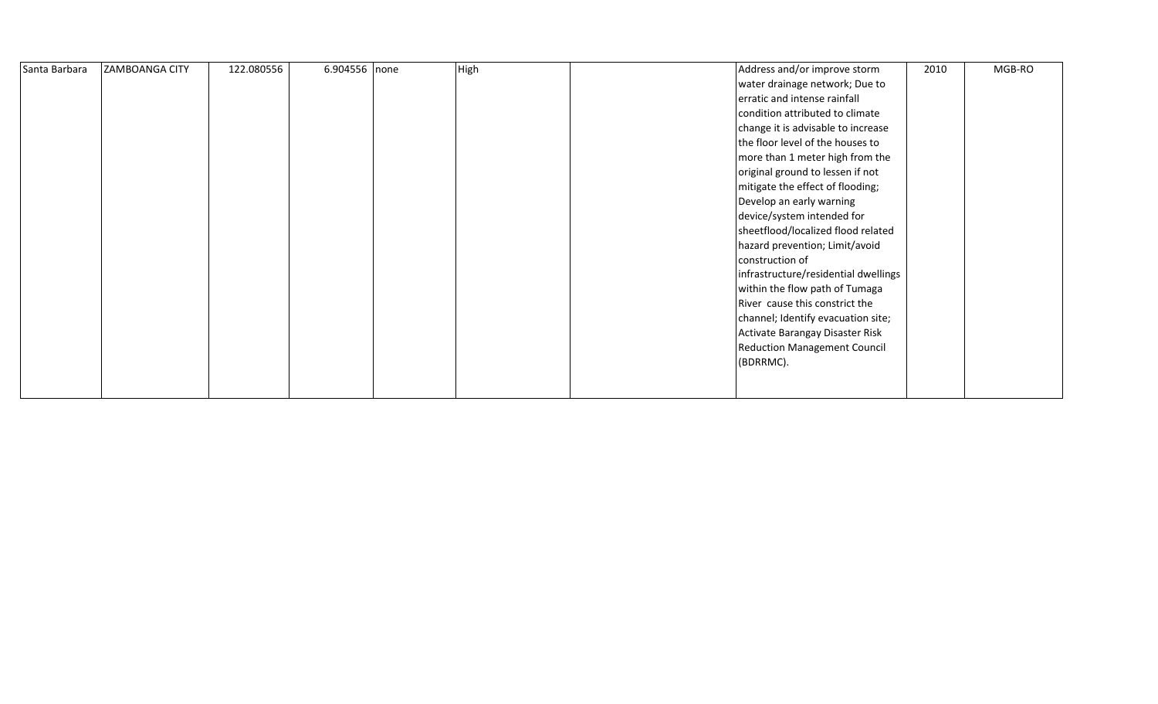| Santa Barbara | <b>ZAMBOANGA CITY</b> | 122.080556 | 6.904556 none | High | Address and/or improve storm         | 2010 | MGB-RO |
|---------------|-----------------------|------------|---------------|------|--------------------------------------|------|--------|
|               |                       |            |               |      | water drainage network; Due to       |      |        |
|               |                       |            |               |      | erratic and intense rainfall         |      |        |
|               |                       |            |               |      | condition attributed to climate      |      |        |
|               |                       |            |               |      | change it is advisable to increase   |      |        |
|               |                       |            |               |      | the floor level of the houses to     |      |        |
|               |                       |            |               |      | more than 1 meter high from the      |      |        |
|               |                       |            |               |      | original ground to lessen if not     |      |        |
|               |                       |            |               |      | mitigate the effect of flooding;     |      |        |
|               |                       |            |               |      | Develop an early warning             |      |        |
|               |                       |            |               |      | device/system intended for           |      |        |
|               |                       |            |               |      | sheetflood/localized flood related   |      |        |
|               |                       |            |               |      | hazard prevention; Limit/avoid       |      |        |
|               |                       |            |               |      | construction of                      |      |        |
|               |                       |            |               |      | infrastructure/residential dwellings |      |        |
|               |                       |            |               |      | within the flow path of Tumaga       |      |        |
|               |                       |            |               |      | River cause this constrict the       |      |        |
|               |                       |            |               |      | channel; Identify evacuation site;   |      |        |
|               |                       |            |               |      | Activate Barangay Disaster Risk      |      |        |
|               |                       |            |               |      | <b>Reduction Management Council</b>  |      |        |
|               |                       |            |               |      | (BDRRMC).                            |      |        |
|               |                       |            |               |      |                                      |      |        |
|               |                       |            |               |      |                                      |      |        |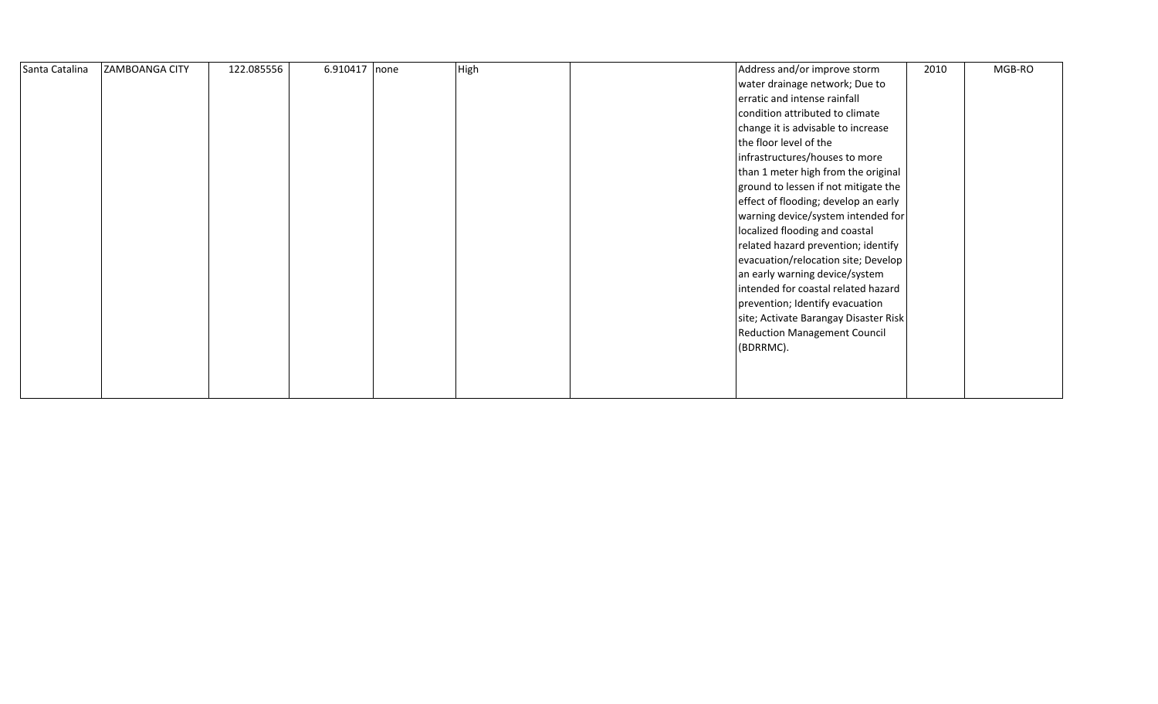| Santa Catalina | <b>ZAMBOANGA CITY</b> | 122.085556 | 6.910417 none | High | Address and/or improve storm          | 2010 | MGB-RO |
|----------------|-----------------------|------------|---------------|------|---------------------------------------|------|--------|
|                |                       |            |               |      | water drainage network; Due to        |      |        |
|                |                       |            |               |      | erratic and intense rainfall          |      |        |
|                |                       |            |               |      | condition attributed to climate       |      |        |
|                |                       |            |               |      | change it is advisable to increase    |      |        |
|                |                       |            |               |      | the floor level of the                |      |        |
|                |                       |            |               |      | infrastructures/houses to more        |      |        |
|                |                       |            |               |      | than 1 meter high from the original   |      |        |
|                |                       |            |               |      | ground to lessen if not mitigate the  |      |        |
|                |                       |            |               |      | effect of flooding; develop an early  |      |        |
|                |                       |            |               |      | warning device/system intended for    |      |        |
|                |                       |            |               |      | localized flooding and coastal        |      |        |
|                |                       |            |               |      | related hazard prevention; identify   |      |        |
|                |                       |            |               |      | evacuation/relocation site; Develop   |      |        |
|                |                       |            |               |      | an early warning device/system        |      |        |
|                |                       |            |               |      | intended for coastal related hazard   |      |        |
|                |                       |            |               |      | prevention; Identify evacuation       |      |        |
|                |                       |            |               |      | site; Activate Barangay Disaster Risk |      |        |
|                |                       |            |               |      | <b>Reduction Management Council</b>   |      |        |
|                |                       |            |               |      | (BDRRMC).                             |      |        |
|                |                       |            |               |      |                                       |      |        |
|                |                       |            |               |      |                                       |      |        |
|                |                       |            |               |      |                                       |      |        |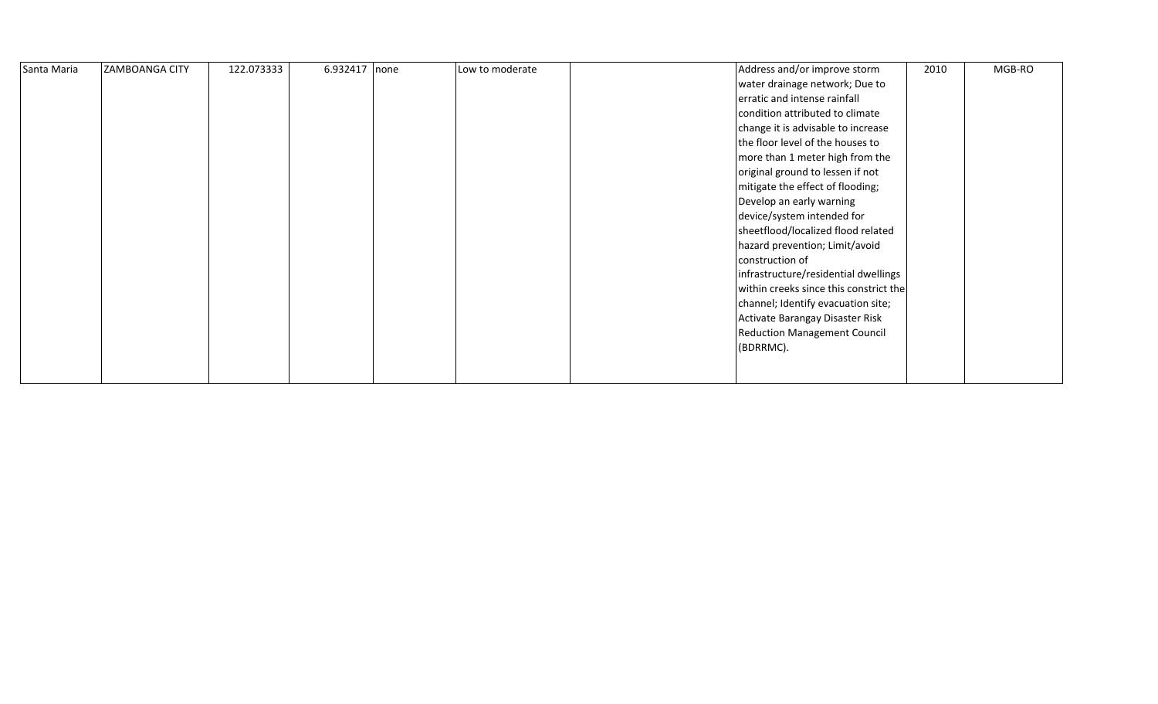| Santa Maria | <b>ZAMBOANGA CITY</b> | 122.073333 | 6.932417 none | Low to moderate | Address and/or improve storm           | 2010 | MGB-RO |
|-------------|-----------------------|------------|---------------|-----------------|----------------------------------------|------|--------|
|             |                       |            |               |                 | water drainage network; Due to         |      |        |
|             |                       |            |               |                 | erratic and intense rainfall           |      |        |
|             |                       |            |               |                 | condition attributed to climate        |      |        |
|             |                       |            |               |                 | change it is advisable to increase     |      |        |
|             |                       |            |               |                 | the floor level of the houses to       |      |        |
|             |                       |            |               |                 | more than 1 meter high from the        |      |        |
|             |                       |            |               |                 | original ground to lessen if not       |      |        |
|             |                       |            |               |                 | mitigate the effect of flooding;       |      |        |
|             |                       |            |               |                 | Develop an early warning               |      |        |
|             |                       |            |               |                 | device/system intended for             |      |        |
|             |                       |            |               |                 | sheetflood/localized flood related     |      |        |
|             |                       |            |               |                 | hazard prevention; Limit/avoid         |      |        |
|             |                       |            |               |                 | construction of                        |      |        |
|             |                       |            |               |                 | infrastructure/residential dwellings   |      |        |
|             |                       |            |               |                 | within creeks since this constrict the |      |        |
|             |                       |            |               |                 | channel; Identify evacuation site;     |      |        |
|             |                       |            |               |                 | Activate Barangay Disaster Risk        |      |        |
|             |                       |            |               |                 | <b>Reduction Management Council</b>    |      |        |
|             |                       |            |               |                 | (BDRRMC).                              |      |        |
|             |                       |            |               |                 |                                        |      |        |
|             |                       |            |               |                 |                                        |      |        |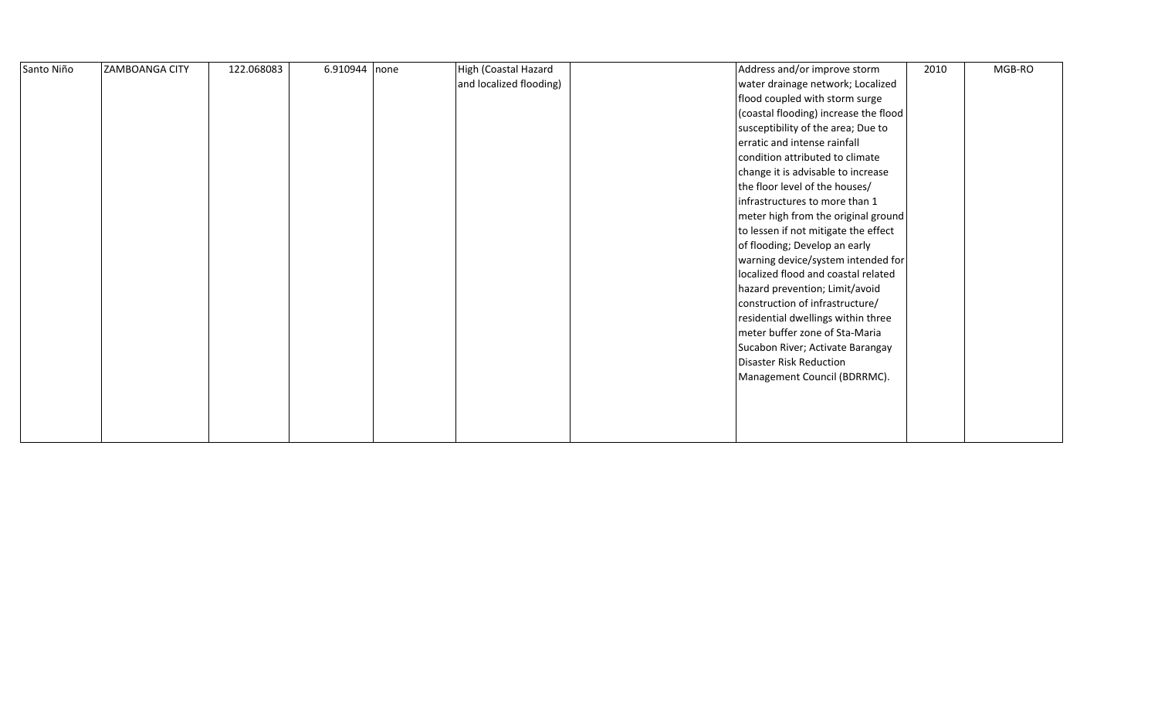| Santo Niño | <b>ZAMBOANGA CITY</b> | 122.068083 | 6.910944 none | High (Coastal Hazard    | Address and/or improve storm          | 2010 | MGB-RO |
|------------|-----------------------|------------|---------------|-------------------------|---------------------------------------|------|--------|
|            |                       |            |               | and localized flooding) | water drainage network; Localized     |      |        |
|            |                       |            |               |                         | flood coupled with storm surge        |      |        |
|            |                       |            |               |                         | (coastal flooding) increase the flood |      |        |
|            |                       |            |               |                         | susceptibility of the area; Due to    |      |        |
|            |                       |            |               |                         | erratic and intense rainfall          |      |        |
|            |                       |            |               |                         | condition attributed to climate       |      |        |
|            |                       |            |               |                         | change it is advisable to increase    |      |        |
|            |                       |            |               |                         | the floor level of the houses/        |      |        |
|            |                       |            |               |                         | infrastructures to more than 1        |      |        |
|            |                       |            |               |                         | meter high from the original ground   |      |        |
|            |                       |            |               |                         | to lessen if not mitigate the effect  |      |        |
|            |                       |            |               |                         | of flooding; Develop an early         |      |        |
|            |                       |            |               |                         | warning device/system intended for    |      |        |
|            |                       |            |               |                         | localized flood and coastal related   |      |        |
|            |                       |            |               |                         | hazard prevention; Limit/avoid        |      |        |
|            |                       |            |               |                         | construction of infrastructure/       |      |        |
|            |                       |            |               |                         | residential dwellings within three    |      |        |
|            |                       |            |               |                         | meter buffer zone of Sta-Maria        |      |        |
|            |                       |            |               |                         | Sucabon River; Activate Barangay      |      |        |
|            |                       |            |               |                         | Disaster Risk Reduction               |      |        |
|            |                       |            |               |                         | Management Council (BDRRMC).          |      |        |
|            |                       |            |               |                         |                                       |      |        |
|            |                       |            |               |                         |                                       |      |        |
|            |                       |            |               |                         |                                       |      |        |
|            |                       |            |               |                         |                                       |      |        |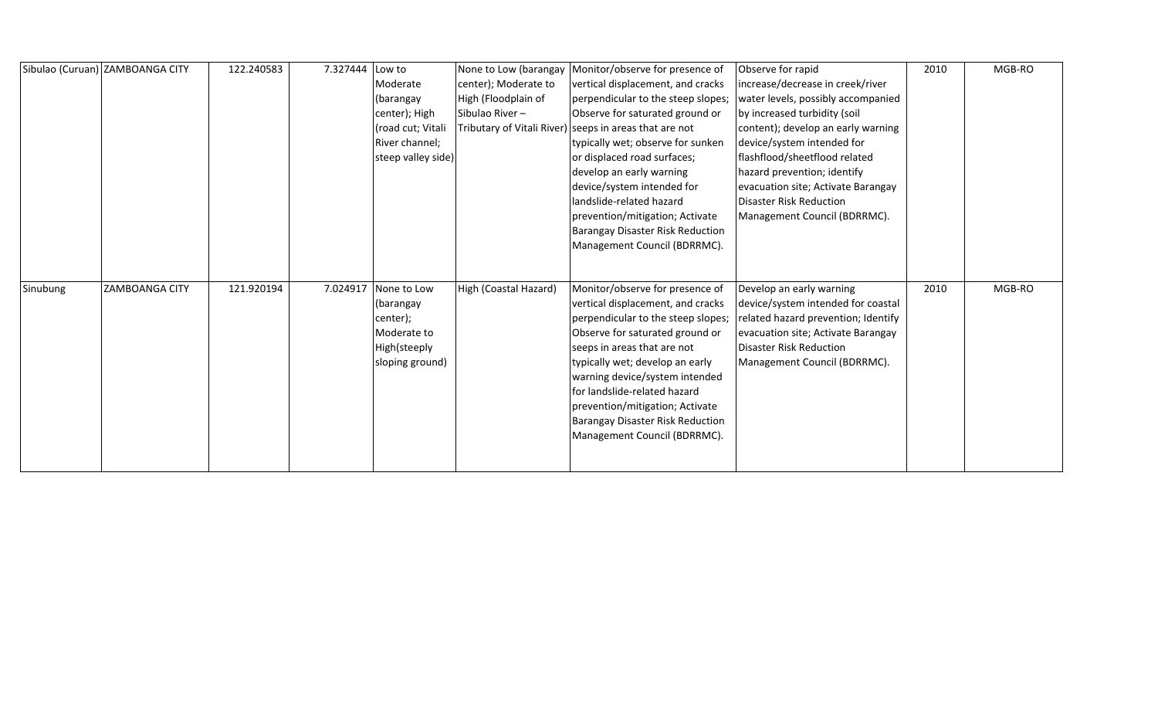|          | Sibulao (Curuan) ZAMBOANGA CITY | 122.240583 | 7.327444 | Low to             |                       | None to Low (barangay   Monitor/observe for presence of | Observe for rapid                   | 2010 | MGB-RO |
|----------|---------------------------------|------------|----------|--------------------|-----------------------|---------------------------------------------------------|-------------------------------------|------|--------|
|          |                                 |            |          | Moderate           | center); Moderate to  | vertical displacement, and cracks                       | increase/decrease in creek/river    |      |        |
|          |                                 |            |          | (barangay          | High (Floodplain of   | perpendicular to the steep slopes;                      | water levels, possibly accompanied  |      |        |
|          |                                 |            |          | center); High      | Sibulao River-        | Observe for saturated ground or                         | by increased turbidity (soil        |      |        |
|          |                                 |            |          | (road cut; Vitali  |                       | Tributary of Vitali River) seeps in areas that are not  | content); develop an early warning  |      |        |
|          |                                 |            |          | River channel;     |                       | typically wet; observe for sunken                       | device/system intended for          |      |        |
|          |                                 |            |          | steep valley side) |                       | or displaced road surfaces;                             | flashflood/sheetflood related       |      |        |
|          |                                 |            |          |                    |                       | develop an early warning                                | hazard prevention; identify         |      |        |
|          |                                 |            |          |                    |                       | device/system intended for                              | evacuation site; Activate Barangay  |      |        |
|          |                                 |            |          |                    |                       | landslide-related hazard                                | <b>Disaster Risk Reduction</b>      |      |        |
|          |                                 |            |          |                    |                       | prevention/mitigation; Activate                         | Management Council (BDRRMC).        |      |        |
|          |                                 |            |          |                    |                       | Barangay Disaster Risk Reduction                        |                                     |      |        |
|          |                                 |            |          |                    |                       | Management Council (BDRRMC).                            |                                     |      |        |
|          |                                 |            |          |                    |                       |                                                         |                                     |      |        |
|          |                                 |            |          |                    |                       |                                                         |                                     |      |        |
| Sinubung | <b>ZAMBOANGA CITY</b>           | 121.920194 | 7.024917 | None to Low        | High (Coastal Hazard) | Monitor/observe for presence of                         | Develop an early warning            | 2010 | MGB-RO |
|          |                                 |            |          | (barangay          |                       | vertical displacement, and cracks                       | device/system intended for coastal  |      |        |
|          |                                 |            |          | center);           |                       | perpendicular to the steep slopes;                      | related hazard prevention; Identify |      |        |
|          |                                 |            |          | Moderate to        |                       | Observe for saturated ground or                         | evacuation site; Activate Barangay  |      |        |
|          |                                 |            |          | High(steeply       |                       | seeps in areas that are not                             | <b>Disaster Risk Reduction</b>      |      |        |
|          |                                 |            |          | sloping ground)    |                       | typically wet; develop an early                         | Management Council (BDRRMC).        |      |        |
|          |                                 |            |          |                    |                       | warning device/system intended                          |                                     |      |        |
|          |                                 |            |          |                    |                       | for landslide-related hazard                            |                                     |      |        |
|          |                                 |            |          |                    |                       | prevention/mitigation; Activate                         |                                     |      |        |
|          |                                 |            |          |                    |                       | Barangay Disaster Risk Reduction                        |                                     |      |        |
|          |                                 |            |          |                    |                       | Management Council (BDRRMC).                            |                                     |      |        |
|          |                                 |            |          |                    |                       |                                                         |                                     |      |        |
|          |                                 |            |          |                    |                       |                                                         |                                     |      |        |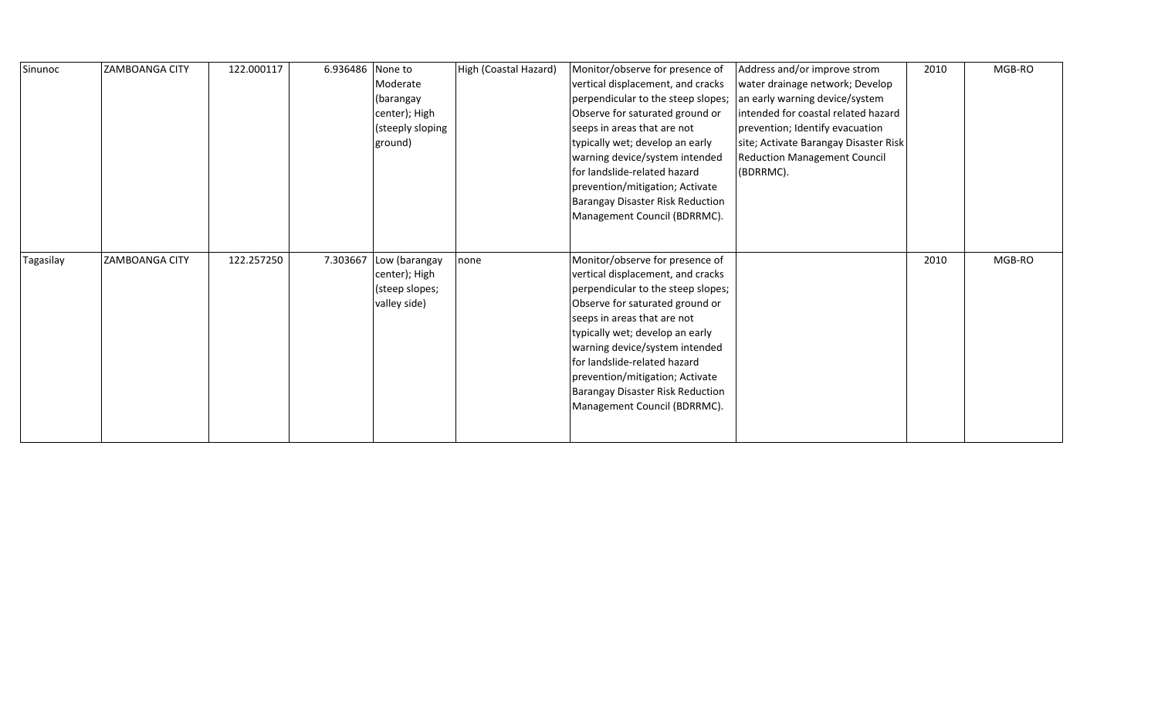| Sinunoc   | ZAMBOANGA CITY | 122.000117 | 6.936486 | None to<br>Moderate<br>(barangay<br>center); High<br>(steeply sloping<br>ground) | High (Coastal Hazard) | Monitor/observe for presence of<br>vertical displacement, and cracks<br>perpendicular to the steep slopes;<br>Observe for saturated ground or<br>seeps in areas that are not<br>typically wet; develop an early<br>warning device/system intended<br>for landslide-related hazard<br>prevention/mitigation; Activate<br>Barangay Disaster Risk Reduction<br>Management Council (BDRRMC). | Address and/or improve strom<br>water drainage network; Develop<br>an early warning device/system<br>intended for coastal related hazard<br>prevention; Identify evacuation<br>site; Activate Barangay Disaster Risk<br><b>Reduction Management Council</b><br>(BDRRMC). | 2010 | MGB-RO |
|-----------|----------------|------------|----------|----------------------------------------------------------------------------------|-----------------------|------------------------------------------------------------------------------------------------------------------------------------------------------------------------------------------------------------------------------------------------------------------------------------------------------------------------------------------------------------------------------------------|--------------------------------------------------------------------------------------------------------------------------------------------------------------------------------------------------------------------------------------------------------------------------|------|--------|
| Tagasilay | ZAMBOANGA CITY | 122.257250 | 7.303667 | Low (barangay<br>center); High<br>(steep slopes;<br>valley side)                 | none                  | Monitor/observe for presence of<br>vertical displacement, and cracks<br>perpendicular to the steep slopes;<br>Observe for saturated ground or<br>seeps in areas that are not<br>typically wet; develop an early<br>warning device/system intended<br>for landslide-related hazard<br>prevention/mitigation; Activate<br>Barangay Disaster Risk Reduction<br>Management Council (BDRRMC). |                                                                                                                                                                                                                                                                          | 2010 | MGB-RO |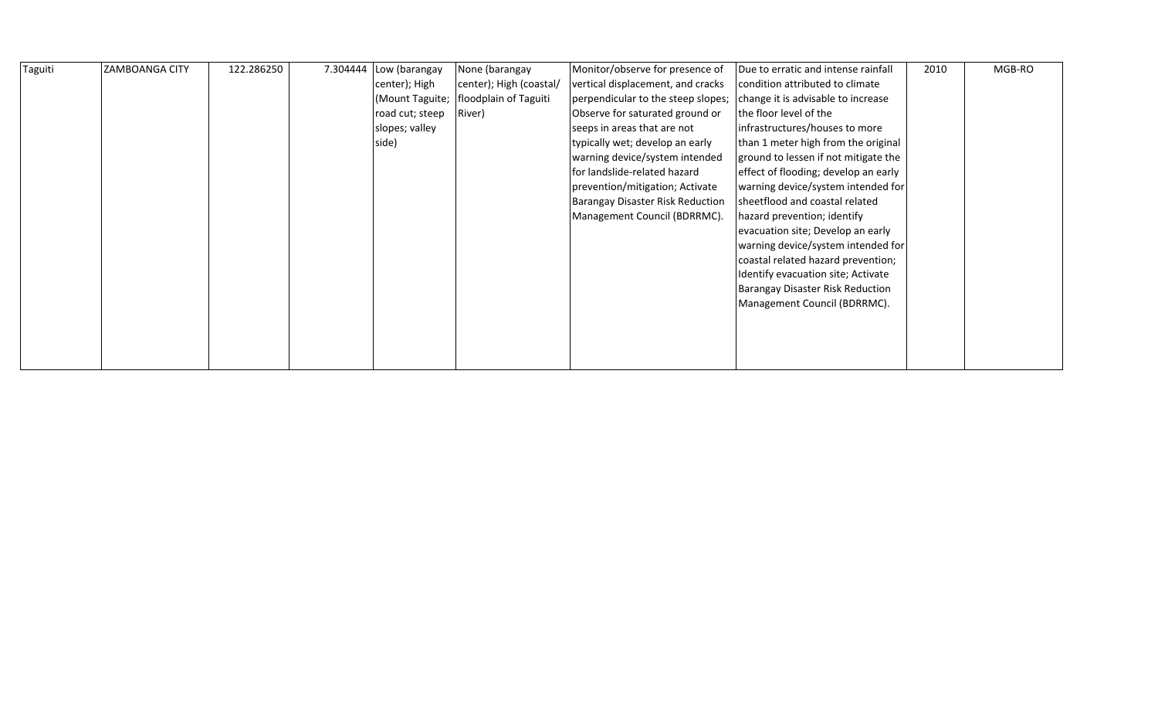| Taguiti | <b>ZAMBOANGA CITY</b> | 122.286250 | 7.304444 | Low (barangay   | None (barangay          | Monitor/observe for presence of    | Due to erratic and intense rainfall  | 2010 | MGB-RO |
|---------|-----------------------|------------|----------|-----------------|-------------------------|------------------------------------|--------------------------------------|------|--------|
|         |                       |            |          | center); High   | center); High (coastal/ | vertical displacement, and cracks  | condition attributed to climate      |      |        |
|         |                       |            |          | (Mount Taguite; | floodplain of Taguiti   | perpendicular to the steep slopes; | change it is advisable to increase   |      |        |
|         |                       |            |          | road cut; steep | River)                  | Observe for saturated ground or    | the floor level of the               |      |        |
|         |                       |            |          | slopes; valley  |                         | seeps in areas that are not        | infrastructures/houses to more       |      |        |
|         |                       |            |          | side)           |                         | typically wet; develop an early    | than 1 meter high from the original  |      |        |
|         |                       |            |          |                 |                         | warning device/system intended     | ground to lessen if not mitigate the |      |        |
|         |                       |            |          |                 |                         | for landslide-related hazard       | effect of flooding; develop an early |      |        |
|         |                       |            |          |                 |                         | prevention/mitigation; Activate    | warning device/system intended for   |      |        |
|         |                       |            |          |                 |                         | Barangay Disaster Risk Reduction   | sheetflood and coastal related       |      |        |
|         |                       |            |          |                 |                         | Management Council (BDRRMC).       | hazard prevention; identify          |      |        |
|         |                       |            |          |                 |                         |                                    | evacuation site; Develop an early    |      |        |
|         |                       |            |          |                 |                         |                                    | warning device/system intended for   |      |        |
|         |                       |            |          |                 |                         |                                    | coastal related hazard prevention;   |      |        |
|         |                       |            |          |                 |                         |                                    | Identify evacuation site; Activate   |      |        |
|         |                       |            |          |                 |                         |                                    | Barangay Disaster Risk Reduction     |      |        |
|         |                       |            |          |                 |                         |                                    | Management Council (BDRRMC).         |      |        |
|         |                       |            |          |                 |                         |                                    |                                      |      |        |
|         |                       |            |          |                 |                         |                                    |                                      |      |        |
|         |                       |            |          |                 |                         |                                    |                                      |      |        |
|         |                       |            |          |                 |                         |                                    |                                      |      |        |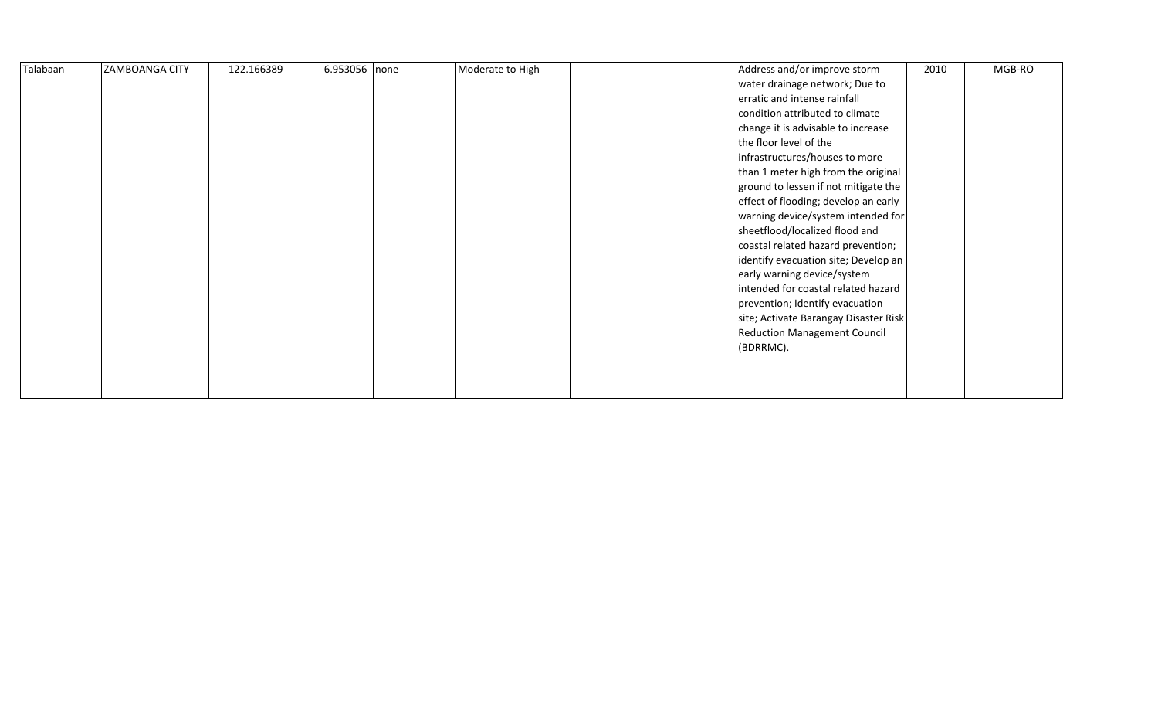| Talabaan | <b>ZAMBOANGA CITY</b> | 122.166389 | 6.953056 none | Moderate to High | Address and/or improve storm          | 2010 | MGB-RO |
|----------|-----------------------|------------|---------------|------------------|---------------------------------------|------|--------|
|          |                       |            |               |                  | water drainage network; Due to        |      |        |
|          |                       |            |               |                  | erratic and intense rainfall          |      |        |
|          |                       |            |               |                  | condition attributed to climate       |      |        |
|          |                       |            |               |                  | change it is advisable to increase    |      |        |
|          |                       |            |               |                  | the floor level of the                |      |        |
|          |                       |            |               |                  | infrastructures/houses to more        |      |        |
|          |                       |            |               |                  | than 1 meter high from the original   |      |        |
|          |                       |            |               |                  | ground to lessen if not mitigate the  |      |        |
|          |                       |            |               |                  | effect of flooding; develop an early  |      |        |
|          |                       |            |               |                  | warning device/system intended for    |      |        |
|          |                       |            |               |                  | sheetflood/localized flood and        |      |        |
|          |                       |            |               |                  | coastal related hazard prevention;    |      |        |
|          |                       |            |               |                  | identify evacuation site; Develop an  |      |        |
|          |                       |            |               |                  | early warning device/system           |      |        |
|          |                       |            |               |                  | intended for coastal related hazard   |      |        |
|          |                       |            |               |                  | prevention; Identify evacuation       |      |        |
|          |                       |            |               |                  | site; Activate Barangay Disaster Risk |      |        |
|          |                       |            |               |                  | <b>Reduction Management Council</b>   |      |        |
|          |                       |            |               |                  | (BDRRMC).                             |      |        |
|          |                       |            |               |                  |                                       |      |        |
|          |                       |            |               |                  |                                       |      |        |
|          |                       |            |               |                  |                                       |      |        |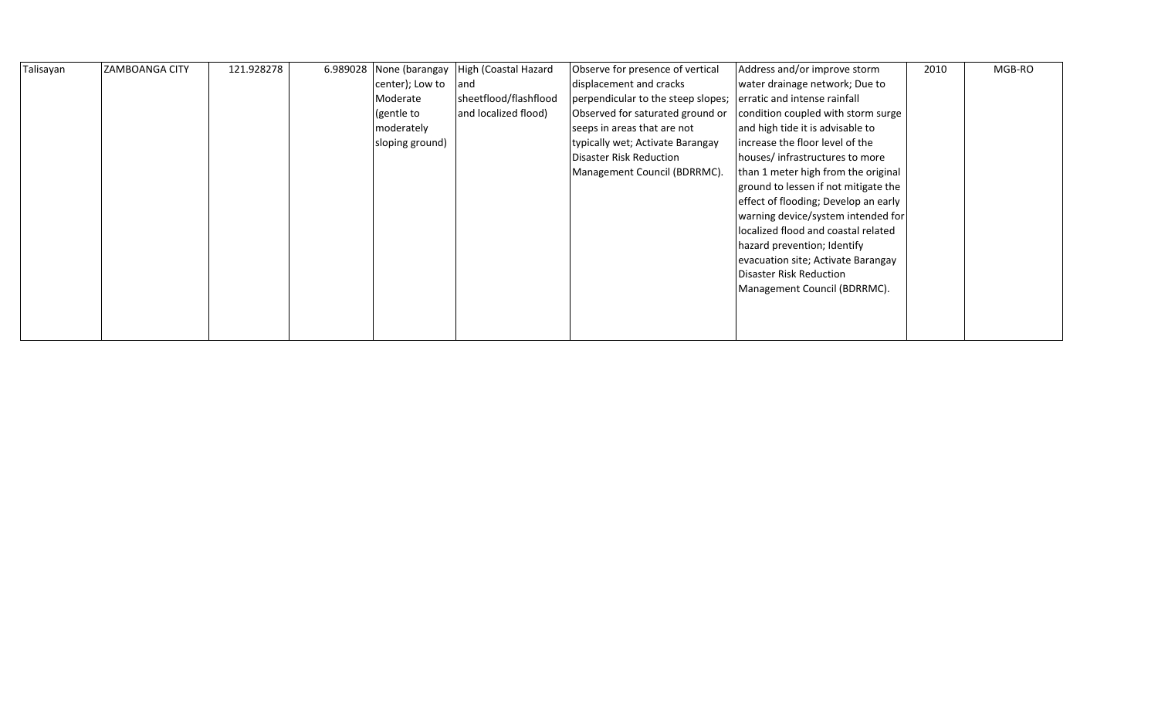| Talisayan | <b>ZAMBOANGA CITY</b> | 121.928278 | 6.989028 None (barangay | High (Coastal Hazard  | Observe for presence of vertical   | Address and/or improve storm         | 2010 | MGB-RO |
|-----------|-----------------------|------------|-------------------------|-----------------------|------------------------------------|--------------------------------------|------|--------|
|           |                       |            | center); Low to         | and                   | displacement and cracks            | water drainage network; Due to       |      |        |
|           |                       |            | Moderate                | sheetflood/flashflood | perpendicular to the steep slopes; | erratic and intense rainfall         |      |        |
|           |                       |            | (gentle to              | and localized flood)  | Observed for saturated ground or   | condition coupled with storm surge   |      |        |
|           |                       |            | moderately              |                       | seeps in areas that are not        | and high tide it is advisable to     |      |        |
|           |                       |            | sloping ground)         |                       | typically wet; Activate Barangay   | lincrease the floor level of the     |      |        |
|           |                       |            |                         |                       | Disaster Risk Reduction            | houses/infrastructures to more       |      |        |
|           |                       |            |                         |                       | Management Council (BDRRMC).       | than 1 meter high from the original  |      |        |
|           |                       |            |                         |                       |                                    | ground to lessen if not mitigate the |      |        |
|           |                       |            |                         |                       |                                    | effect of flooding; Develop an early |      |        |
|           |                       |            |                         |                       |                                    | warning device/system intended for   |      |        |
|           |                       |            |                         |                       |                                    | localized flood and coastal related  |      |        |
|           |                       |            |                         |                       |                                    | hazard prevention; Identify          |      |        |
|           |                       |            |                         |                       |                                    | evacuation site; Activate Barangay   |      |        |
|           |                       |            |                         |                       |                                    | Disaster Risk Reduction              |      |        |
|           |                       |            |                         |                       |                                    | Management Council (BDRRMC).         |      |        |
|           |                       |            |                         |                       |                                    |                                      |      |        |
|           |                       |            |                         |                       |                                    |                                      |      |        |
|           |                       |            |                         |                       |                                    |                                      |      |        |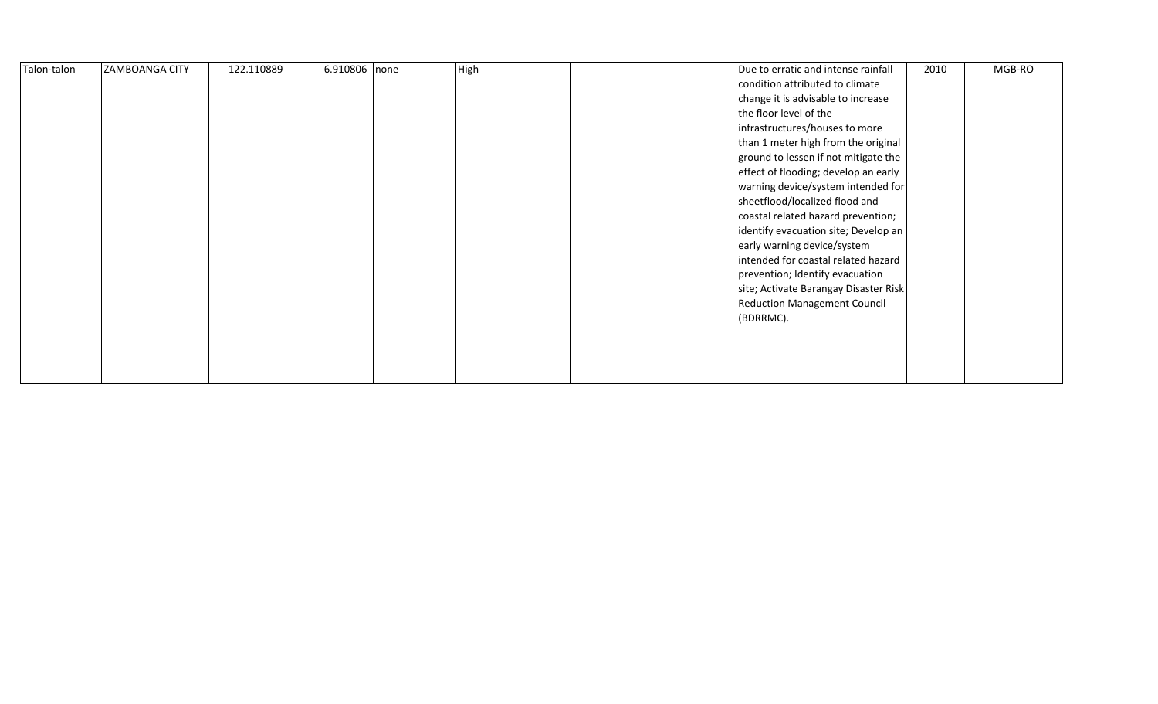| Talon-talon | <b>ZAMBOANGA CITY</b> | 122.110889 | 6.910806 none | High | Due to erratic and intense rainfall<br>condition attributed to climate<br>change it is advisable to increase<br>the floor level of the<br>infrastructures/houses to more<br>than 1 meter high from the original<br>ground to lessen if not mitigate the<br>effect of flooding; develop an early<br>warning device/system intended for<br>sheetflood/localized flood and<br>coastal related hazard prevention;<br>identify evacuation site; Develop an<br>early warning device/system<br>intended for coastal related hazard<br>prevention; Identify evacuation<br>site; Activate Barangay Disaster Risk<br><b>Reduction Management Council</b><br>(BDRRMC). | 2010 | MGB-RO |
|-------------|-----------------------|------------|---------------|------|-------------------------------------------------------------------------------------------------------------------------------------------------------------------------------------------------------------------------------------------------------------------------------------------------------------------------------------------------------------------------------------------------------------------------------------------------------------------------------------------------------------------------------------------------------------------------------------------------------------------------------------------------------------|------|--------|
|             |                       |            |               |      |                                                                                                                                                                                                                                                                                                                                                                                                                                                                                                                                                                                                                                                             |      |        |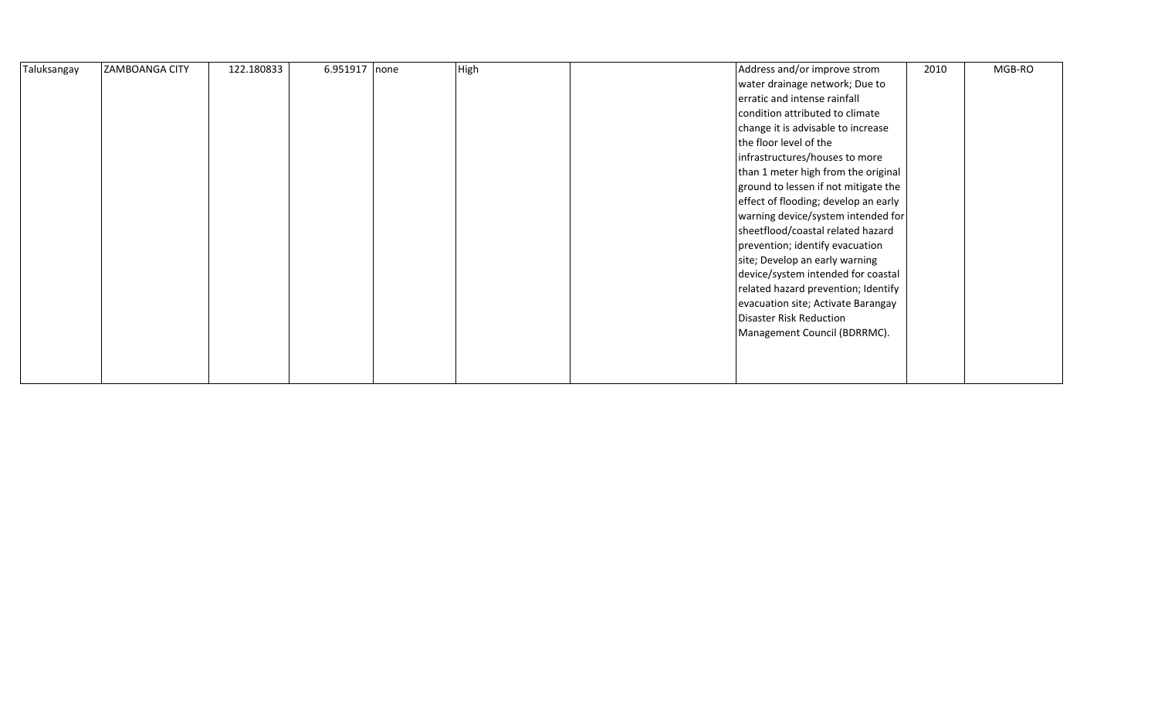| Taluksangay | <b>ZAMBOANGA CITY</b> | 122.180833 | 6.951917 none | High | Address and/or improve strom         | 2010 | MGB-RO |
|-------------|-----------------------|------------|---------------|------|--------------------------------------|------|--------|
|             |                       |            |               |      | water drainage network; Due to       |      |        |
|             |                       |            |               |      | erratic and intense rainfall         |      |        |
|             |                       |            |               |      | condition attributed to climate      |      |        |
|             |                       |            |               |      | change it is advisable to increase   |      |        |
|             |                       |            |               |      | the floor level of the               |      |        |
|             |                       |            |               |      | infrastructures/houses to more       |      |        |
|             |                       |            |               |      | than 1 meter high from the original  |      |        |
|             |                       |            |               |      | ground to lessen if not mitigate the |      |        |
|             |                       |            |               |      | effect of flooding; develop an early |      |        |
|             |                       |            |               |      | warning device/system intended for   |      |        |
|             |                       |            |               |      | sheetflood/coastal related hazard    |      |        |
|             |                       |            |               |      | prevention; identify evacuation      |      |        |
|             |                       |            |               |      | site; Develop an early warning       |      |        |
|             |                       |            |               |      | device/system intended for coastal   |      |        |
|             |                       |            |               |      | related hazard prevention; Identify  |      |        |
|             |                       |            |               |      | evacuation site; Activate Barangay   |      |        |
|             |                       |            |               |      | Disaster Risk Reduction              |      |        |
|             |                       |            |               |      | Management Council (BDRRMC).         |      |        |
|             |                       |            |               |      |                                      |      |        |
|             |                       |            |               |      |                                      |      |        |
|             |                       |            |               |      |                                      |      |        |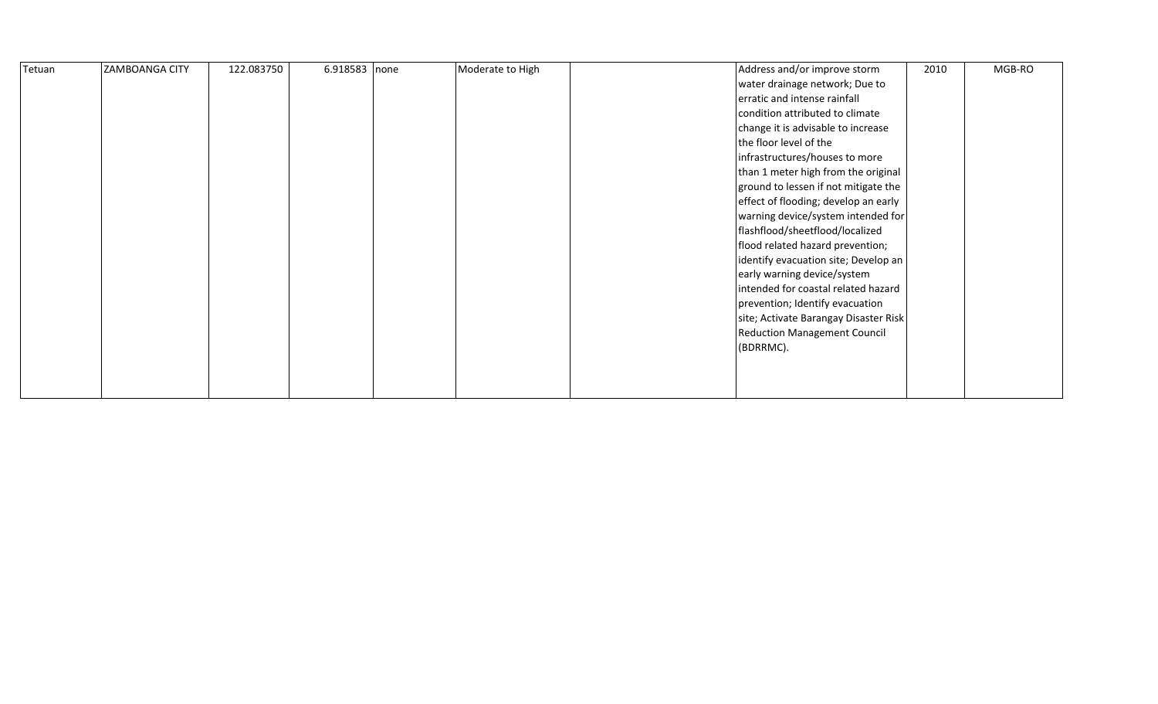| Tetuan | ZAMBOANGA CITY | 122.083750 | 6.918583 none | Moderate to High | Address and/or improve storm          | 2010 | MGB-RO |
|--------|----------------|------------|---------------|------------------|---------------------------------------|------|--------|
|        |                |            |               |                  | water drainage network; Due to        |      |        |
|        |                |            |               |                  | erratic and intense rainfall          |      |        |
|        |                |            |               |                  | condition attributed to climate       |      |        |
|        |                |            |               |                  | change it is advisable to increase    |      |        |
|        |                |            |               |                  | the floor level of the                |      |        |
|        |                |            |               |                  | infrastructures/houses to more        |      |        |
|        |                |            |               |                  | than 1 meter high from the original   |      |        |
|        |                |            |               |                  | ground to lessen if not mitigate the  |      |        |
|        |                |            |               |                  | effect of flooding; develop an early  |      |        |
|        |                |            |               |                  | warning device/system intended for    |      |        |
|        |                |            |               |                  | flashflood/sheetflood/localized       |      |        |
|        |                |            |               |                  | flood related hazard prevention;      |      |        |
|        |                |            |               |                  | identify evacuation site; Develop an  |      |        |
|        |                |            |               |                  | early warning device/system           |      |        |
|        |                |            |               |                  | intended for coastal related hazard   |      |        |
|        |                |            |               |                  | prevention; Identify evacuation       |      |        |
|        |                |            |               |                  | site; Activate Barangay Disaster Risk |      |        |
|        |                |            |               |                  | <b>Reduction Management Council</b>   |      |        |
|        |                |            |               |                  | (BDRRMC).                             |      |        |
|        |                |            |               |                  |                                       |      |        |
|        |                |            |               |                  |                                       |      |        |
|        |                |            |               |                  |                                       |      |        |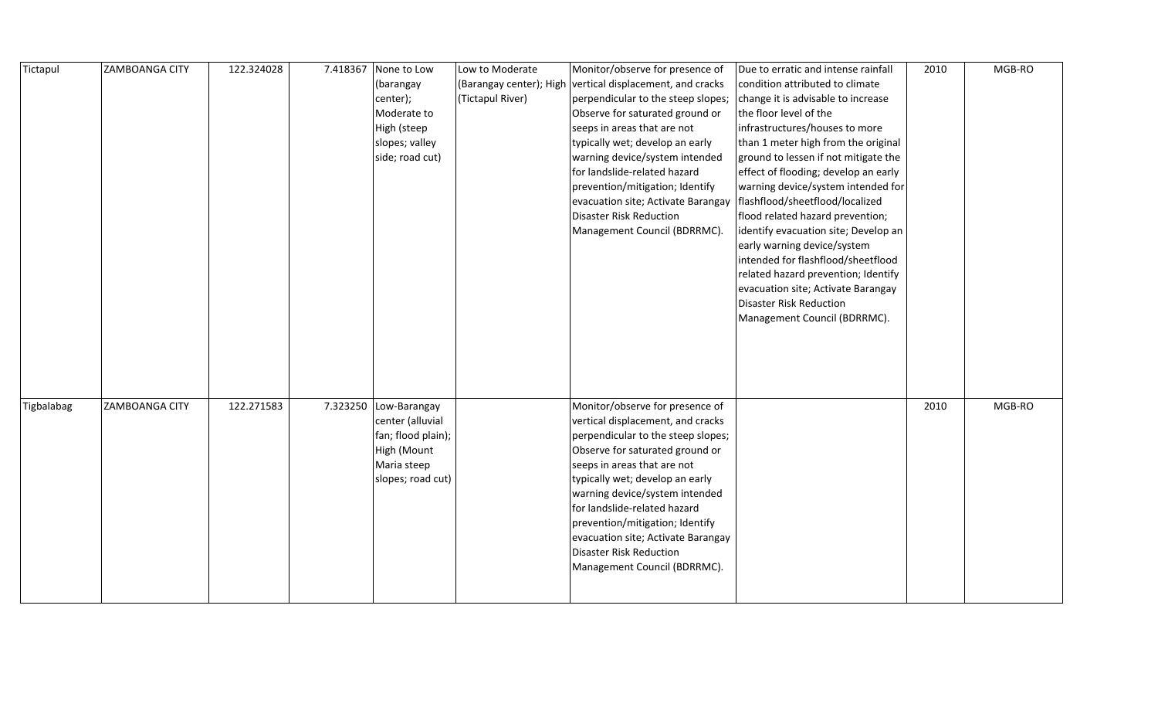| Tictapul   | <b>ZAMBOANGA CITY</b> | 122.324028 | 7.418367 | None to Low           | Low to Moderate         | Monitor/observe for presence of                                                               | Due to erratic and intense rainfall  | 2010 | MGB-RO |
|------------|-----------------------|------------|----------|-----------------------|-------------------------|-----------------------------------------------------------------------------------------------|--------------------------------------|------|--------|
|            |                       |            |          | (barangay             | (Barangay center); High | vertical displacement, and cracks                                                             | condition attributed to climate      |      |        |
|            |                       |            |          | center);              | (Tictapul River)        | perpendicular to the steep slopes;                                                            | change it is advisable to increase   |      |        |
|            |                       |            |          | Moderate to           |                         | Observe for saturated ground or                                                               | the floor level of the               |      |        |
|            |                       |            |          | High (steep           |                         | seeps in areas that are not                                                                   | infrastructures/houses to more       |      |        |
|            |                       |            |          | slopes; valley        |                         | typically wet; develop an early                                                               | than 1 meter high from the original  |      |        |
|            |                       |            |          | side; road cut)       |                         | warning device/system intended                                                                | ground to lessen if not mitigate the |      |        |
|            |                       |            |          |                       |                         | for landslide-related hazard                                                                  | effect of flooding; develop an early |      |        |
|            |                       |            |          |                       |                         | prevention/mitigation; Identify                                                               | warning device/system intended for   |      |        |
|            |                       |            |          |                       |                         | evacuation site; Activate Barangay                                                            | flashflood/sheetflood/localized      |      |        |
|            |                       |            |          |                       |                         | <b>Disaster Risk Reduction</b>                                                                | flood related hazard prevention;     |      |        |
|            |                       |            |          |                       |                         | Management Council (BDRRMC).                                                                  | identify evacuation site; Develop an |      |        |
|            |                       |            |          |                       |                         |                                                                                               | early warning device/system          |      |        |
|            |                       |            |          |                       |                         |                                                                                               | intended for flashflood/sheetflood   |      |        |
|            |                       |            |          |                       |                         |                                                                                               | related hazard prevention; Identify  |      |        |
|            |                       |            |          |                       |                         |                                                                                               | evacuation site; Activate Barangay   |      |        |
|            |                       |            |          |                       |                         |                                                                                               | Disaster Risk Reduction              |      |        |
|            |                       |            |          |                       |                         |                                                                                               | Management Council (BDRRMC).         |      |        |
|            |                       |            |          |                       |                         |                                                                                               |                                      |      |        |
|            |                       |            |          |                       |                         |                                                                                               |                                      |      |        |
|            |                       |            |          |                       |                         |                                                                                               |                                      |      |        |
|            |                       |            |          |                       |                         |                                                                                               |                                      |      |        |
|            |                       |            |          |                       |                         |                                                                                               |                                      |      |        |
| Tigbalabag | <b>ZAMBOANGA CITY</b> | 122.271583 |          | 7.323250 Low-Barangay |                         | Monitor/observe for presence of                                                               |                                      | 2010 | MGB-RO |
|            |                       |            |          | center (alluvial      |                         | vertical displacement, and cracks                                                             |                                      |      |        |
|            |                       |            |          | fan; flood plain);    |                         | perpendicular to the steep slopes;                                                            |                                      |      |        |
|            |                       |            |          | High (Mount           |                         | Observe for saturated ground or                                                               |                                      |      |        |
|            |                       |            |          | Maria steep           |                         | seeps in areas that are not                                                                   |                                      |      |        |
|            |                       |            |          | slopes; road cut)     |                         | typically wet; develop an early                                                               |                                      |      |        |
|            |                       |            |          |                       |                         | warning device/system intended                                                                |                                      |      |        |
|            |                       |            |          |                       |                         | for landslide-related hazard                                                                  |                                      |      |        |
|            |                       |            |          |                       |                         | prevention/mitigation; Identify                                                               |                                      |      |        |
|            |                       |            |          |                       |                         |                                                                                               |                                      |      |        |
|            |                       |            |          |                       |                         |                                                                                               |                                      |      |        |
|            |                       |            |          |                       |                         |                                                                                               |                                      |      |        |
|            |                       |            |          |                       |                         |                                                                                               |                                      |      |        |
|            |                       |            |          |                       |                         | evacuation site; Activate Barangay<br>Disaster Risk Reduction<br>Management Council (BDRRMC). |                                      |      |        |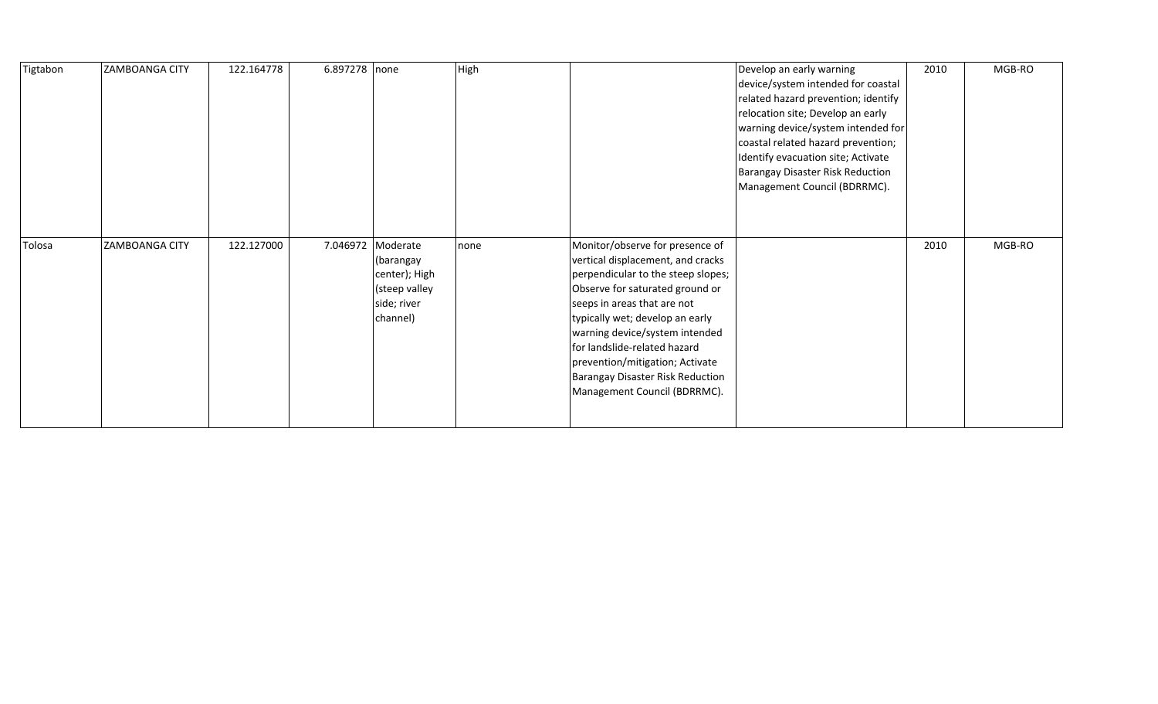| Tigtabon | <b>ZAMBOANGA CITY</b> | 122.164778 | 6.897278 none |                                                                                             | High |                                                                                                                                                                                                                                                                                                                                                                                          | Develop an early warning<br>device/system intended for coastal<br>related hazard prevention; identify<br>relocation site; Develop an early<br>warning device/system intended for<br>coastal related hazard prevention;<br>Identify evacuation site; Activate<br>Barangay Disaster Risk Reduction<br>Management Council (BDRRMC). | 2010 | MGB-RO |
|----------|-----------------------|------------|---------------|---------------------------------------------------------------------------------------------|------|------------------------------------------------------------------------------------------------------------------------------------------------------------------------------------------------------------------------------------------------------------------------------------------------------------------------------------------------------------------------------------------|----------------------------------------------------------------------------------------------------------------------------------------------------------------------------------------------------------------------------------------------------------------------------------------------------------------------------------|------|--------|
| Tolosa   | <b>ZAMBOANGA CITY</b> | 122.127000 |               | 7.046972 Moderate<br>(barangay<br>center); High<br>(steep valley<br>side; river<br>channel) | none | Monitor/observe for presence of<br>vertical displacement, and cracks<br>perpendicular to the steep slopes;<br>Observe for saturated ground or<br>seeps in areas that are not<br>typically wet; develop an early<br>warning device/system intended<br>for landslide-related hazard<br>prevention/mitigation; Activate<br>Barangay Disaster Risk Reduction<br>Management Council (BDRRMC). |                                                                                                                                                                                                                                                                                                                                  | 2010 | MGB-RO |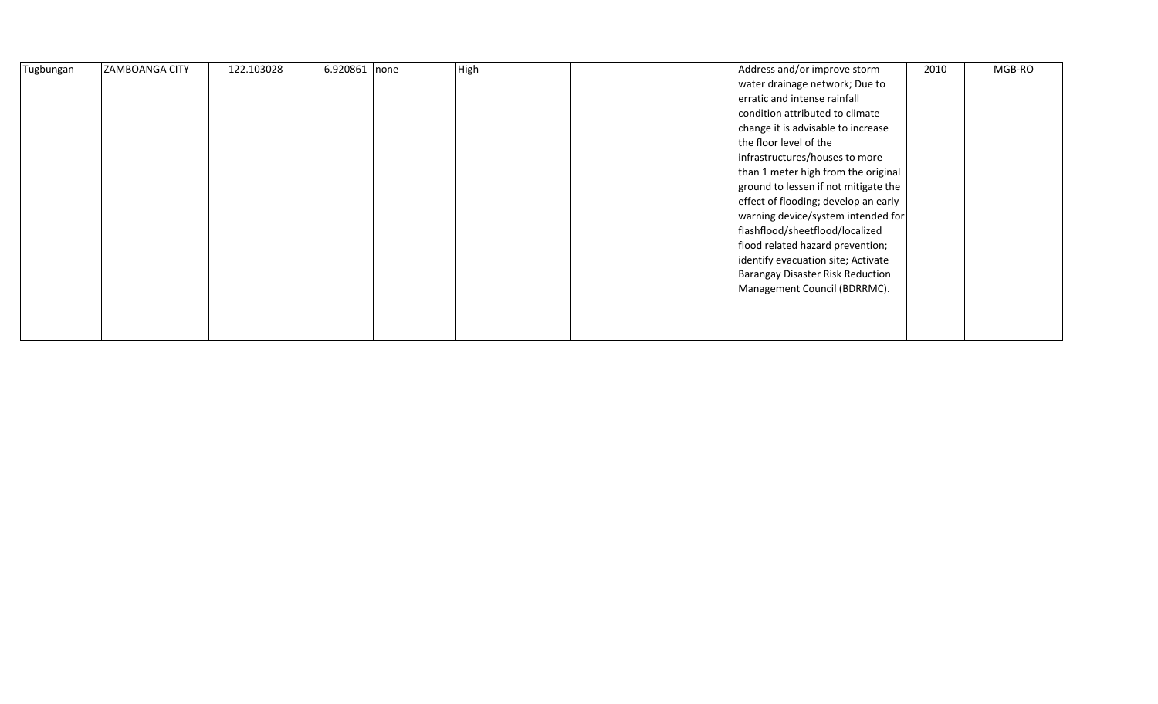| Tugbungan | <b>ZAMBOANGA CITY</b> | 122.103028 | 6.920861 none | High | Address and/or improve storm         | 2010 | MGB-RO |
|-----------|-----------------------|------------|---------------|------|--------------------------------------|------|--------|
|           |                       |            |               |      | water drainage network; Due to       |      |        |
|           |                       |            |               |      | erratic and intense rainfall         |      |        |
|           |                       |            |               |      | condition attributed to climate      |      |        |
|           |                       |            |               |      | change it is advisable to increase   |      |        |
|           |                       |            |               |      | the floor level of the               |      |        |
|           |                       |            |               |      | infrastructures/houses to more       |      |        |
|           |                       |            |               |      | than 1 meter high from the original  |      |        |
|           |                       |            |               |      | ground to lessen if not mitigate the |      |        |
|           |                       |            |               |      | effect of flooding; develop an early |      |        |
|           |                       |            |               |      | warning device/system intended for   |      |        |
|           |                       |            |               |      | flashflood/sheetflood/localized      |      |        |
|           |                       |            |               |      | flood related hazard prevention;     |      |        |
|           |                       |            |               |      | identify evacuation site; Activate   |      |        |
|           |                       |            |               |      | Barangay Disaster Risk Reduction     |      |        |
|           |                       |            |               |      | Management Council (BDRRMC).         |      |        |
|           |                       |            |               |      |                                      |      |        |
|           |                       |            |               |      |                                      |      |        |
|           |                       |            |               |      |                                      |      |        |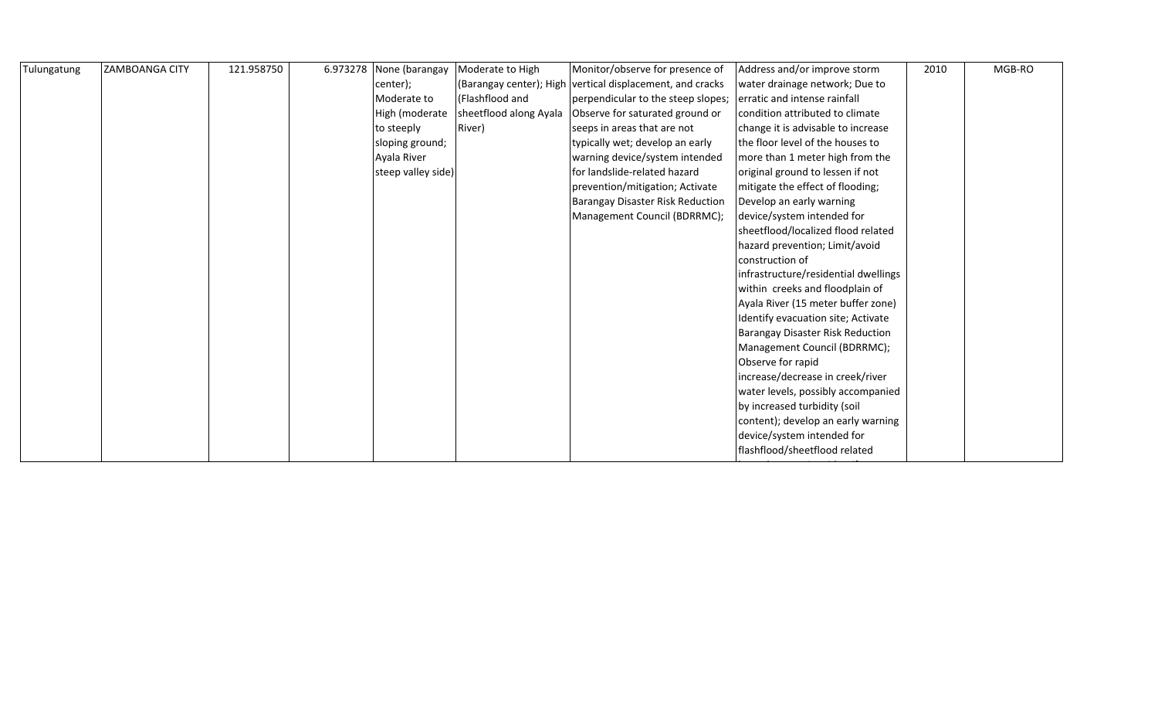| Tulungatung | <b>ZAMBOANGA CITY</b> | 121.958750 | 6.973278 None (barangay | Moderate to High        | Monitor/observe for presence of                                 | Address and/or improve storm         | 2010 | MGB-RO |
|-------------|-----------------------|------------|-------------------------|-------------------------|-----------------------------------------------------------------|--------------------------------------|------|--------|
|             |                       |            | center);                | (Barangay center); High | vertical displacement, and cracks                               | water drainage network; Due to       |      |        |
|             |                       |            | Moderate to             | (Flashflood and         | perpendicular to the steep slopes; erratic and intense rainfall |                                      |      |        |
|             |                       |            | High (moderate          | sheetflood along Ayala  | Observe for saturated ground or                                 | condition attributed to climate      |      |        |
|             |                       |            | to steeply              | River)                  | seeps in areas that are not                                     | change it is advisable to increase   |      |        |
|             |                       |            | sloping ground;         |                         | typically wet; develop an early                                 | the floor level of the houses to     |      |        |
|             |                       |            | Ayala River             |                         | warning device/system intended                                  | more than 1 meter high from the      |      |        |
|             |                       |            | steep valley side)      |                         | for landslide-related hazard                                    | original ground to lessen if not     |      |        |
|             |                       |            |                         |                         | prevention/mitigation; Activate                                 | mitigate the effect of flooding;     |      |        |
|             |                       |            |                         |                         | Barangay Disaster Risk Reduction                                | Develop an early warning             |      |        |
|             |                       |            |                         |                         | Management Council (BDRRMC);                                    | device/system intended for           |      |        |
|             |                       |            |                         |                         |                                                                 | sheetflood/localized flood related   |      |        |
|             |                       |            |                         |                         |                                                                 | hazard prevention; Limit/avoid       |      |        |
|             |                       |            |                         |                         |                                                                 | construction of                      |      |        |
|             |                       |            |                         |                         |                                                                 | infrastructure/residential dwellings |      |        |
|             |                       |            |                         |                         |                                                                 | within creeks and floodplain of      |      |        |
|             |                       |            |                         |                         |                                                                 | Ayala River (15 meter buffer zone)   |      |        |
|             |                       |            |                         |                         |                                                                 | Identify evacuation site; Activate   |      |        |
|             |                       |            |                         |                         |                                                                 | Barangay Disaster Risk Reduction     |      |        |
|             |                       |            |                         |                         |                                                                 | Management Council (BDRRMC);         |      |        |
|             |                       |            |                         |                         |                                                                 | Observe for rapid                    |      |        |
|             |                       |            |                         |                         |                                                                 | increase/decrease in creek/river     |      |        |
|             |                       |            |                         |                         |                                                                 | water levels, possibly accompanied   |      |        |
|             |                       |            |                         |                         |                                                                 | by increased turbidity (soil         |      |        |
|             |                       |            |                         |                         |                                                                 | content); develop an early warning   |      |        |
|             |                       |            |                         |                         |                                                                 | device/system intended for           |      |        |
|             |                       |            |                         |                         |                                                                 | flashflood/sheetflood related        |      |        |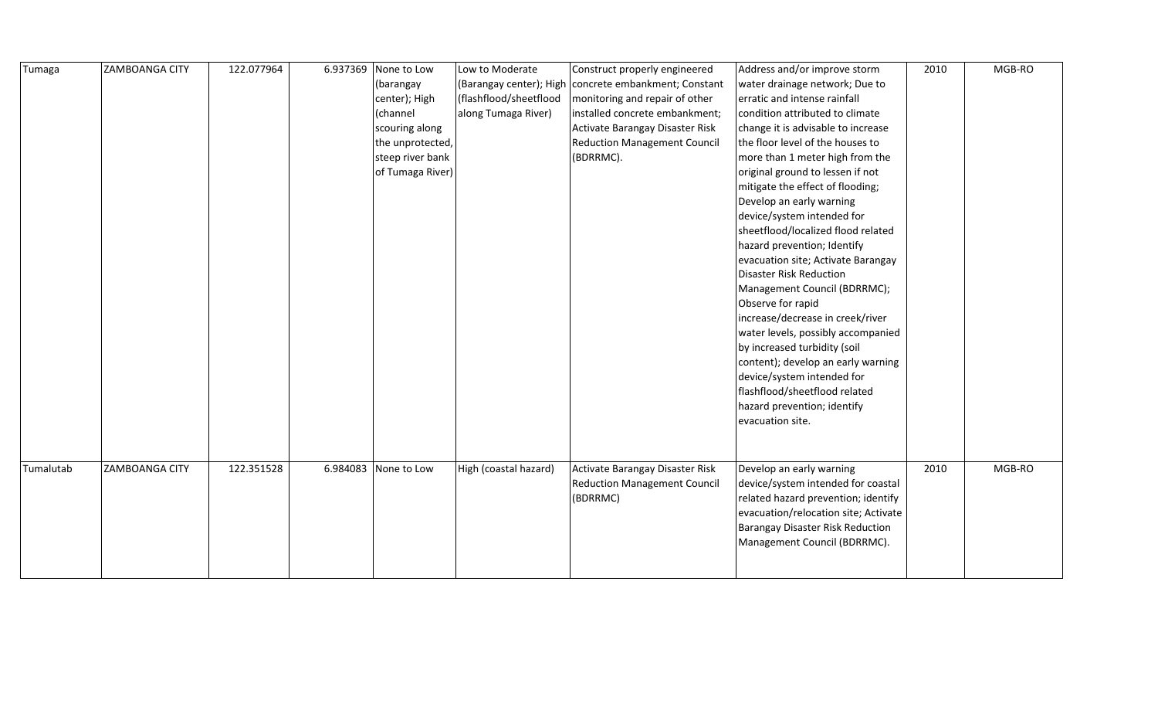| Tumaga    | ZAMBOANGA CITY | 122.077964 | 6.937369 | None to Low      | Low to Moderate         | Construct properly engineered       | Address and/or improve storm         | 2010 | MGB-RO |
|-----------|----------------|------------|----------|------------------|-------------------------|-------------------------------------|--------------------------------------|------|--------|
|           |                |            |          | (barangay        | (Barangay center); High | concrete embankment; Constant       | water drainage network; Due to       |      |        |
|           |                |            |          | center); High    | (flashflood/sheetflood  | monitoring and repair of other      | erratic and intense rainfall         |      |        |
|           |                |            |          | (channel         | along Tumaga River)     | installed concrete embankment;      | condition attributed to climate      |      |        |
|           |                |            |          | scouring along   |                         | Activate Barangay Disaster Risk     | change it is advisable to increase   |      |        |
|           |                |            |          | the unprotected, |                         | <b>Reduction Management Council</b> | the floor level of the houses to     |      |        |
|           |                |            |          | steep river bank |                         | (BDRRMC).                           | more than 1 meter high from the      |      |        |
|           |                |            |          | of Tumaga River) |                         |                                     | original ground to lessen if not     |      |        |
|           |                |            |          |                  |                         |                                     | mitigate the effect of flooding;     |      |        |
|           |                |            |          |                  |                         |                                     | Develop an early warning             |      |        |
|           |                |            |          |                  |                         |                                     | device/system intended for           |      |        |
|           |                |            |          |                  |                         |                                     | sheetflood/localized flood related   |      |        |
|           |                |            |          |                  |                         |                                     | hazard prevention; Identify          |      |        |
|           |                |            |          |                  |                         |                                     | evacuation site; Activate Barangay   |      |        |
|           |                |            |          |                  |                         |                                     | Disaster Risk Reduction              |      |        |
|           |                |            |          |                  |                         |                                     | Management Council (BDRRMC);         |      |        |
|           |                |            |          |                  |                         |                                     | Observe for rapid                    |      |        |
|           |                |            |          |                  |                         |                                     | increase/decrease in creek/river     |      |        |
|           |                |            |          |                  |                         |                                     | water levels, possibly accompanied   |      |        |
|           |                |            |          |                  |                         |                                     | by increased turbidity (soil         |      |        |
|           |                |            |          |                  |                         |                                     | content); develop an early warning   |      |        |
|           |                |            |          |                  |                         |                                     | device/system intended for           |      |        |
|           |                |            |          |                  |                         |                                     | flashflood/sheetflood related        |      |        |
|           |                |            |          |                  |                         |                                     | hazard prevention; identify          |      |        |
|           |                |            |          |                  |                         |                                     | evacuation site.                     |      |        |
|           |                |            |          |                  |                         |                                     |                                      |      |        |
|           |                |            |          |                  |                         |                                     |                                      |      |        |
| Tumalutab | ZAMBOANGA CITY | 122.351528 | 6.984083 | None to Low      | High (coastal hazard)   | Activate Barangay Disaster Risk     | Develop an early warning             | 2010 | MGB-RO |
|           |                |            |          |                  |                         | <b>Reduction Management Council</b> | device/system intended for coastal   |      |        |
|           |                |            |          |                  |                         | (BDRRMC)                            | related hazard prevention; identify  |      |        |
|           |                |            |          |                  |                         |                                     | evacuation/relocation site; Activate |      |        |
|           |                |            |          |                  |                         |                                     | Barangay Disaster Risk Reduction     |      |        |
|           |                |            |          |                  |                         |                                     | Management Council (BDRRMC).         |      |        |
|           |                |            |          |                  |                         |                                     |                                      |      |        |
|           |                |            |          |                  |                         |                                     |                                      |      |        |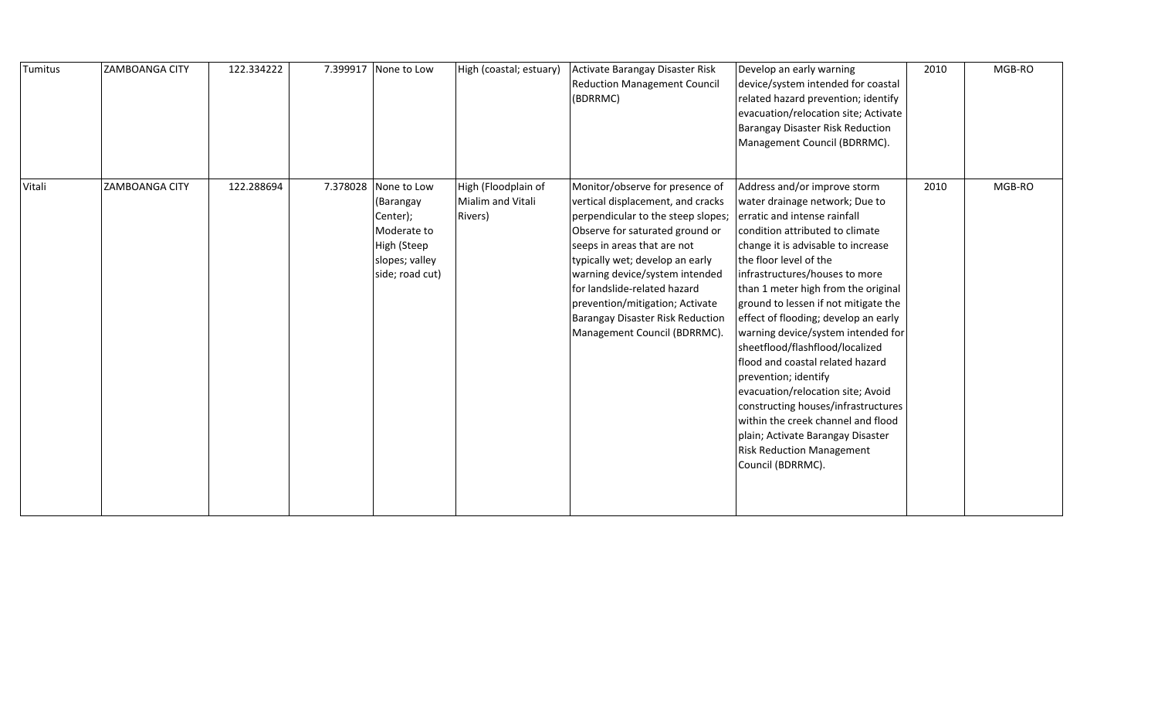| Tumitus | <b>ZAMBOANGA CITY</b> | 122.334222 |          | 7.399917 None to Low                                                                                    | High (coastal; estuary)                             | Activate Barangay Disaster Risk<br><b>Reduction Management Council</b><br>(BDRRMC)                                                                                                                                                                                                                                                                                                       | Develop an early warning<br>device/system intended for coastal<br>related hazard prevention; identify<br>evacuation/relocation site; Activate<br>Barangay Disaster Risk Reduction<br>Management Council (BDRRMC).                                                                                                                                                                                                                                                                                                                                                                                                                                                                                               | 2010 | MGB-RO |
|---------|-----------------------|------------|----------|---------------------------------------------------------------------------------------------------------|-----------------------------------------------------|------------------------------------------------------------------------------------------------------------------------------------------------------------------------------------------------------------------------------------------------------------------------------------------------------------------------------------------------------------------------------------------|-----------------------------------------------------------------------------------------------------------------------------------------------------------------------------------------------------------------------------------------------------------------------------------------------------------------------------------------------------------------------------------------------------------------------------------------------------------------------------------------------------------------------------------------------------------------------------------------------------------------------------------------------------------------------------------------------------------------|------|--------|
| Vitali  | ZAMBOANGA CITY        | 122.288694 | 7.378028 | None to Low<br>(Barangay<br>Center);<br>Moderate to<br>High (Steep<br>slopes; valley<br>side; road cut) | High (Floodplain of<br>Mialim and Vitali<br>Rivers) | Monitor/observe for presence of<br>vertical displacement, and cracks<br>perpendicular to the steep slopes;<br>Observe for saturated ground or<br>seeps in areas that are not<br>typically wet; develop an early<br>warning device/system intended<br>for landslide-related hazard<br>prevention/mitigation; Activate<br>Barangay Disaster Risk Reduction<br>Management Council (BDRRMC). | Address and/or improve storm<br>water drainage network; Due to<br>erratic and intense rainfall<br>condition attributed to climate<br>change it is advisable to increase<br>the floor level of the<br>infrastructures/houses to more<br>than 1 meter high from the original<br>ground to lessen if not mitigate the<br>effect of flooding; develop an early<br>warning device/system intended for<br>sheetflood/flashflood/localized<br>flood and coastal related hazard<br>prevention; identify<br>evacuation/relocation site; Avoid<br>constructing houses/infrastructures<br>within the creek channel and flood<br>plain; Activate Barangay Disaster<br><b>Risk Reduction Management</b><br>Council (BDRRMC). | 2010 | MGB-RO |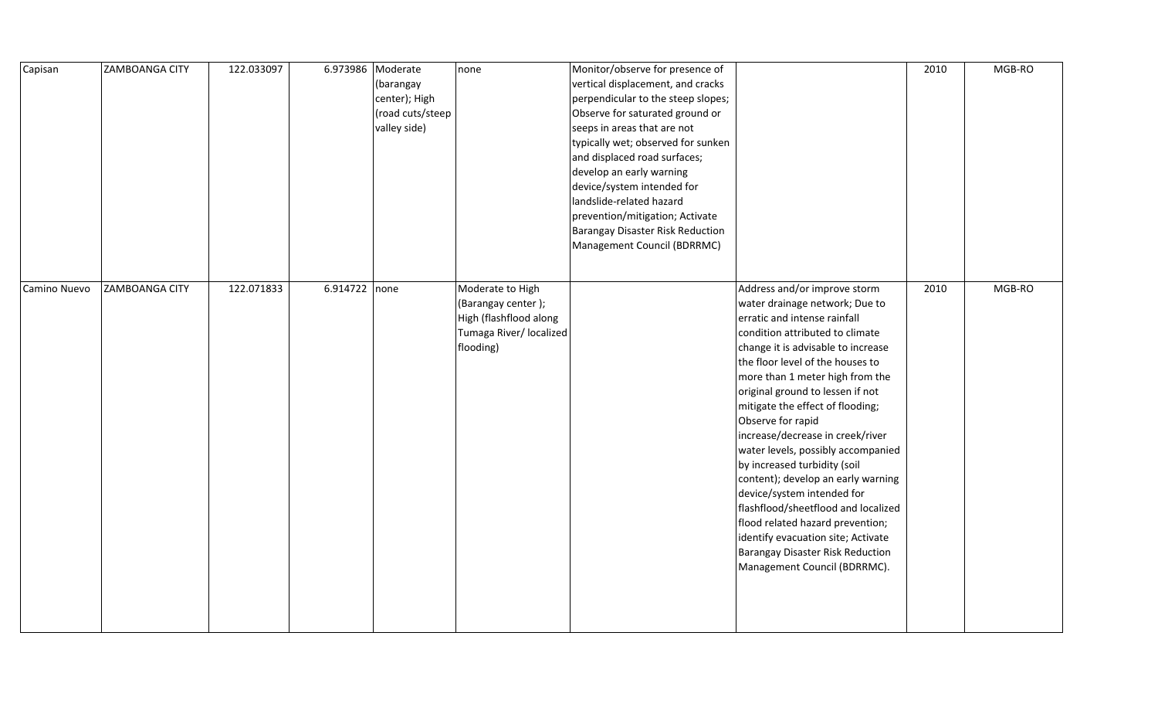| Capisan      | <b>ZAMBOANGA CITY</b> | 122.033097 | 6.973986 Moderate | (barangay<br>center); High<br>(road cuts/steep<br>valley side) | none                                                                                                     | Monitor/observe for presence of<br>vertical displacement, and cracks<br>perpendicular to the steep slopes;<br>Observe for saturated ground or<br>seeps in areas that are not<br>typically wet; observed for sunken<br>and displaced road surfaces;<br>develop an early warning<br>device/system intended for<br>landslide-related hazard<br>prevention/mitigation; Activate<br>Barangay Disaster Risk Reduction<br>Management Council (BDRRMC) |                                                                                                                                                                                                                                                                                                                                                                                                                                                                                                                                                                                                                                                                                                                | 2010 | MGB-RO |
|--------------|-----------------------|------------|-------------------|----------------------------------------------------------------|----------------------------------------------------------------------------------------------------------|------------------------------------------------------------------------------------------------------------------------------------------------------------------------------------------------------------------------------------------------------------------------------------------------------------------------------------------------------------------------------------------------------------------------------------------------|----------------------------------------------------------------------------------------------------------------------------------------------------------------------------------------------------------------------------------------------------------------------------------------------------------------------------------------------------------------------------------------------------------------------------------------------------------------------------------------------------------------------------------------------------------------------------------------------------------------------------------------------------------------------------------------------------------------|------|--------|
| Camino Nuevo | <b>ZAMBOANGA CITY</b> | 122.071833 | $6.914722$ none   |                                                                | Moderate to High<br>(Barangay center);<br>High (flashflood along<br>Tumaga River/ localized<br>flooding) |                                                                                                                                                                                                                                                                                                                                                                                                                                                | Address and/or improve storm<br>water drainage network; Due to<br>erratic and intense rainfall<br>condition attributed to climate<br>change it is advisable to increase<br>the floor level of the houses to<br>more than 1 meter high from the<br>original ground to lessen if not<br>mitigate the effect of flooding;<br>Observe for rapid<br>increase/decrease in creek/river<br>water levels, possibly accompanied<br>by increased turbidity (soil<br>content); develop an early warning<br>device/system intended for<br>flashflood/sheetflood and localized<br>flood related hazard prevention;<br>identify evacuation site; Activate<br>Barangay Disaster Risk Reduction<br>Management Council (BDRRMC). | 2010 | MGB-RO |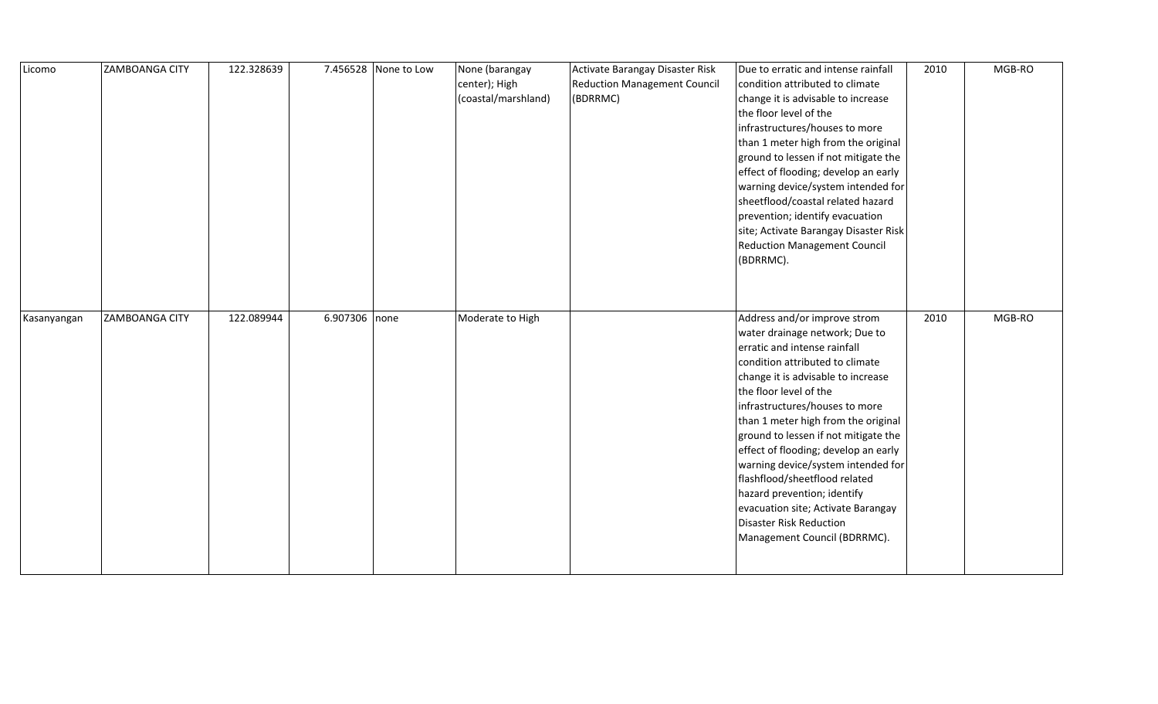| Licomo      | <b>ZAMBOANGA CITY</b> | 122.328639 |               | 7.456528 None to Low | None (barangay<br>center); High<br>(coastal/marshland) | Activate Barangay Disaster Risk<br><b>Reduction Management Council</b><br>(BDRRMC) | Due to erratic and intense rainfall<br>condition attributed to climate<br>change it is advisable to increase<br>the floor level of the<br>infrastructures/houses to more<br>than 1 meter high from the original<br>ground to lessen if not mitigate the<br>effect of flooding; develop an early<br>warning device/system intended for<br>sheetflood/coastal related hazard<br>prevention; identify evacuation<br>site; Activate Barangay Disaster Risk<br><b>Reduction Management Council</b><br>(BDRRMC).                                                        | 2010 | MGB-RO |
|-------------|-----------------------|------------|---------------|----------------------|--------------------------------------------------------|------------------------------------------------------------------------------------|-------------------------------------------------------------------------------------------------------------------------------------------------------------------------------------------------------------------------------------------------------------------------------------------------------------------------------------------------------------------------------------------------------------------------------------------------------------------------------------------------------------------------------------------------------------------|------|--------|
| Kasanyangan | <b>ZAMBOANGA CITY</b> | 122.089944 | 6.907306 none |                      | Moderate to High                                       |                                                                                    | Address and/or improve strom<br>water drainage network; Due to<br>erratic and intense rainfall<br>condition attributed to climate<br>change it is advisable to increase<br>the floor level of the<br>infrastructures/houses to more<br>than 1 meter high from the original<br>ground to lessen if not mitigate the<br>effect of flooding; develop an early<br>warning device/system intended for<br>flashflood/sheetflood related<br>hazard prevention; identify<br>evacuation site; Activate Barangay<br>Disaster Risk Reduction<br>Management Council (BDRRMC). | 2010 | MGB-RO |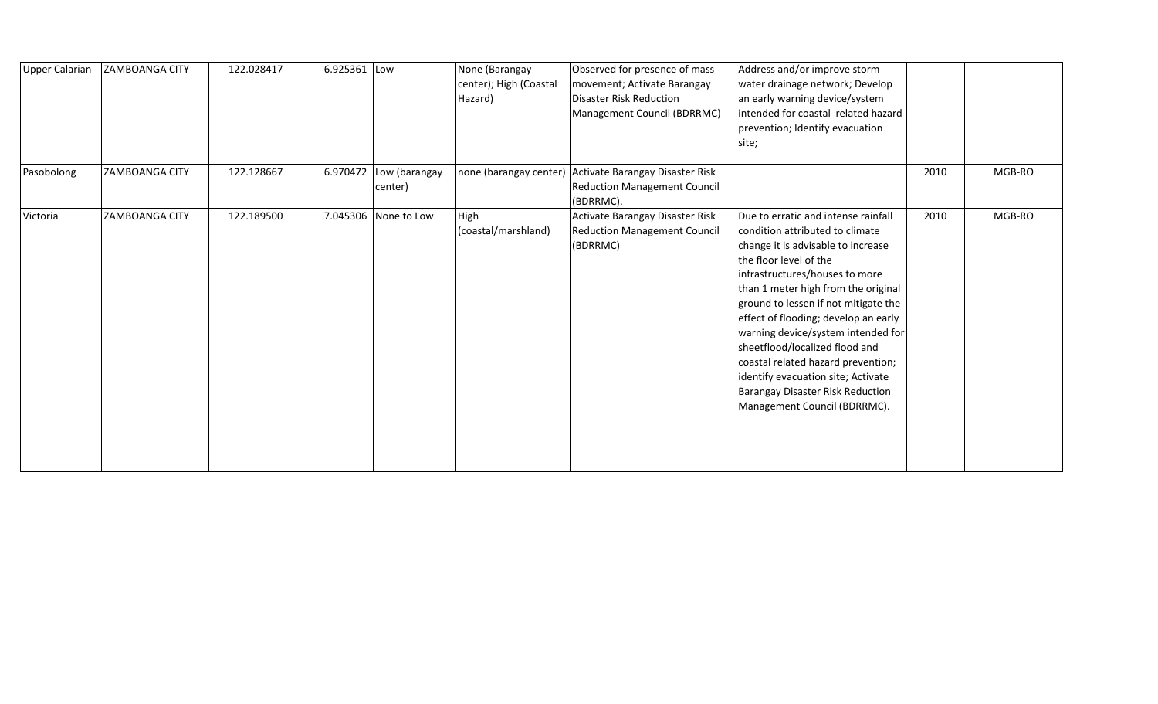| <b>Upper Calarian</b> | <b>ZAMBOANGA CITY</b> | 122.028417 | 6.925361 | Low                      | None (Barangay<br>center); High (Coastal<br>Hazard) | Observed for presence of mass<br>movement; Activate Barangay<br><b>Disaster Risk Reduction</b><br>Management Council (BDRRMC) | Address and/or improve storm<br>water drainage network; Develop<br>an early warning device/system<br>intended for coastal related hazard<br>prevention; Identify evacuation<br>site;                                                                                                                                                                                                                                                                                                                                           |      |        |
|-----------------------|-----------------------|------------|----------|--------------------------|-----------------------------------------------------|-------------------------------------------------------------------------------------------------------------------------------|--------------------------------------------------------------------------------------------------------------------------------------------------------------------------------------------------------------------------------------------------------------------------------------------------------------------------------------------------------------------------------------------------------------------------------------------------------------------------------------------------------------------------------|------|--------|
| Pasobolong            | <b>ZAMBOANGA CITY</b> | 122.128667 | 6.970472 | Low (barangay<br>center) |                                                     | none (barangay center) Activate Barangay Disaster Risk<br><b>Reduction Management Council</b><br>(BDRRMC).                    |                                                                                                                                                                                                                                                                                                                                                                                                                                                                                                                                | 2010 | MGB-RO |
| Victoria              | <b>ZAMBOANGA CITY</b> | 122.189500 | 7.045306 | None to Low              | High<br>(coastal/marshland)                         | Activate Barangay Disaster Risk<br><b>Reduction Management Council</b><br>(BDRRMC)                                            | Due to erratic and intense rainfall<br>condition attributed to climate<br>change it is advisable to increase<br>the floor level of the<br>infrastructures/houses to more<br>than 1 meter high from the original<br>ground to lessen if not mitigate the<br>effect of flooding; develop an early<br>warning device/system intended for<br>sheetflood/localized flood and<br>coastal related hazard prevention;<br>identify evacuation site; Activate<br><b>Barangay Disaster Risk Reduction</b><br>Management Council (BDRRMC). | 2010 | MGB-RO |